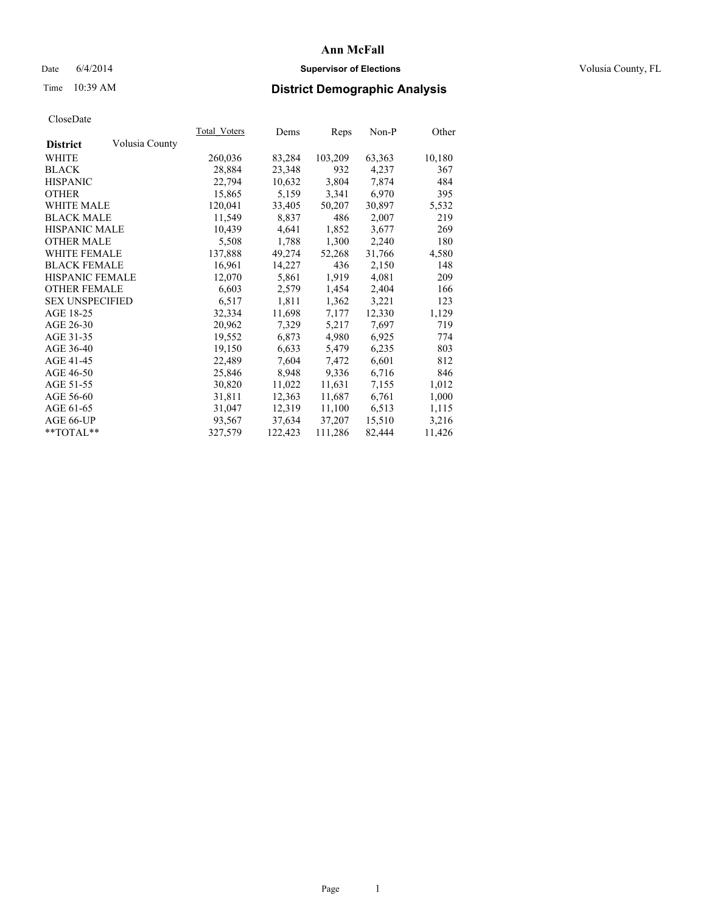## Date 6/4/2014 **Supervisor of Elections Supervisor of Elections** Volusia County, FL

# Time 10:39 AM **District Demographic Analysis**

|                                   | Total Voters | Dems    | <b>Reps</b> | Non-P  | Other  |
|-----------------------------------|--------------|---------|-------------|--------|--------|
| Volusia County<br><b>District</b> |              |         |             |        |        |
| WHITE                             | 260,036      | 83,284  | 103,209     | 63,363 | 10,180 |
| <b>BLACK</b>                      | 28,884       | 23,348  | 932         | 4,237  | 367    |
| <b>HISPANIC</b>                   | 22,794       | 10,632  | 3,804       | 7,874  | 484    |
| <b>OTHER</b>                      | 15,865       | 5,159   | 3,341       | 6,970  | 395    |
| <b>WHITE MALE</b>                 | 120,041      | 33,405  | 50,207      | 30,897 | 5,532  |
| <b>BLACK MALE</b>                 | 11,549       | 8,837   | 486         | 2,007  | 219    |
| <b>HISPANIC MALE</b>              | 10,439       | 4,641   | 1,852       | 3,677  | 269    |
| <b>OTHER MALE</b>                 | 5,508        | 1,788   | 1,300       | 2,240  | 180    |
| <b>WHITE FEMALE</b>               | 137,888      | 49,274  | 52,268      | 31,766 | 4,580  |
| <b>BLACK FEMALE</b>               | 16,961       | 14,227  | 436         | 2,150  | 148    |
| HISPANIC FEMALE                   | 12,070       | 5,861   | 1,919       | 4,081  | 209    |
| <b>OTHER FEMALE</b>               | 6,603        | 2,579   | 1,454       | 2,404  | 166    |
| <b>SEX UNSPECIFIED</b>            | 6,517        | 1,811   | 1,362       | 3,221  | 123    |
| AGE 18-25                         | 32,334       | 11,698  | 7,177       | 12,330 | 1,129  |
| AGE 26-30                         | 20,962       | 7,329   | 5,217       | 7,697  | 719    |
| AGE 31-35                         | 19,552       | 6,873   | 4,980       | 6,925  | 774    |
| AGE 36-40                         | 19,150       | 6,633   | 5,479       | 6,235  | 803    |
| AGE 41-45                         | 22,489       | 7,604   | 7,472       | 6,601  | 812    |
| AGE 46-50                         | 25,846       | 8,948   | 9,336       | 6,716  | 846    |
| AGE 51-55                         | 30,820       | 11,022  | 11,631      | 7,155  | 1,012  |
| AGE 56-60                         | 31,811       | 12,363  | 11,687      | 6,761  | 1,000  |
| AGE 61-65                         | 31,047       | 12,319  | 11,100      | 6,513  | 1,115  |
| AGE 66-UP                         | 93,567       | 37,634  | 37,207      | 15,510 | 3,216  |
| $*$ $TOTAL**$                     | 327,579      | 122,423 | 111,286     | 82,444 | 11,426 |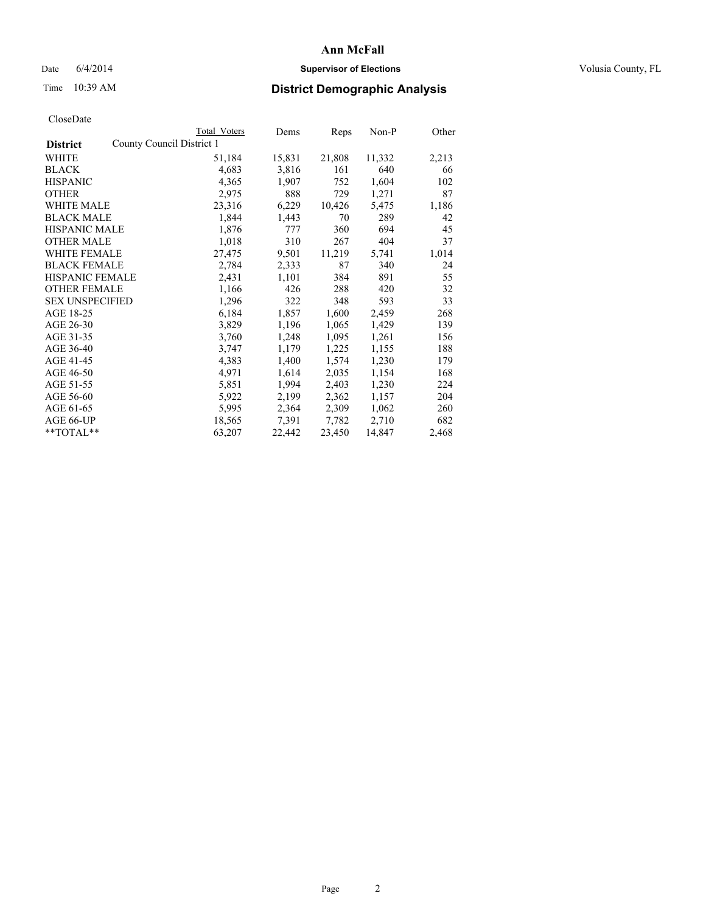## Date 6/4/2014 **Supervisor of Elections Supervisor of Elections** Volusia County, FL

# Time 10:39 AM **District Demographic Analysis**

|                        | Total Voters              | Dems   | <b>Reps</b> | $Non-P$ | Other |
|------------------------|---------------------------|--------|-------------|---------|-------|
| <b>District</b>        | County Council District 1 |        |             |         |       |
| WHITE                  | 51,184                    | 15,831 | 21,808      | 11,332  | 2,213 |
| <b>BLACK</b>           | 4,683                     | 3,816  | 161         | 640     | 66    |
| <b>HISPANIC</b>        | 4,365                     | 1,907  | 752         | 1,604   | 102   |
| <b>OTHER</b>           | 2,975                     | 888    | 729         | 1,271   | 87    |
| WHITE MALE             | 23,316                    | 6,229  | 10,426      | 5,475   | 1,186 |
| <b>BLACK MALE</b>      | 1,844                     | 1,443  | 70          | 289     | 42    |
| <b>HISPANIC MALE</b>   | 1,876                     | 777    | 360         | 694     | 45    |
| <b>OTHER MALE</b>      | 1,018                     | 310    | 267         | 404     | 37    |
| WHITE FEMALE           | 27,475                    | 9,501  | 11,219      | 5,741   | 1,014 |
| <b>BLACK FEMALE</b>    | 2,784                     | 2,333  | 87          | 340     | 24    |
| HISPANIC FEMALE        | 2,431                     | 1,101  | 384         | 891     | 55    |
| <b>OTHER FEMALE</b>    | 1,166                     | 426    | 288         | 420     | 32    |
| <b>SEX UNSPECIFIED</b> | 1,296                     | 322    | 348         | 593     | 33    |
| AGE 18-25              | 6,184                     | 1,857  | 1,600       | 2,459   | 268   |
| AGE 26-30              | 3,829                     | 1,196  | 1,065       | 1,429   | 139   |
| AGE 31-35              | 3,760                     | 1,248  | 1,095       | 1,261   | 156   |
| AGE 36-40              | 3,747                     | 1,179  | 1,225       | 1,155   | 188   |
| AGE 41-45              | 4,383                     | 1,400  | 1,574       | 1,230   | 179   |
| AGE 46-50              | 4,971                     | 1,614  | 2,035       | 1,154   | 168   |
| AGE 51-55              | 5,851                     | 1,994  | 2,403       | 1,230   | 224   |
| AGE 56-60              | 5,922                     | 2,199  | 2,362       | 1,157   | 204   |
| AGE 61-65              | 5,995                     | 2,364  | 2,309       | 1,062   | 260   |
| AGE 66-UP              | 18,565                    | 7.391  | 7.782       | 2,710   | 682   |
| **TOTAL**              | 63,207                    | 22,442 | 23,450      | 14,847  | 2,468 |
|                        |                           |        |             |         |       |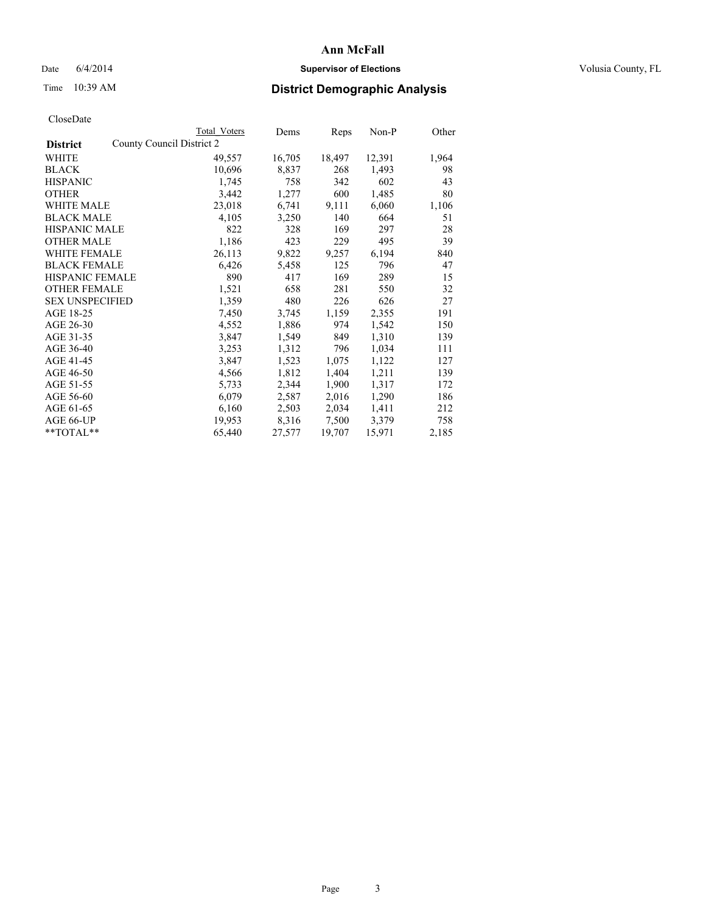## Date 6/4/2014 **Supervisor of Elections Supervisor of Elections** Volusia County, FL

# Time 10:39 AM **District Demographic Analysis**

|                                              | Total Voters | Dems   | Reps   | $Non-P$ | Other |
|----------------------------------------------|--------------|--------|--------|---------|-------|
| County Council District 2<br><b>District</b> |              |        |        |         |       |
| WHITE                                        | 49,557       | 16,705 | 18,497 | 12,391  | 1,964 |
| <b>BLACK</b>                                 | 10,696       | 8,837  | 268    | 1,493   | 98    |
| <b>HISPANIC</b>                              | 1,745        | 758    | 342    | 602     | 43    |
| <b>OTHER</b>                                 | 3,442        | 1,277  | 600    | 1,485   | 80    |
| WHITE MALE                                   | 23,018       | 6,741  | 9,111  | 6,060   | 1,106 |
| <b>BLACK MALE</b>                            | 4,105        | 3,250  | 140    | 664     | 51    |
| <b>HISPANIC MALE</b>                         | 822          | 328    | 169    | 297     | 28    |
| <b>OTHER MALE</b>                            | 1,186        | 423    | 229    | 495     | 39    |
| <b>WHITE FEMALE</b>                          | 26,113       | 9,822  | 9,257  | 6,194   | 840   |
| <b>BLACK FEMALE</b>                          | 6,426        | 5,458  | 125    | 796     | 47    |
| HISPANIC FEMALE                              | 890          | 417    | 169    | 289     | 15    |
| <b>OTHER FEMALE</b>                          | 1,521        | 658    | 281    | 550     | 32    |
| <b>SEX UNSPECIFIED</b>                       | 1,359        | 480    | 226    | 626     | 27    |
| AGE 18-25                                    | 7,450        | 3,745  | 1,159  | 2,355   | 191   |
| AGE 26-30                                    | 4,552        | 1,886  | 974    | 1,542   | 150   |
| AGE 31-35                                    | 3,847        | 1,549  | 849    | 1,310   | 139   |
| AGE 36-40                                    | 3,253        | 1,312  | 796    | 1,034   | 111   |
| AGE 41-45                                    | 3,847        | 1,523  | 1,075  | 1,122   | 127   |
| AGE 46-50                                    | 4,566        | 1,812  | 1,404  | 1,211   | 139   |
| AGE 51-55                                    | 5,733        | 2,344  | 1,900  | 1,317   | 172   |
| AGE 56-60                                    | 6,079        | 2,587  | 2,016  | 1,290   | 186   |
| AGE 61-65                                    | 6,160        | 2,503  | 2,034  | 1,411   | 212   |
| AGE 66-UP                                    | 19,953       | 8,316  | 7,500  | 3,379   | 758   |
| **TOTAL**                                    | 65,440       | 27,577 | 19,707 | 15,971  | 2,185 |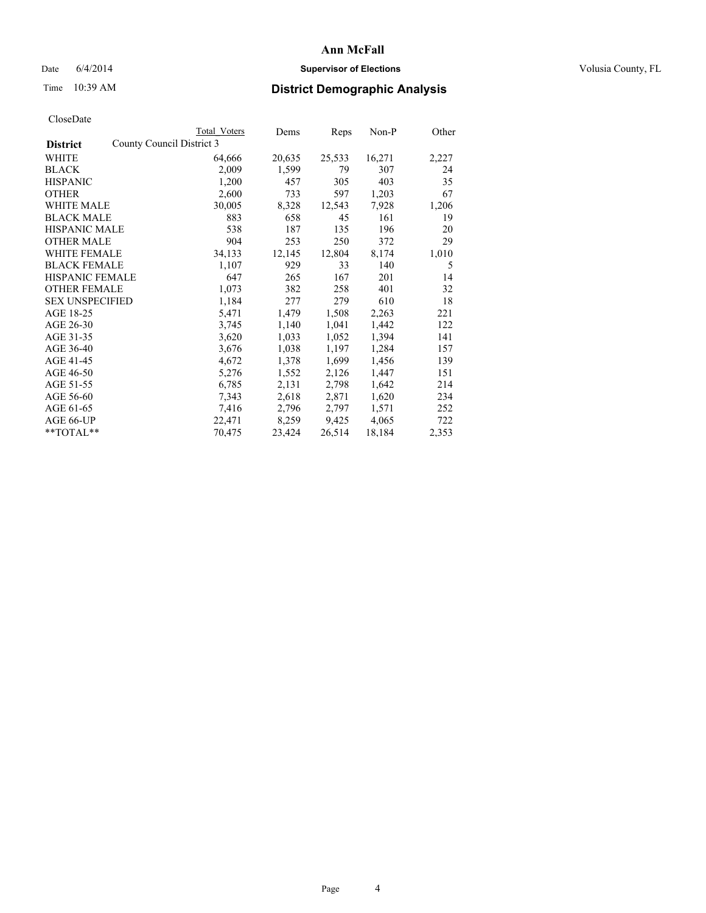## Date 6/4/2014 **Supervisor of Elections Supervisor of Elections** Volusia County, FL

# Time 10:39 AM **District Demographic Analysis**

|                        |                           | Total Voters | Dems   | <b>Reps</b> | Non-P  | Other |
|------------------------|---------------------------|--------------|--------|-------------|--------|-------|
| <b>District</b>        | County Council District 3 |              |        |             |        |       |
| WHITE                  |                           | 64,666       | 20,635 | 25,533      | 16,271 | 2,227 |
| <b>BLACK</b>           |                           | 2,009        | 1,599  | 79          | 307    | 24    |
| <b>HISPANIC</b>        |                           | 1,200        | 457    | 305         | 403    | 35    |
| <b>OTHER</b>           |                           | 2,600        | 733    | 597         | 1,203  | 67    |
| WHITE MALE             |                           | 30,005       | 8,328  | 12,543      | 7,928  | 1,206 |
| <b>BLACK MALE</b>      |                           | 883          | 658    | 45          | 161    | 19    |
| <b>HISPANIC MALE</b>   |                           | 538          | 187    | 135         | 196    | 20    |
| <b>OTHER MALE</b>      |                           | 904          | 253    | 250         | 372    | 29    |
| <b>WHITE FEMALE</b>    |                           | 34,133       | 12,145 | 12,804      | 8,174  | 1,010 |
| <b>BLACK FEMALE</b>    |                           | 1,107        | 929    | 33          | 140    | 5     |
| <b>HISPANIC FEMALE</b> |                           | 647          | 265    | 167         | 201    | 14    |
| <b>OTHER FEMALE</b>    |                           | 1,073        | 382    | 258         | 401    | 32    |
| <b>SEX UNSPECIFIED</b> |                           | 1,184        | 277    | 279         | 610    | 18    |
| AGE 18-25              |                           | 5,471        | 1,479  | 1,508       | 2,263  | 221   |
| AGE 26-30              |                           | 3,745        | 1,140  | 1,041       | 1,442  | 122   |
| AGE 31-35              |                           | 3,620        | 1,033  | 1,052       | 1,394  | 141   |
| AGE 36-40              |                           | 3,676        | 1,038  | 1,197       | 1,284  | 157   |
| AGE 41-45              |                           | 4,672        | 1,378  | 1,699       | 1,456  | 139   |
| AGE 46-50              |                           | 5,276        | 1,552  | 2,126       | 1,447  | 151   |
| AGE 51-55              |                           | 6,785        | 2,131  | 2,798       | 1,642  | 214   |
| AGE 56-60              |                           | 7,343        | 2,618  | 2,871       | 1,620  | 234   |
| AGE 61-65              |                           | 7,416        | 2,796  | 2,797       | 1,571  | 252   |
| AGE 66-UP              |                           | 22,471       | 8,259  | 9,425       | 4,065  | 722   |
| **TOTAL**              |                           | 70,475       | 23,424 | 26,514      | 18,184 | 2,353 |
|                        |                           |              |        |             |        |       |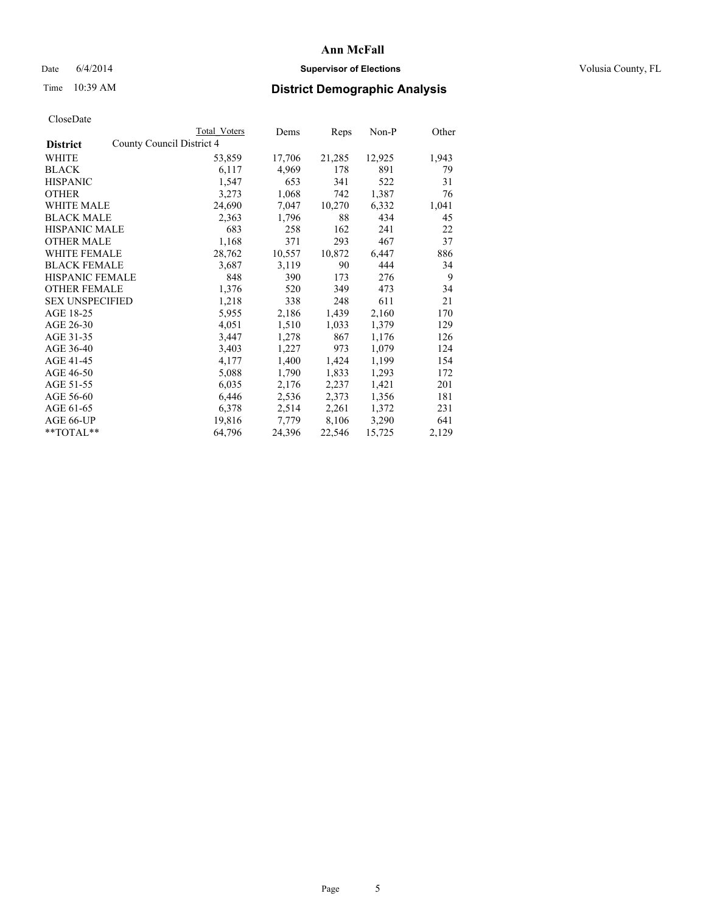## Date 6/4/2014 **Supervisor of Elections Supervisor of Elections** Volusia County, FL

# Time 10:39 AM **District Demographic Analysis**

|                                              | <b>Total Voters</b> | Dems   | Reps   | Non-P  | Other |
|----------------------------------------------|---------------------|--------|--------|--------|-------|
| County Council District 4<br><b>District</b> |                     |        |        |        |       |
| WHITE                                        | 53,859              | 17,706 | 21,285 | 12,925 | 1,943 |
| <b>BLACK</b>                                 | 6,117               | 4,969  | 178    | 891    | 79    |
| <b>HISPANIC</b>                              | 1,547               | 653    | 341    | 522    | 31    |
| <b>OTHER</b>                                 | 3,273               | 1,068  | 742    | 1,387  | 76    |
| <b>WHITE MALE</b>                            | 24,690              | 7,047  | 10,270 | 6,332  | 1,041 |
| <b>BLACK MALE</b>                            | 2,363               | 1,796  | 88     | 434    | 45    |
| <b>HISPANIC MALE</b>                         | 683                 | 258    | 162    | 241    | 22    |
| <b>OTHER MALE</b>                            | 1,168               | 371    | 293    | 467    | 37    |
| WHITE FEMALE                                 | 28,762              | 10,557 | 10,872 | 6,447  | 886   |
| <b>BLACK FEMALE</b>                          | 3,687               | 3,119  | 90     | 444    | 34    |
| HISPANIC FEMALE                              | 848                 | 390    | 173    | 276    | 9     |
| <b>OTHER FEMALE</b>                          | 1,376               | 520    | 349    | 473    | 34    |
| <b>SEX UNSPECIFIED</b>                       | 1,218               | 338    | 248    | 611    | 21    |
| AGE 18-25                                    | 5,955               | 2,186  | 1,439  | 2,160  | 170   |
| AGE 26-30                                    | 4,051               | 1,510  | 1,033  | 1,379  | 129   |
| AGE 31-35                                    | 3,447               | 1,278  | 867    | 1,176  | 126   |
| AGE 36-40                                    | 3,403               | 1,227  | 973    | 1,079  | 124   |
| AGE 41-45                                    | 4,177               | 1,400  | 1,424  | 1,199  | 154   |
| AGE 46-50                                    | 5,088               | 1,790  | 1,833  | 1,293  | 172   |
| AGE 51-55                                    | 6,035               | 2,176  | 2,237  | 1,421  | 201   |
| AGE 56-60                                    | 6,446               | 2,536  | 2,373  | 1,356  | 181   |
| AGE 61-65                                    | 6,378               | 2,514  | 2,261  | 1,372  | 231   |
| AGE 66-UP                                    | 19,816              | 7,779  | 8,106  | 3,290  | 641   |
| **TOTAL**                                    | 64,796              | 24,396 | 22,546 | 15,725 | 2,129 |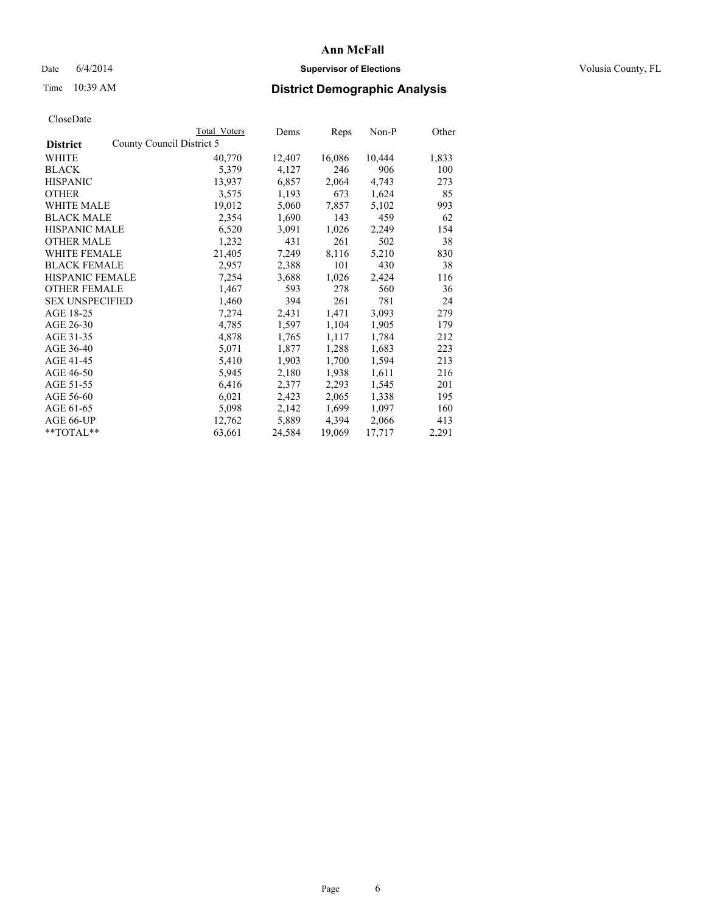## Date 6/4/2014 **Supervisor of Elections Supervisor of Elections** Volusia County, FL

# Time 10:39 AM **District Demographic Analysis**

|                                              | Total Voters | Dems   | Reps   | $Non-P$ | Other |
|----------------------------------------------|--------------|--------|--------|---------|-------|
| County Council District 5<br><b>District</b> |              |        |        |         |       |
| WHITE                                        | 40,770       | 12,407 | 16,086 | 10,444  | 1,833 |
| <b>BLACK</b>                                 | 5,379        | 4,127  | 246    | 906     | 100   |
| <b>HISPANIC</b>                              | 13,937       | 6,857  | 2,064  | 4,743   | 273   |
| <b>OTHER</b>                                 | 3,575        | 1,193  | 673    | 1,624   | 85    |
| WHITE MALE                                   | 19,012       | 5,060  | 7,857  | 5,102   | 993   |
| <b>BLACK MALE</b>                            | 2,354        | 1,690  | 143    | 459     | 62    |
| <b>HISPANIC MALE</b>                         | 6,520        | 3,091  | 1,026  | 2,249   | 154   |
| <b>OTHER MALE</b>                            | 1,232        | 431    | 261    | 502     | 38    |
| <b>WHITE FEMALE</b>                          | 21,405       | 7,249  | 8,116  | 5,210   | 830   |
| <b>BLACK FEMALE</b>                          | 2,957        | 2,388  | 101    | 430     | 38    |
| HISPANIC FEMALE                              | 7,254        | 3,688  | 1,026  | 2,424   | 116   |
| <b>OTHER FEMALE</b>                          | 1,467        | 593    | 278    | 560     | 36    |
| <b>SEX UNSPECIFIED</b>                       | 1,460        | 394    | 261    | 781     | 24    |
| AGE 18-25                                    | 7,274        | 2,431  | 1,471  | 3,093   | 279   |
| AGE 26-30                                    | 4,785        | 1,597  | 1,104  | 1,905   | 179   |
| AGE 31-35                                    | 4,878        | 1,765  | 1,117  | 1,784   | 212   |
| AGE 36-40                                    | 5,071        | 1,877  | 1,288  | 1,683   | 223   |
| AGE 41-45                                    | 5,410        | 1,903  | 1,700  | 1,594   | 213   |
| AGE 46-50                                    | 5,945        | 2,180  | 1,938  | 1,611   | 216   |
| AGE 51-55                                    | 6,416        | 2,377  | 2,293  | 1,545   | 201   |
| AGE 56-60                                    | 6,021        | 2,423  | 2,065  | 1,338   | 195   |
| AGE 61-65                                    | 5,098        | 2,142  | 1,699  | 1,097   | 160   |
| AGE 66-UP                                    | 12,762       | 5,889  | 4,394  | 2,066   | 413   |
| **TOTAL**                                    | 63,661       | 24,584 | 19,069 | 17,717  | 2,291 |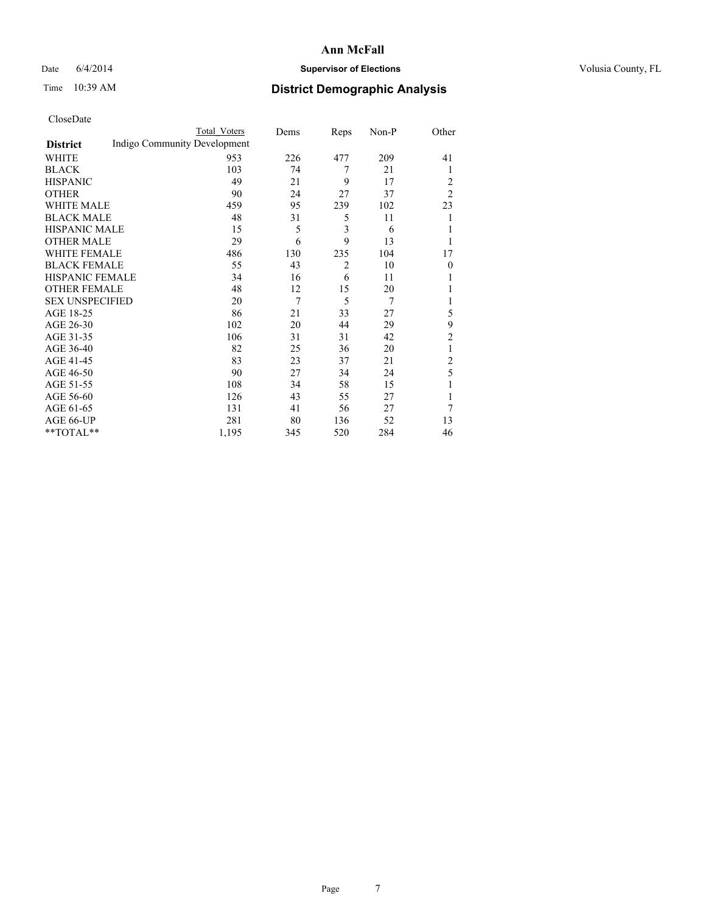## Date 6/4/2014 **Supervisor of Elections Supervisor of Elections** Volusia County, FL

# Time 10:39 AM **District Demographic Analysis**

|                        |                              | <b>Total Voters</b> | Dems | Reps           | Non-P | Other          |
|------------------------|------------------------------|---------------------|------|----------------|-------|----------------|
| <b>District</b>        | Indigo Community Development |                     |      |                |       |                |
| WHITE                  |                              | 953                 | 226  | 477            | 209   | 41             |
| <b>BLACK</b>           |                              | 103                 | 74   | 7              | 21    | 1              |
| <b>HISPANIC</b>        |                              | 49                  | 21   | 9              | 17    | 2              |
| <b>OTHER</b>           |                              | 90                  | 24   | 27             | 37    | $\overline{2}$ |
| WHITE MALE             |                              | 459                 | 95   | 239            | 102   | 23             |
| <b>BLACK MALE</b>      |                              | 48                  | 31   | 5              | 11    | 1              |
| <b>HISPANIC MALE</b>   |                              | 15                  | 5    | 3              | 6     |                |
| <b>OTHER MALE</b>      |                              | 29                  | 6    | 9              | 13    | 1              |
| WHITE FEMALE           |                              | 486                 | 130  | 235            | 104   | 17             |
| <b>BLACK FEMALE</b>    |                              | 55                  | 43   | $\overline{c}$ | 10    | $\theta$       |
| <b>HISPANIC FEMALE</b> |                              | 34                  | 16   | 6              | 11    |                |
| <b>OTHER FEMALE</b>    |                              | 48                  | 12   | 15             | 20    |                |
| <b>SEX UNSPECIFIED</b> |                              | 20                  | 7    | 5              | 7     | 1              |
| AGE 18-25              |                              | 86                  | 21   | 33             | 27    | 5              |
| AGE 26-30              |                              | 102                 | 20   | 44             | 29    | 9              |
| AGE 31-35              |                              | 106                 | 31   | 31             | 42    | 2              |
| AGE 36-40              |                              | 82                  | 25   | 36             | 20    | 1              |
| AGE 41-45              |                              | 83                  | 23   | 37             | 21    | $\overline{c}$ |
| AGE 46-50              |                              | 90                  | 27   | 34             | 24    | 5              |
| AGE 51-55              |                              | 108                 | 34   | 58             | 15    | 1              |
| AGE 56-60              |                              | 126                 | 43   | 55             | 27    |                |
| AGE 61-65              |                              | 131                 | 41   | 56             | 27    | 7              |
| AGE 66-UP              |                              | 281                 | 80   | 136            | 52    | 13             |
| **TOTAL**              |                              | 1,195               | 345  | 520            | 284   | 46             |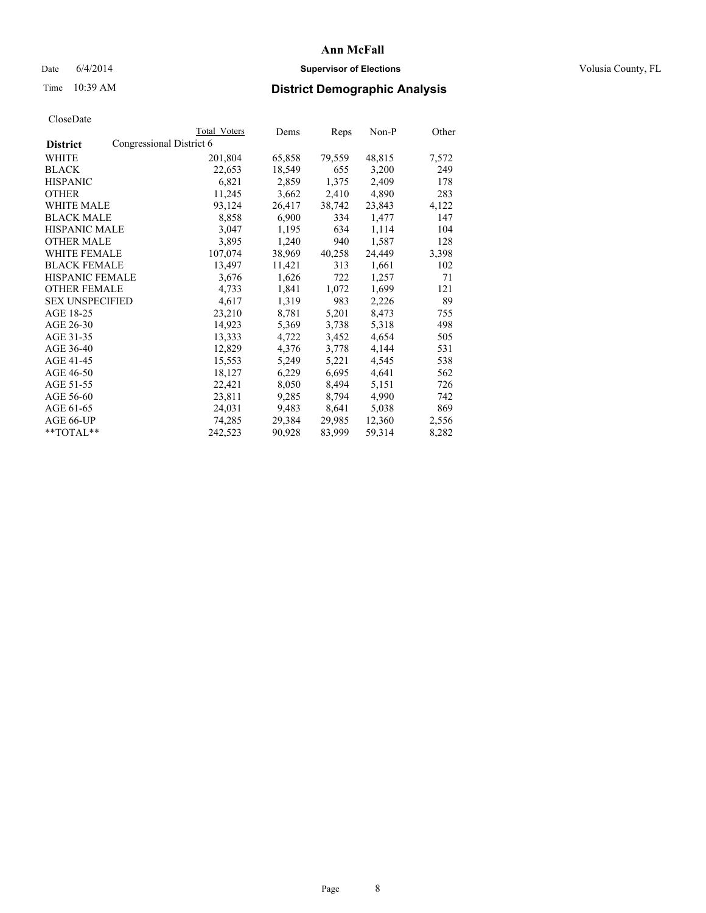## Date 6/4/2014 **Supervisor of Elections Supervisor of Elections** Volusia County, FL

# Time 10:39 AM **District Demographic Analysis**

|                                             | <b>Total Voters</b> | Dems   | Reps   | Non-P  | Other |
|---------------------------------------------|---------------------|--------|--------|--------|-------|
| Congressional District 6<br><b>District</b> |                     |        |        |        |       |
| WHITE                                       | 201,804             | 65,858 | 79,559 | 48,815 | 7,572 |
| <b>BLACK</b>                                | 22,653              | 18,549 | 655    | 3,200  | 249   |
| <b>HISPANIC</b>                             | 6,821               | 2,859  | 1,375  | 2,409  | 178   |
| <b>OTHER</b>                                | 11,245              | 3,662  | 2,410  | 4,890  | 283   |
| <b>WHITE MALE</b>                           | 93,124              | 26,417 | 38,742 | 23,843 | 4,122 |
| <b>BLACK MALE</b>                           | 8,858               | 6,900  | 334    | 1,477  | 147   |
| <b>HISPANIC MALE</b>                        | 3,047               | 1,195  | 634    | 1,114  | 104   |
| <b>OTHER MALE</b>                           | 3,895               | 1,240  | 940    | 1,587  | 128   |
| WHITE FEMALE                                | 107,074             | 38,969 | 40,258 | 24,449 | 3,398 |
| <b>BLACK FEMALE</b>                         | 13,497              | 11,421 | 313    | 1,661  | 102   |
| HISPANIC FEMALE                             | 3,676               | 1,626  | 722    | 1,257  | 71    |
| <b>OTHER FEMALE</b>                         | 4,733               | 1,841  | 1,072  | 1,699  | 121   |
| <b>SEX UNSPECIFIED</b>                      | 4,617               | 1,319  | 983    | 2,226  | 89    |
| AGE 18-25                                   | 23,210              | 8,781  | 5,201  | 8,473  | 755   |
| AGE 26-30                                   | 14,923              | 5,369  | 3,738  | 5,318  | 498   |
| AGE 31-35                                   | 13,333              | 4,722  | 3,452  | 4,654  | 505   |
| AGE 36-40                                   | 12,829              | 4,376  | 3,778  | 4,144  | 531   |
| AGE 41-45                                   | 15,553              | 5,249  | 5,221  | 4,545  | 538   |
| AGE 46-50                                   | 18,127              | 6,229  | 6,695  | 4,641  | 562   |
| AGE 51-55                                   | 22,421              | 8,050  | 8,494  | 5,151  | 726   |
| AGE 56-60                                   | 23,811              | 9,285  | 8,794  | 4,990  | 742   |
| AGE 61-65                                   | 24,031              | 9,483  | 8,641  | 5,038  | 869   |
| AGE 66-UP                                   | 74,285              | 29,384 | 29,985 | 12,360 | 2,556 |
| $*$ TOTAL $*$                               | 242,523             | 90,928 | 83,999 | 59,314 | 8,282 |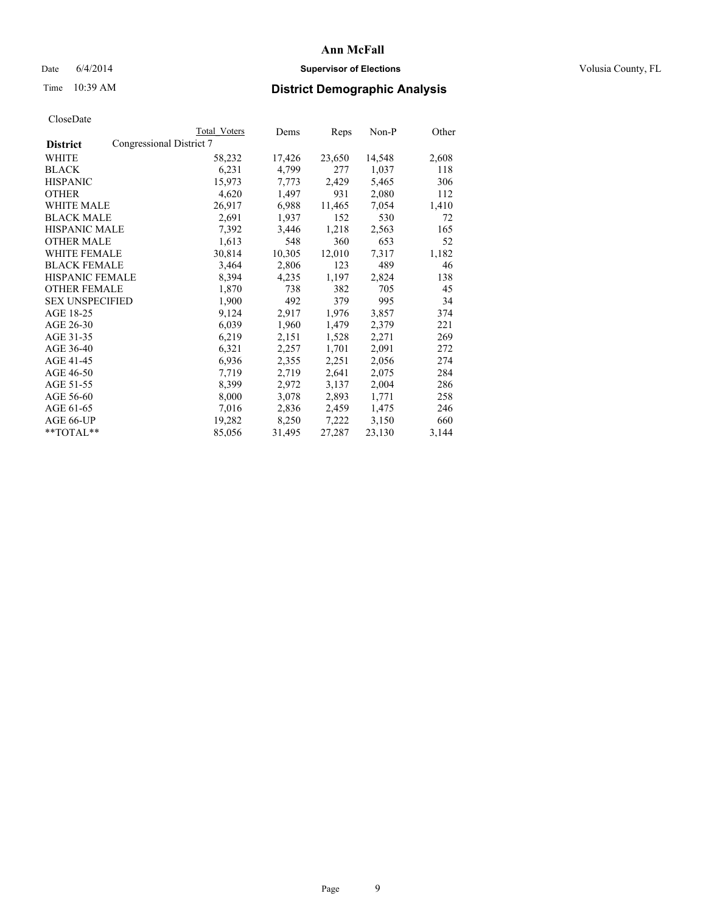## Date 6/4/2014 **Supervisor of Elections Supervisor of Elections** Volusia County, FL

# Time 10:39 AM **District Demographic Analysis**

|                        |                          | Total Voters | Dems   | Reps   | Non-P  | Other |
|------------------------|--------------------------|--------------|--------|--------|--------|-------|
| <b>District</b>        | Congressional District 7 |              |        |        |        |       |
| WHITE                  |                          | 58,232       | 17,426 | 23,650 | 14,548 | 2,608 |
| <b>BLACK</b>           |                          | 6,231        | 4,799  | 277    | 1,037  | 118   |
| <b>HISPANIC</b>        |                          | 15,973       | 7,773  | 2,429  | 5,465  | 306   |
| <b>OTHER</b>           |                          | 4,620        | 1,497  | 931    | 2,080  | 112   |
| WHITE MALE             |                          | 26,917       | 6,988  | 11,465 | 7,054  | 1,410 |
| <b>BLACK MALE</b>      |                          | 2,691        | 1,937  | 152    | 530    | 72    |
| <b>HISPANIC MALE</b>   |                          | 7,392        | 3,446  | 1,218  | 2,563  | 165   |
| <b>OTHER MALE</b>      |                          | 1,613        | 548    | 360    | 653    | 52    |
| <b>WHITE FEMALE</b>    |                          | 30,814       | 10,305 | 12,010 | 7.317  | 1,182 |
| <b>BLACK FEMALE</b>    |                          | 3,464        | 2,806  | 123    | 489    | 46    |
| HISPANIC FEMALE        |                          | 8,394        | 4,235  | 1,197  | 2,824  | 138   |
| <b>OTHER FEMALE</b>    |                          | 1,870        | 738    | 382    | 705    | 45    |
| <b>SEX UNSPECIFIED</b> |                          | 1,900        | 492    | 379    | 995    | 34    |
| AGE 18-25              |                          | 9,124        | 2,917  | 1,976  | 3,857  | 374   |
| AGE 26-30              |                          | 6,039        | 1,960  | 1,479  | 2,379  | 221   |
| AGE 31-35              |                          | 6,219        | 2,151  | 1,528  | 2,271  | 269   |
| AGE 36-40              |                          | 6,321        | 2,257  | 1,701  | 2,091  | 272   |
| AGE 41-45              |                          | 6,936        | 2,355  | 2,251  | 2,056  | 274   |
| AGE 46-50              |                          | 7.719        | 2,719  | 2,641  | 2,075  | 284   |
| AGE 51-55              |                          | 8,399        | 2,972  | 3,137  | 2,004  | 286   |
| AGE 56-60              |                          | 8,000        | 3,078  | 2,893  | 1,771  | 258   |
| AGE 61-65              |                          | 7,016        | 2,836  | 2,459  | 1,475  | 246   |
| AGE 66-UP              |                          | 19,282       | 8,250  | 7,222  | 3,150  | 660   |
| **TOTAL**              |                          | 85,056       | 31,495 | 27,287 | 23,130 | 3,144 |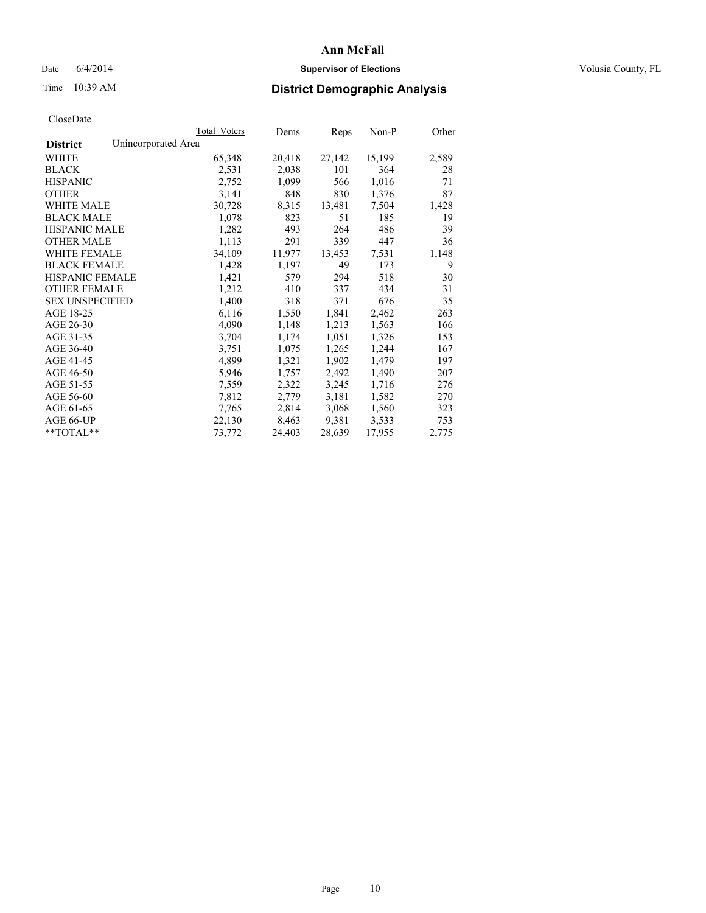## Date 6/4/2014 **Supervisor of Elections Supervisor of Elections** Volusia County, FL

# Time 10:39 AM **District Demographic Analysis**

|                        |                     | Total Voters | Dems   | Reps   | Non-P  | Other |
|------------------------|---------------------|--------------|--------|--------|--------|-------|
| <b>District</b>        | Unincorporated Area |              |        |        |        |       |
| WHITE                  |                     | 65,348       | 20,418 | 27,142 | 15,199 | 2,589 |
| <b>BLACK</b>           |                     | 2,531        | 2,038  | 101    | 364    | 28    |
| <b>HISPANIC</b>        |                     | 2,752        | 1,099  | 566    | 1,016  | 71    |
| <b>OTHER</b>           |                     | 3,141        | 848    | 830    | 1,376  | 87    |
| <b>WHITE MALE</b>      |                     | 30,728       | 8,315  | 13,481 | 7,504  | 1,428 |
| <b>BLACK MALE</b>      |                     | 1,078        | 823    | 51     | 185    | 19    |
| <b>HISPANIC MALE</b>   |                     | 1,282        | 493    | 264    | 486    | 39    |
| <b>OTHER MALE</b>      |                     | 1,113        | 291    | 339    | 447    | 36    |
| <b>WHITE FEMALE</b>    |                     | 34,109       | 11,977 | 13,453 | 7,531  | 1,148 |
| <b>BLACK FEMALE</b>    |                     | 1,428        | 1,197  | 49     | 173    | 9     |
| HISPANIC FEMALE        |                     | 1,421        | 579    | 294    | 518    | 30    |
| <b>OTHER FEMALE</b>    |                     | 1,212        | 410    | 337    | 434    | 31    |
| <b>SEX UNSPECIFIED</b> |                     | 1,400        | 318    | 371    | 676    | 35    |
| AGE 18-25              |                     | 6,116        | 1,550  | 1,841  | 2,462  | 263   |
| AGE 26-30              |                     | 4,090        | 1,148  | 1,213  | 1,563  | 166   |
| AGE 31-35              |                     | 3,704        | 1,174  | 1,051  | 1,326  | 153   |
| AGE 36-40              |                     | 3,751        | 1,075  | 1,265  | 1,244  | 167   |
| AGE 41-45              |                     | 4,899        | 1,321  | 1,902  | 1,479  | 197   |
| AGE 46-50              |                     | 5,946        | 1,757  | 2,492  | 1,490  | 207   |
| AGE 51-55              |                     | 7,559        | 2,322  | 3,245  | 1,716  | 276   |
| AGE 56-60              |                     | 7,812        | 2,779  | 3,181  | 1,582  | 270   |
| AGE 61-65              |                     | 7.765        | 2,814  | 3,068  | 1,560  | 323   |
| AGE 66-UP              |                     | 22,130       | 8,463  | 9,381  | 3,533  | 753   |
| $*$ $TOTAL**$          |                     | 73,772       | 24,403 | 28,639 | 17,955 | 2,775 |
|                        |                     |              |        |        |        |       |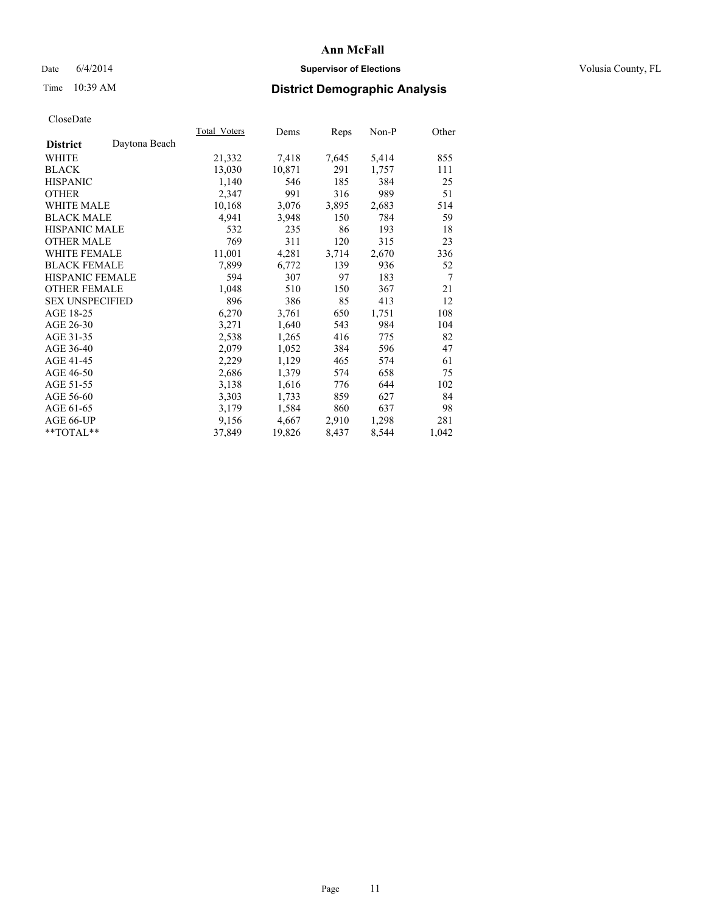## Date 6/4/2014 **Supervisor of Elections Supervisor of Elections** Volusia County, FL

# Time 10:39 AM **District Demographic Analysis**

|                                  | Total Voters | Dems   | Reps  | $Non-P$ | Other  |
|----------------------------------|--------------|--------|-------|---------|--------|
| Daytona Beach<br><b>District</b> |              |        |       |         |        |
| WHITE                            | 21,332       | 7,418  | 7,645 | 5,414   | 855    |
| <b>BLACK</b>                     | 13,030       | 10,871 | 291   | 1,757   | 111    |
| <b>HISPANIC</b>                  | 1,140        | 546    | 185   | 384     | 25     |
| <b>OTHER</b>                     | 2,347        | 991    | 316   | 989     | 51     |
| <b>WHITE MALE</b>                | 10,168       | 3,076  | 3,895 | 2,683   | 514    |
| <b>BLACK MALE</b>                | 4,941        | 3,948  | 150   | 784     | 59     |
| <b>HISPANIC MALE</b>             | 532          | 235    | 86    | 193     | 18     |
| <b>OTHER MALE</b>                | 769          | 311    | 120   | 315     | 23     |
| <b>WHITE FEMALE</b>              | 11,001       | 4,281  | 3,714 | 2,670   | 336    |
| <b>BLACK FEMALE</b>              | 7,899        | 6,772  | 139   | 936     | 52     |
| HISPANIC FEMALE                  | 594          | 307    | 97    | 183     | $\tau$ |
| <b>OTHER FEMALE</b>              | 1,048        | 510    | 150   | 367     | 21     |
| <b>SEX UNSPECIFIED</b>           | 896          | 386    | 85    | 413     | 12     |
| AGE 18-25                        | 6,270        | 3,761  | 650   | 1,751   | 108    |
| AGE 26-30                        | 3,271        | 1,640  | 543   | 984     | 104    |
| AGE 31-35                        | 2,538        | 1,265  | 416   | 775     | 82     |
| AGE 36-40                        | 2,079        | 1,052  | 384   | 596     | 47     |
| AGE 41-45                        | 2,229        | 1,129  | 465   | 574     | 61     |
| AGE 46-50                        | 2,686        | 1,379  | 574   | 658     | 75     |
| AGE 51-55                        | 3,138        | 1,616  | 776   | 644     | 102    |
| AGE 56-60                        | 3,303        | 1,733  | 859   | 627     | 84     |
| AGE 61-65                        | 3,179        | 1,584  | 860   | 637     | 98     |
| AGE 66-UP                        | 9,156        | 4,667  | 2,910 | 1,298   | 281    |
| $*$ $TOTAL**$                    | 37,849       | 19,826 | 8,437 | 8,544   | 1,042  |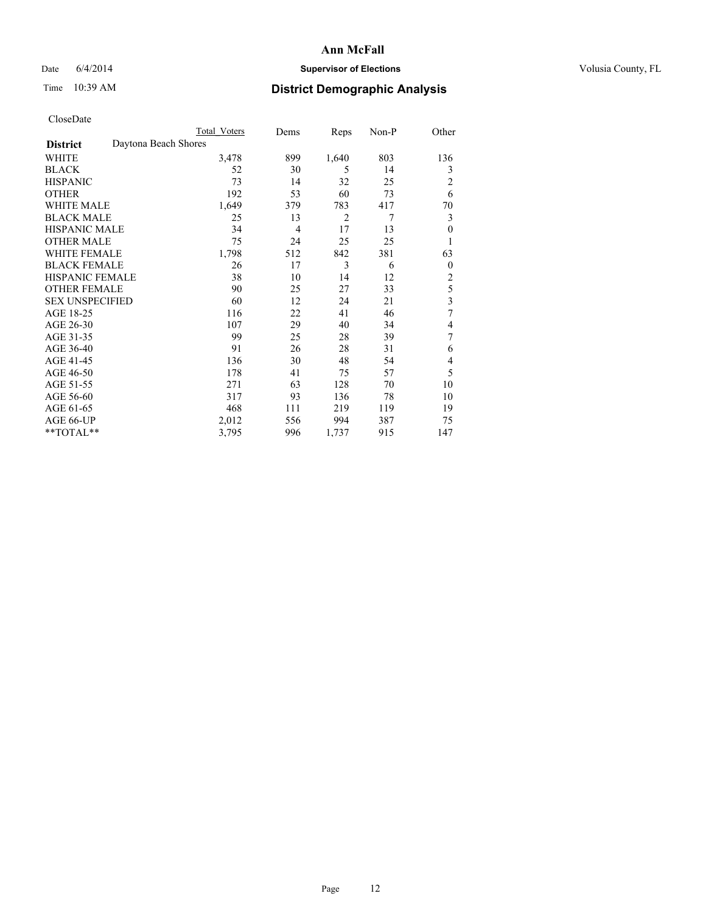## Date 6/4/2014 **Supervisor of Elections Supervisor of Elections** Volusia County, FL

# Time 10:39 AM **District Demographic Analysis**

|                        | <b>Total Voters</b>  | Dems           | Reps           | Non-P | Other          |
|------------------------|----------------------|----------------|----------------|-------|----------------|
| <b>District</b>        | Daytona Beach Shores |                |                |       |                |
| WHITE                  | 3,478                | 899            | 1,640          | 803   | 136            |
| <b>BLACK</b>           | 52                   | 30             | 5              | 14    | 3              |
| <b>HISPANIC</b>        | 73                   | 14             | 32             | 25    | $\overline{c}$ |
| <b>OTHER</b>           | 192                  | 53             | 60             | 73    | 6              |
| WHITE MALE             | 1,649                | 379            | 783            | 417   | 70             |
| <b>BLACK MALE</b>      | 25                   | 13             | $\overline{2}$ | 7     | 3              |
| <b>HISPANIC MALE</b>   | 34                   | $\overline{4}$ | 17             | 13    | $\mathbf{0}$   |
| <b>OTHER MALE</b>      | 75                   | 24             | 25             | 25    | 1              |
| WHITE FEMALE           | 1,798                | 512            | 842            | 381   | 63             |
| <b>BLACK FEMALE</b>    | 26                   | 17             | 3              | 6     | $\overline{0}$ |
| <b>HISPANIC FEMALE</b> | 38                   | 10             | 14             | 12    | $\overline{c}$ |
| <b>OTHER FEMALE</b>    | 90                   | 25             | 27             | 33    | 5              |
| <b>SEX UNSPECIFIED</b> | 60                   | 12             | 24             | 21    | 3              |
| AGE 18-25              | 116                  | 22             | 41             | 46    | 7              |
| AGE 26-30              | 107                  | 29             | 40             | 34    | 4              |
| AGE 31-35              | 99                   | 25             | 28             | 39    | 7              |
| AGE 36-40              | 91                   | 26             | 28             | 31    | 6              |
| AGE 41-45              | 136                  | 30             | 48             | 54    | 4              |
| AGE 46-50              | 178                  | 41             | 75             | 57    | 5              |
| AGE 51-55              | 271                  | 63             | 128            | 70    | 10             |
| AGE 56-60              | 317                  | 93             | 136            | 78    | 10             |
| AGE 61-65              | 468                  | 111            | 219            | 119   | 19             |
| AGE 66-UP              | 2,012                | 556            | 994            | 387   | 75             |
| **TOTAL**              | 3,795                | 996            | 1,737          | 915   | 147            |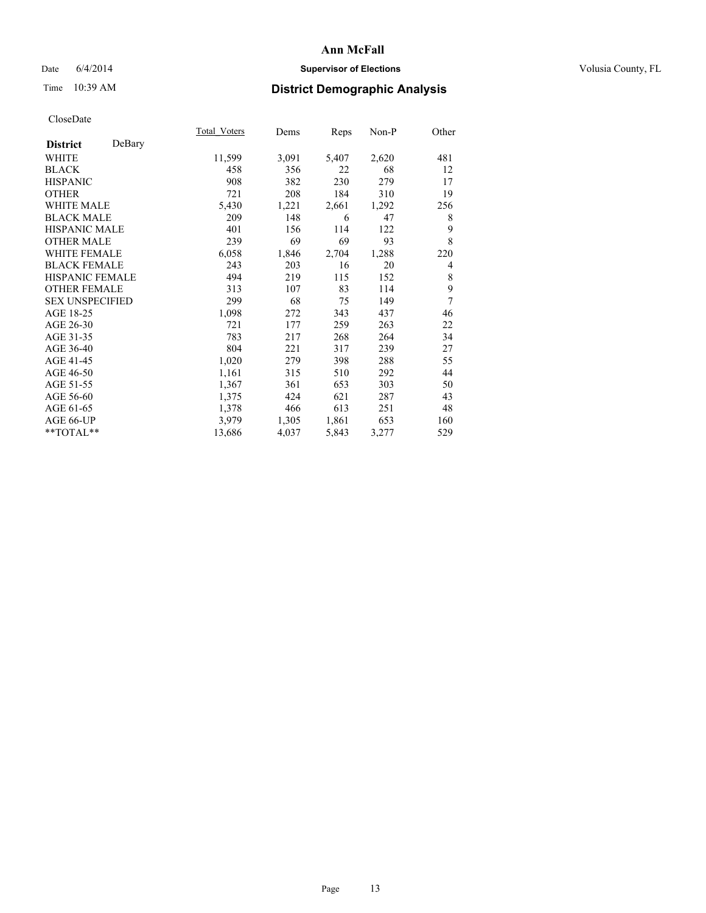## Date 6/4/2014 **Supervisor of Elections Supervisor of Elections** Volusia County, FL

# Time 10:39 AM **District Demographic Analysis**

|                           | Total Voters | Dems  | Reps  | Non-P | Other |
|---------------------------|--------------|-------|-------|-------|-------|
| DeBary<br><b>District</b> |              |       |       |       |       |
| WHITE                     | 11,599       | 3,091 | 5,407 | 2,620 | 481   |
| <b>BLACK</b>              | 458          | 356   | 22    | 68    | 12    |
| <b>HISPANIC</b>           | 908          | 382   | 230   | 279   | 17    |
| OTHER                     | 721          | 208   | 184   | 310   | 19    |
| <b>WHITE MALE</b>         | 5,430        | 1,221 | 2,661 | 1,292 | 256   |
| <b>BLACK MALE</b>         | 209          | 148   | 6     | 47    | 8     |
| <b>HISPANIC MALE</b>      | 401          | 156   | 114   | 122   | 9     |
| OTHER MALE                | 239          | 69    | 69    | 93    | 8     |
| <b>WHITE FEMALE</b>       | 6,058        | 1,846 | 2,704 | 1,288 | 220   |
| <b>BLACK FEMALE</b>       | 243          | 203   | 16    | 20    | 4     |
| <b>HISPANIC FEMALE</b>    | 494          | 219   | 115   | 152   | 8     |
| <b>OTHER FEMALE</b>       | 313          | 107   | 83    | 114   | 9     |
| <b>SEX UNSPECIFIED</b>    | 299          | 68    | 75    | 149   | 7     |
| AGE 18-25                 | 1,098        | 272   | 343   | 437   | 46    |
| AGE 26-30                 | 721          | 177   | 259   | 263   | 22    |
| AGE 31-35                 | 783          | 217   | 268   | 264   | 34    |
| AGE 36-40                 | 804          | 221   | 317   | 239   | 27    |
| AGE 41-45                 | 1,020        | 279   | 398   | 288   | 55    |
| AGE 46-50                 | 1,161        | 315   | 510   | 292   | 44    |
| AGE 51-55                 | 1,367        | 361   | 653   | 303   | 50    |
| AGE 56-60                 | 1,375        | 424   | 621   | 287   | 43    |
| AGE 61-65                 | 1,378        | 466   | 613   | 251   | 48    |
| AGE 66-UP                 | 3,979        | 1,305 | 1,861 | 653   | 160   |
| **TOTAL**                 | 13,686       | 4,037 | 5,843 | 3,277 | 529   |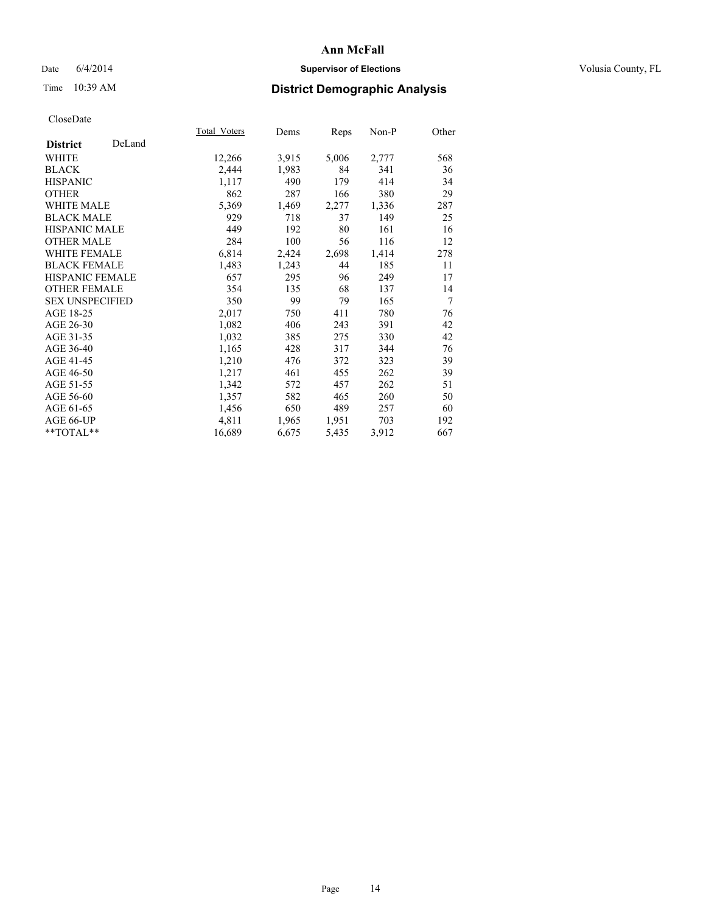## Date 6/4/2014 **Supervisor of Elections Supervisor of Elections** Volusia County, FL

# Time 10:39 AM **District Demographic Analysis**

|                        |        | <b>Total Voters</b> | Dems  | <b>Reps</b> | $Non-P$ | Other          |
|------------------------|--------|---------------------|-------|-------------|---------|----------------|
| <b>District</b>        | DeLand |                     |       |             |         |                |
| WHITE                  |        | 12,266              | 3,915 | 5,006       | 2,777   | 568            |
| <b>BLACK</b>           |        | 2,444               | 1,983 | 84          | 341     | 36             |
| <b>HISPANIC</b>        |        | 1,117               | 490   | 179         | 414     | 34             |
| OTHER                  |        | 862                 | 287   | 166         | 380     | 29             |
| WHITE MALE             |        | 5,369               | 1,469 | 2,277       | 1,336   | 287            |
| <b>BLACK MALE</b>      |        | 929                 | 718   | 37          | 149     | 25             |
| <b>HISPANIC MALE</b>   |        | 449                 | 192   | 80          | 161     | 16             |
| OTHER MALE             |        | 284                 | 100   | 56          | 116     | 12             |
| <b>WHITE FEMALE</b>    |        | 6,814               | 2,424 | 2,698       | 1,414   | 278            |
| <b>BLACK FEMALE</b>    |        | 1,483               | 1,243 | 44          | 185     | 11             |
| <b>HISPANIC FEMALE</b> |        | 657                 | 295   | 96          | 249     | 17             |
| <b>OTHER FEMALE</b>    |        | 354                 | 135   | 68          | 137     | 14             |
| <b>SEX UNSPECIFIED</b> |        | 350                 | 99    | 79          | 165     | $\overline{7}$ |
| AGE 18-25              |        | 2,017               | 750   | 411         | 780     | 76             |
| AGE 26-30              |        | 1,082               | 406   | 243         | 391     | 42             |
| AGE 31-35              |        | 1,032               | 385   | 275         | 330     | 42             |
| AGE 36-40              |        | 1,165               | 428   | 317         | 344     | 76             |
| AGE 41-45              |        | 1,210               | 476   | 372         | 323     | 39             |
| AGE 46-50              |        | 1,217               | 461   | 455         | 262     | 39             |
| AGE 51-55              |        | 1,342               | 572   | 457         | 262     | 51             |
| AGE 56-60              |        | 1,357               | 582   | 465         | 260     | 50             |
| AGE 61-65              |        | 1,456               | 650   | 489         | 257     | 60             |
| AGE 66-UP              |        | 4,811               | 1,965 | 1,951       | 703     | 192            |
| $*$ $TOTAL**$          |        | 16,689              | 6,675 | 5,435       | 3,912   | 667            |
|                        |        |                     |       |             |         |                |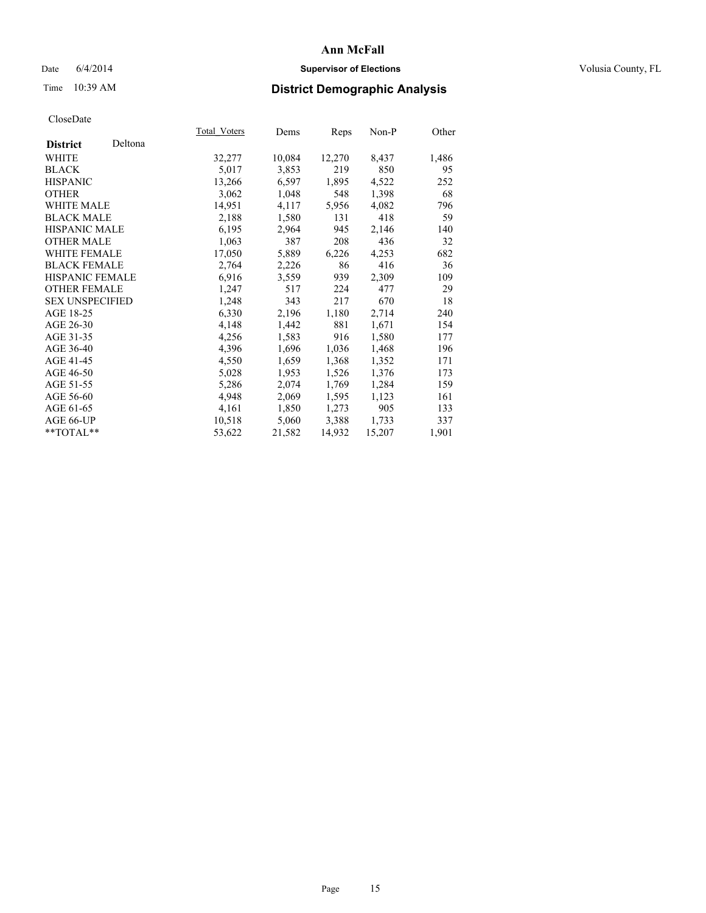## Date 6/4/2014 **Supervisor of Elections Supervisor of Elections** Volusia County, FL

# Time 10:39 AM **District Demographic Analysis**

|                        |         | Total Voters | Dems   | Reps   | Non-P  | Other |
|------------------------|---------|--------------|--------|--------|--------|-------|
| <b>District</b>        | Deltona |              |        |        |        |       |
| WHITE                  |         | 32,277       | 10,084 | 12,270 | 8,437  | 1,486 |
| <b>BLACK</b>           |         | 5,017        | 3,853  | 219    | 850    | 95    |
| <b>HISPANIC</b>        |         | 13,266       | 6,597  | 1,895  | 4,522  | 252   |
| <b>OTHER</b>           |         | 3,062        | 1,048  | 548    | 1,398  | 68    |
| WHITE MALE             |         | 14,951       | 4,117  | 5,956  | 4,082  | 796   |
| <b>BLACK MALE</b>      |         | 2,188        | 1,580  | 131    | 418    | 59    |
| <b>HISPANIC MALE</b>   |         | 6,195        | 2,964  | 945    | 2,146  | 140   |
| OTHER MALE             |         | 1,063        | 387    | 208    | 436    | 32    |
| <b>WHITE FEMALE</b>    |         | 17,050       | 5,889  | 6,226  | 4,253  | 682   |
| <b>BLACK FEMALE</b>    |         | 2,764        | 2,226  | 86     | 416    | 36    |
| HISPANIC FEMALE        |         | 6.916        | 3,559  | 939    | 2,309  | 109   |
| <b>OTHER FEMALE</b>    |         | 1,247        | 517    | 224    | 477    | 29    |
| <b>SEX UNSPECIFIED</b> |         | 1,248        | 343    | 217    | 670    | 18    |
| AGE 18-25              |         | 6,330        | 2,196  | 1,180  | 2,714  | 240   |
| AGE 26-30              |         | 4,148        | 1,442  | 881    | 1,671  | 154   |
| AGE 31-35              |         | 4,256        | 1,583  | 916    | 1,580  | 177   |
| AGE 36-40              |         | 4,396        | 1,696  | 1,036  | 1,468  | 196   |
| AGE 41-45              |         | 4,550        | 1,659  | 1,368  | 1,352  | 171   |
| AGE 46-50              |         | 5,028        | 1,953  | 1,526  | 1,376  | 173   |
| AGE 51-55              |         | 5,286        | 2,074  | 1,769  | 1,284  | 159   |
| AGE 56-60              |         | 4,948        | 2,069  | 1,595  | 1,123  | 161   |
| AGE 61-65              |         | 4,161        | 1,850  | 1,273  | 905    | 133   |
| AGE 66-UP              |         | 10,518       | 5,060  | 3.388  | 1,733  | 337   |
| $*$ $TOTAL**$          |         | 53,622       | 21,582 | 14,932 | 15,207 | 1,901 |
|                        |         |              |        |        |        |       |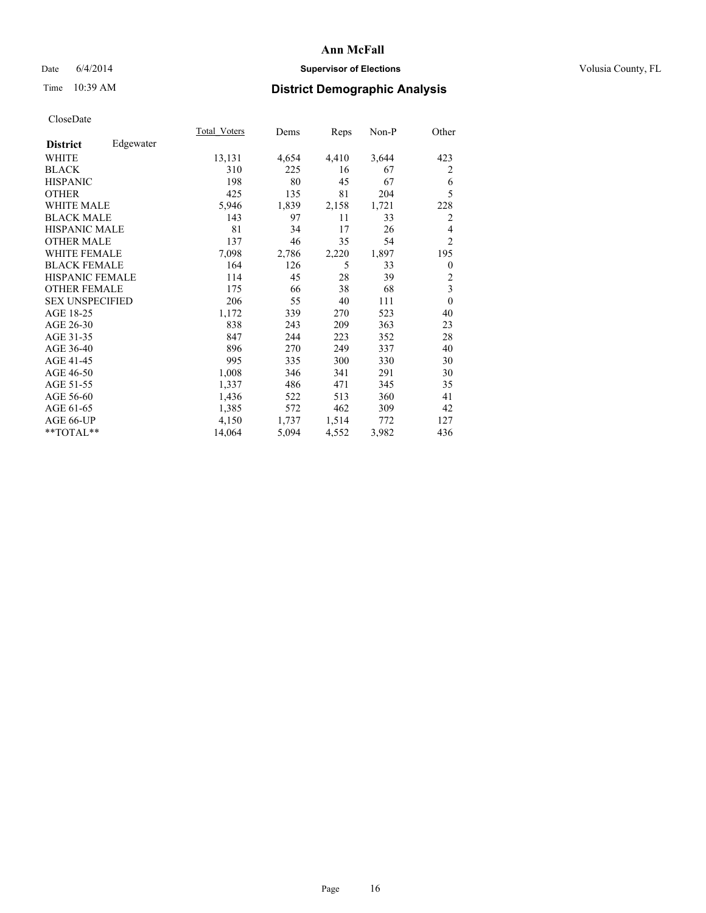## Date 6/4/2014 **Supervisor of Elections Supervisor of Elections** Volusia County, FL

# Time 10:39 AM **District Demographic Analysis**

|                        |           | Total Voters | Dems  | <b>Reps</b> | Non-P | Other          |
|------------------------|-----------|--------------|-------|-------------|-------|----------------|
| <b>District</b>        | Edgewater |              |       |             |       |                |
| WHITE                  |           | 13,131       | 4,654 | 4,410       | 3,644 | 423            |
| <b>BLACK</b>           |           | 310          | 225   | 16          | 67    | 2              |
| <b>HISPANIC</b>        |           | 198          | 80    | 45          | 67    | 6              |
| <b>OTHER</b>           |           | 425          | 135   | 81          | 204   | 5              |
| <b>WHITE MALE</b>      |           | 5,946        | 1,839 | 2,158       | 1,721 | 228            |
| <b>BLACK MALE</b>      |           | 143          | 97    | 11          | 33    | 2              |
| <b>HISPANIC MALE</b>   |           | 81           | 34    | 17          | 26    | 4              |
| <b>OTHER MALE</b>      |           | 137          | 46    | 35          | 54    | $\overline{2}$ |
| <b>WHITE FEMALE</b>    |           | 7,098        | 2,786 | 2,220       | 1,897 | 195            |
| <b>BLACK FEMALE</b>    |           | 164          | 126   | 5           | 33    | $\theta$       |
| <b>HISPANIC FEMALE</b> |           | 114          | 45    | 28          | 39    | 2              |
| <b>OTHER FEMALE</b>    |           | 175          | 66    | 38          | 68    | $\overline{3}$ |
| <b>SEX UNSPECIFIED</b> |           | 206          | 55    | 40          | 111   | $\overline{0}$ |
| AGE 18-25              |           | 1,172        | 339   | 270         | 523   | 40             |
| AGE 26-30              |           | 838          | 243   | 209         | 363   | 23             |
| AGE 31-35              |           | 847          | 244   | 223         | 352   | 28             |
| AGE 36-40              |           | 896          | 270   | 249         | 337   | 40             |
| AGE 41-45              |           | 995          | 335   | 300         | 330   | 30             |
| AGE 46-50              |           | 1,008        | 346   | 341         | 291   | 30             |
| AGE 51-55              |           | 1,337        | 486   | 471         | 345   | 35             |
| AGE 56-60              |           | 1,436        | 522   | 513         | 360   | 41             |
| AGE 61-65              |           | 1,385        | 572   | 462         | 309   | 42             |
| AGE 66-UP              |           | 4,150        | 1,737 | 1,514       | 772   | 127            |
| **TOTAL**              |           | 14,064       | 5,094 | 4,552       | 3,982 | 436            |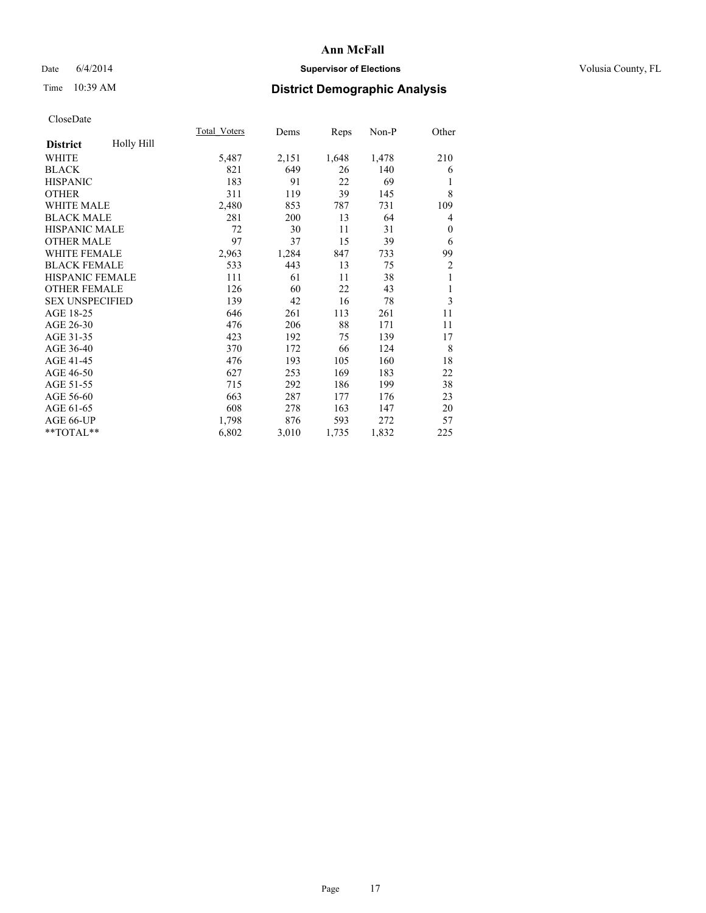## Date 6/4/2014 **Supervisor of Elections Supervisor of Elections** Volusia County, FL

# Time 10:39 AM **District Demographic Analysis**

|                        |            | Total Voters | Dems  | Reps  | $Non-P$ | Other          |
|------------------------|------------|--------------|-------|-------|---------|----------------|
| <b>District</b>        | Holly Hill |              |       |       |         |                |
| <b>WHITE</b>           |            | 5,487        | 2,151 | 1,648 | 1,478   | 210            |
| <b>BLACK</b>           |            | 821          | 649   | 26    | 140     | 6              |
| <b>HISPANIC</b>        |            | 183          | 91    | 22    | 69      | 1              |
| <b>OTHER</b>           |            | 311          | 119   | 39    | 145     | 8              |
| WHITE MALE             |            | 2,480        | 853   | 787   | 731     | 109            |
| <b>BLACK MALE</b>      |            | 281          | 200   | 13    | 64      | 4              |
| <b>HISPANIC MALE</b>   |            | 72           | 30    | 11    | 31      | $\mathbf{0}$   |
| <b>OTHER MALE</b>      |            | 97           | 37    | 15    | 39      | 6              |
| <b>WHITE FEMALE</b>    |            | 2,963        | 1,284 | 847   | 733     | 99             |
| <b>BLACK FEMALE</b>    |            | 533          | 443   | 13    | 75      | $\overline{c}$ |
| HISPANIC FEMALE        |            | 111          | 61    | 11    | 38      | 1              |
| <b>OTHER FEMALE</b>    |            | 126          | 60    | 22    | 43      | 1              |
| <b>SEX UNSPECIFIED</b> |            | 139          | 42    | 16    | 78      | 3              |
| AGE 18-25              |            | 646          | 261   | 113   | 261     | 11             |
| AGE 26-30              |            | 476          | 206   | 88    | 171     | 11             |
| AGE 31-35              |            | 423          | 192   | 75    | 139     | 17             |
| AGE 36-40              |            | 370          | 172   | 66    | 124     | 8              |
| AGE 41-45              |            | 476          | 193   | 105   | 160     | 18             |
| AGE 46-50              |            | 627          | 253   | 169   | 183     | 22             |
| AGE 51-55              |            | 715          | 292   | 186   | 199     | 38             |
| AGE 56-60              |            | 663          | 287   | 177   | 176     | 23             |
| AGE 61-65              |            | 608          | 278   | 163   | 147     | 20             |
| AGE 66-UP              |            | 1,798        | 876   | 593   | 272     | 57             |
| **TOTAL**              |            | 6,802        | 3,010 | 1,735 | 1,832   | 225            |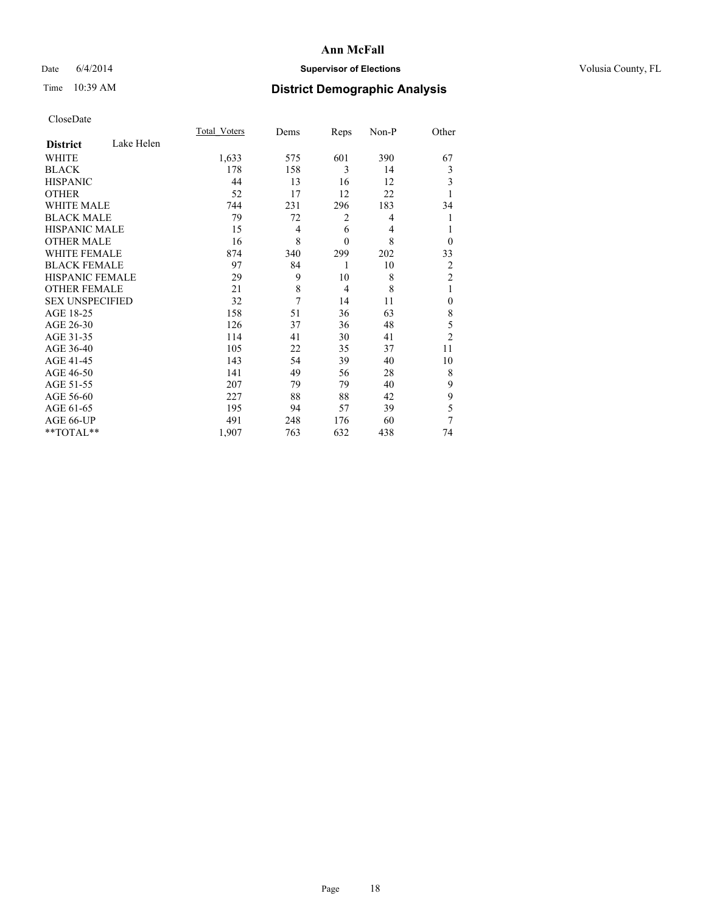## Date 6/4/2014 **Supervisor of Elections Supervisor of Elections** Volusia County, FL

# Time 10:39 AM **District Demographic Analysis**

|                        |            | <b>Total Voters</b> | Dems | Reps           | Non-P | Other          |
|------------------------|------------|---------------------|------|----------------|-------|----------------|
| <b>District</b>        | Lake Helen |                     |      |                |       |                |
| WHITE                  |            | 1,633               | 575  | 601            | 390   | 67             |
| <b>BLACK</b>           |            | 178                 | 158  | 3              | 14    | 3              |
| <b>HISPANIC</b>        |            | 44                  | 13   | 16             | 12    | 3              |
| <b>OTHER</b>           |            | 52                  | 17   | 12             | 22    | 1              |
| <b>WHITE MALE</b>      |            | 744                 | 231  | 296            | 183   | 34             |
| <b>BLACK MALE</b>      |            | 79                  | 72   | 2              | 4     | 1              |
| <b>HISPANIC MALE</b>   |            | 15                  | 4    | 6              | 4     |                |
| <b>OTHER MALE</b>      |            | 16                  | 8    | $\mathbf{0}$   | 8     | $\theta$       |
| WHITE FEMALE           |            | 874                 | 340  | 299            | 202   | 33             |
| <b>BLACK FEMALE</b>    |            | 97                  | 84   | 1              | 10    | 2              |
| <b>HISPANIC FEMALE</b> |            | 29                  | 9    | 10             | 8     | $\overline{2}$ |
| <b>OTHER FEMALE</b>    |            | 21                  | 8    | $\overline{4}$ | 8     | 1              |
| <b>SEX UNSPECIFIED</b> |            | 32                  | 7    | 14             | 11    | $\mathbf{0}$   |
| AGE 18-25              |            | 158                 | 51   | 36             | 63    | 8              |
| AGE 26-30              |            | 126                 | 37   | 36             | 48    | 5              |
| AGE 31-35              |            | 114                 | 41   | 30             | 41    | $\overline{2}$ |
| AGE 36-40              |            | 105                 | 22   | 35             | 37    | 11             |
| AGE 41-45              |            | 143                 | 54   | 39             | 40    | 10             |
| AGE 46-50              |            | 141                 | 49   | 56             | 28    | 8              |
| AGE 51-55              |            | 207                 | 79   | 79             | 40    | 9              |
| AGE 56-60              |            | 227                 | 88   | 88             | 42    | 9              |
| AGE 61-65              |            | 195                 | 94   | 57             | 39    | 5              |
| AGE 66-UP              |            | 491                 | 248  | 176            | 60    | 7              |
| **TOTAL**              |            | 1,907               | 763  | 632            | 438   | 74             |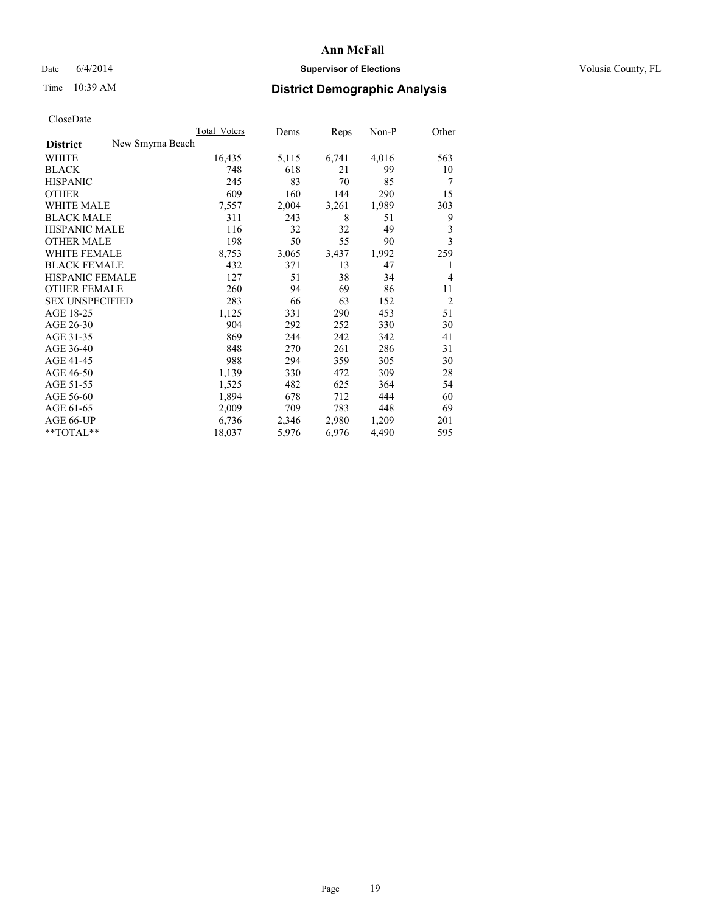## Date 6/4/2014 **Supervisor of Elections Supervisor of Elections** Volusia County, FL

# Time 10:39 AM **District Demographic Analysis**

|                        |                  | <b>Total Voters</b> | Dems  | Reps  | $Non-P$ | Other          |
|------------------------|------------------|---------------------|-------|-------|---------|----------------|
| <b>District</b>        | New Smyrna Beach |                     |       |       |         |                |
| WHITE                  |                  | 16,435              | 5,115 | 6,741 | 4,016   | 563            |
| <b>BLACK</b>           |                  | 748                 | 618   | 21    | 99      | 10             |
| <b>HISPANIC</b>        |                  | 245                 | 83    | 70    | 85      | 7              |
| <b>OTHER</b>           |                  | 609                 | 160   | 144   | 290     | 15             |
| WHITE MALE             |                  | 7,557               | 2,004 | 3,261 | 1,989   | 303            |
| <b>BLACK MALE</b>      |                  | 311                 | 243   | 8     | 51      | 9              |
| <b>HISPANIC MALE</b>   |                  | 116                 | 32    | 32    | 49      | 3              |
| <b>OTHER MALE</b>      |                  | 198                 | 50    | 55    | 90      | 3              |
| WHITE FEMALE           |                  | 8,753               | 3,065 | 3,437 | 1,992   | 259            |
| <b>BLACK FEMALE</b>    |                  | 432                 | 371   | 13    | 47      | 1              |
| HISPANIC FEMALE        |                  | 127                 | 51    | 38    | 34      | 4              |
| <b>OTHER FEMALE</b>    |                  | 260                 | 94    | 69    | 86      | 11             |
| <b>SEX UNSPECIFIED</b> |                  | 283                 | 66    | 63    | 152     | $\overline{2}$ |
| AGE 18-25              |                  | 1,125               | 331   | 290   | 453     | 51             |
| AGE 26-30              |                  | 904                 | 292   | 252   | 330     | 30             |
| AGE 31-35              |                  | 869                 | 244   | 242   | 342     | 41             |
| AGE 36-40              |                  | 848                 | 270   | 261   | 286     | 31             |
| AGE 41-45              |                  | 988                 | 294   | 359   | 305     | 30             |
| AGE 46-50              |                  | 1,139               | 330   | 472   | 309     | 28             |
| AGE 51-55              |                  | 1,525               | 482   | 625   | 364     | 54             |
| AGE 56-60              |                  | 1,894               | 678   | 712   | 444     | 60             |
| AGE 61-65              |                  | 2,009               | 709   | 783   | 448     | 69             |
| AGE 66-UP              |                  | 6,736               | 2,346 | 2,980 | 1,209   | 201            |
| $*$ TOTAL $*$          |                  | 18,037              | 5,976 | 6,976 | 4,490   | 595            |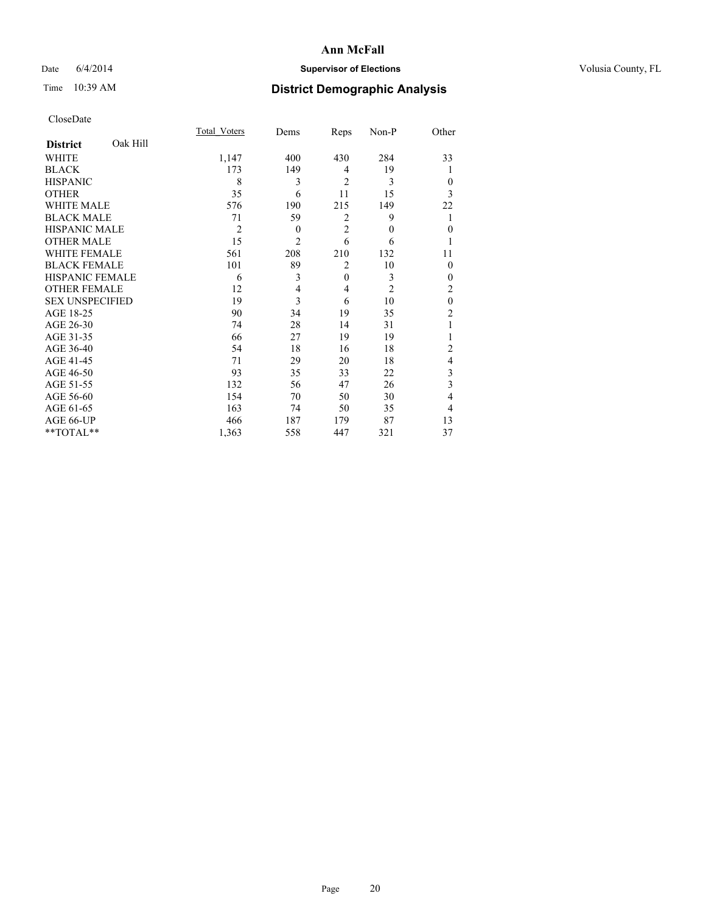## Date 6/4/2014 **Supervisor of Elections Supervisor of Elections** Volusia County, FL

# Time 10:39 AM **District Demographic Analysis**

|                        |          | Total Voters   | Dems           | Reps           | Non-P        | Other          |
|------------------------|----------|----------------|----------------|----------------|--------------|----------------|
| <b>District</b>        | Oak Hill |                |                |                |              |                |
| WHITE                  |          | 1,147          | 400            | 430            | 284          | 33             |
| <b>BLACK</b>           |          | 173            | 149            | 4              | 19           |                |
| <b>HISPANIC</b>        |          | 8              | 3              | $\overline{2}$ | 3            | $\theta$       |
| <b>OTHER</b>           |          | 35             | 6              | 11             | 15           | 3              |
| WHITE MALE             |          | 576            | 190            | 215            | 149          | 22             |
| <b>BLACK MALE</b>      |          | 71             | 59             | 2              | 9            | 1              |
| <b>HISPANIC MALE</b>   |          | $\overline{2}$ | $\theta$       | $\overline{2}$ | $\mathbf{0}$ | $\mathbf{0}$   |
| <b>OTHER MALE</b>      |          | 15             | $\overline{2}$ | 6              | 6            | 1              |
| <b>WHITE FEMALE</b>    |          | 561            | 208            | 210            | 132          | 11             |
| <b>BLACK FEMALE</b>    |          | 101            | 89             | $\overline{2}$ | 10           | $\theta$       |
| <b>HISPANIC FEMALE</b> |          | 6              | 3              | $\mathbf{0}$   | 3            | $\theta$       |
| <b>OTHER FEMALE</b>    |          | 12             | 4              | 4              | 2            | $\overline{c}$ |
| <b>SEX UNSPECIFIED</b> |          | 19             | $\overline{3}$ | 6              | 10           | $\mathbf{0}$   |
| AGE 18-25              |          | 90             | 34             | 19             | 35           | $\overline{c}$ |
| AGE 26-30              |          | 74             | 28             | 14             | 31           | 1              |
| AGE 31-35              |          | 66             | 27             | 19             | 19           |                |
| AGE 36-40              |          | 54             | 18             | 16             | 18           | $\overline{c}$ |
| AGE 41-45              |          | 71             | 29             | 20             | 18           | 4              |
| AGE 46-50              |          | 93             | 35             | 33             | 22           | 3              |
| AGE 51-55              |          | 132            | 56             | 47             | 26           | 3              |
| AGE 56-60              |          | 154            | 70             | 50             | 30           | 4              |
| AGE 61-65              |          | 163            | 74             | 50             | 35           | 4              |
| AGE 66-UP              |          | 466            | 187            | 179            | 87           | 13             |
| **TOTAL**              |          | 1,363          | 558            | 447            | 321          | 37             |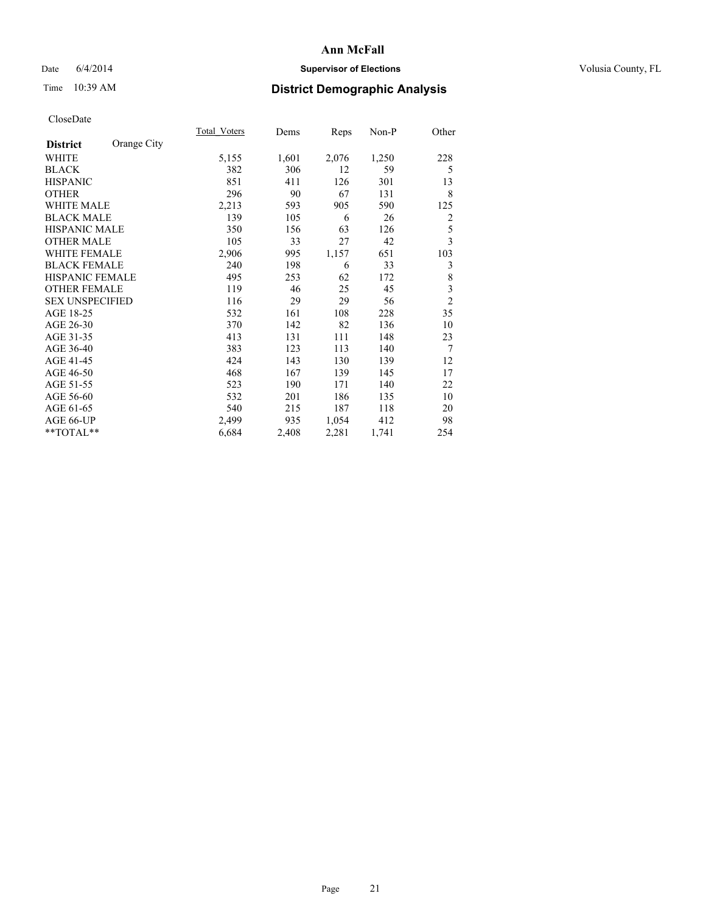## Date 6/4/2014 **Supervisor of Elections Supervisor of Elections** Volusia County, FL

# Time 10:39 AM **District Demographic Analysis**

|                                | Total Voters | Dems  | <b>Reps</b> | Non-P | Other          |
|--------------------------------|--------------|-------|-------------|-------|----------------|
| Orange City<br><b>District</b> |              |       |             |       |                |
| WHITE                          | 5,155        | 1,601 | 2,076       | 1,250 | 228            |
| <b>BLACK</b>                   | 382          | 306   | 12          | 59    | 5              |
| <b>HISPANIC</b>                | 851          | 411   | 126         | 301   | 13             |
| <b>OTHER</b>                   | 296          | 90    | 67          | 131   | 8              |
| <b>WHITE MALE</b>              | 2,213        | 593   | 905         | 590   | 125            |
| <b>BLACK MALE</b>              | 139          | 105   | 6           | 26    | 2              |
| <b>HISPANIC MALE</b>           | 350          | 156   | 63          | 126   | 5              |
| <b>OTHER MALE</b>              | 105          | 33    | 27          | 42    | 3              |
| <b>WHITE FEMALE</b>            | 2,906        | 995   | 1,157       | 651   | 103            |
| <b>BLACK FEMALE</b>            | 240          | 198   | 6           | 33    | 3              |
| <b>HISPANIC FEMALE</b>         | 495          | 253   | 62          | 172   | 8              |
| <b>OTHER FEMALE</b>            | 119          | 46    | 25          | 45    | 3              |
| <b>SEX UNSPECIFIED</b>         | 116          | 29    | 29          | 56    | $\overline{c}$ |
| AGE 18-25                      | 532          | 161   | 108         | 228   | 35             |
| AGE 26-30                      | 370          | 142   | 82          | 136   | 10             |
| AGE 31-35                      | 413          | 131   | 111         | 148   | 23             |
| AGE 36-40                      | 383          | 123   | 113         | 140   | 7              |
| AGE 41-45                      | 424          | 143   | 130         | 139   | 12             |
| AGE 46-50                      | 468          | 167   | 139         | 145   | 17             |
| AGE 51-55                      | 523          | 190   | 171         | 140   | 22             |
| AGE 56-60                      | 532          | 201   | 186         | 135   | 10             |
| AGE 61-65                      | 540          | 215   | 187         | 118   | 20             |
| AGE 66-UP                      | 2,499        | 935   | 1,054       | 412   | 98             |
| **TOTAL**                      | 6,684        | 2,408 | 2,281       | 1,741 | 254            |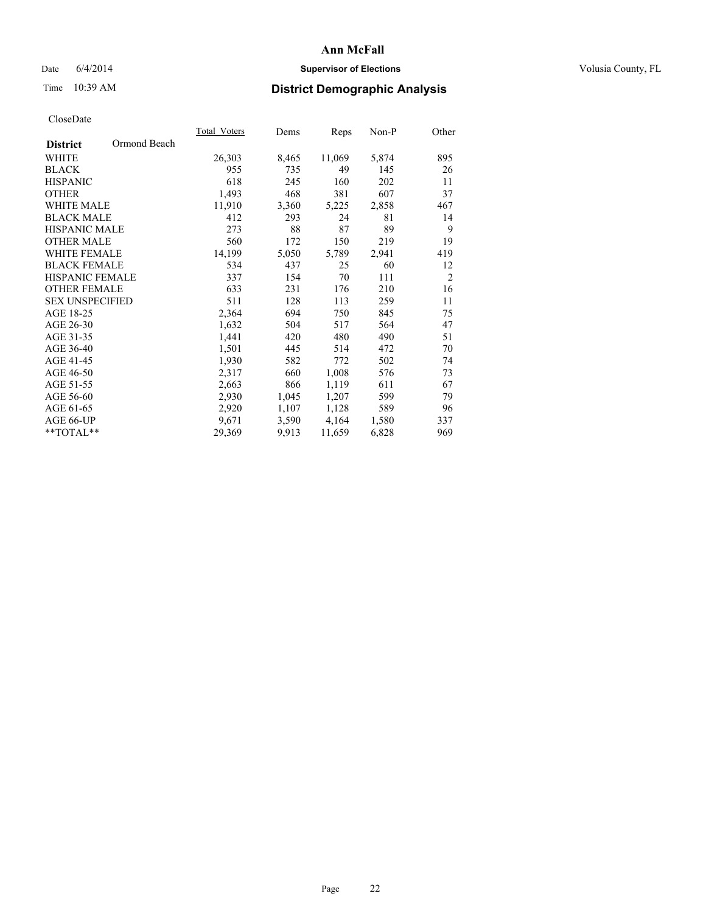## Date 6/4/2014 **Supervisor of Elections Supervisor of Elections** Volusia County, FL

# Time 10:39 AM **District Demographic Analysis**

|                        |              | Total Voters | Dems  | Reps   | Non-P | Other          |
|------------------------|--------------|--------------|-------|--------|-------|----------------|
| <b>District</b>        | Ormond Beach |              |       |        |       |                |
| WHITE                  |              | 26,303       | 8,465 | 11,069 | 5,874 | 895            |
| <b>BLACK</b>           |              | 955          | 735   | 49     | 145   | 26             |
| <b>HISPANIC</b>        |              | 618          | 245   | 160    | 202   | 11             |
| <b>OTHER</b>           |              | 1,493        | 468   | 381    | 607   | 37             |
| <b>WHITE MALE</b>      |              | 11,910       | 3,360 | 5,225  | 2,858 | 467            |
| <b>BLACK MALE</b>      |              | 412          | 293   | 24     | 81    | 14             |
| <b>HISPANIC MALE</b>   |              | 273          | 88    | 87     | 89    | 9              |
| <b>OTHER MALE</b>      |              | 560          | 172   | 150    | 219   | 19             |
| WHITE FEMALE           |              | 14,199       | 5,050 | 5,789  | 2,941 | 419            |
| <b>BLACK FEMALE</b>    |              | 534          | 437   | 25     | 60    | 12             |
| <b>HISPANIC FEMALE</b> |              | 337          | 154   | 70     | 111   | $\overline{2}$ |
| <b>OTHER FEMALE</b>    |              | 633          | 231   | 176    | 210   | 16             |
| <b>SEX UNSPECIFIED</b> |              | 511          | 128   | 113    | 259   | 11             |
| AGE 18-25              |              | 2,364        | 694   | 750    | 845   | 75             |
| AGE 26-30              |              | 1,632        | 504   | 517    | 564   | 47             |
| AGE 31-35              |              | 1,441        | 420   | 480    | 490   | 51             |
| AGE 36-40              |              | 1,501        | 445   | 514    | 472   | 70             |
| AGE 41-45              |              | 1,930        | 582   | 772    | 502   | 74             |
| AGE 46-50              |              | 2,317        | 660   | 1,008  | 576   | 73             |
| AGE 51-55              |              | 2,663        | 866   | 1,119  | 611   | 67             |
| AGE 56-60              |              | 2,930        | 1,045 | 1,207  | 599   | 79             |
| AGE 61-65              |              | 2,920        | 1,107 | 1,128  | 589   | 96             |
| AGE 66-UP              |              | 9,671        | 3,590 | 4,164  | 1,580 | 337            |
| $*$ TOTAL $*$          |              | 29,369       | 9,913 | 11,659 | 6,828 | 969            |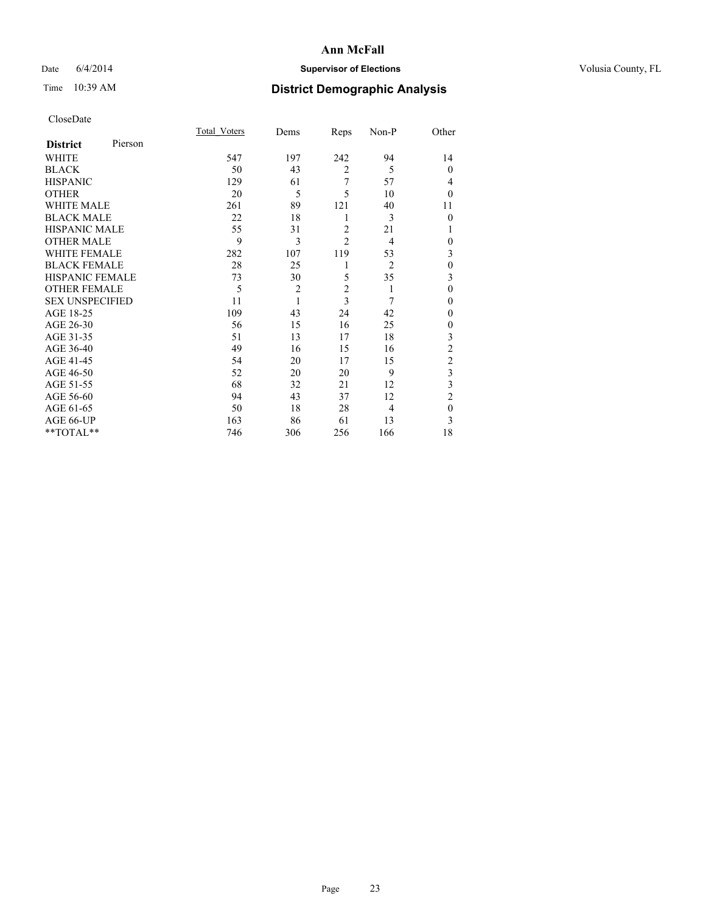## Date 6/4/2014 **Supervisor of Elections Supervisor of Elections** Volusia County, FL

# Time 10:39 AM **District Demographic Analysis**

|                        |         | Total Voters | Dems           | Reps           | Non-P          | Other          |
|------------------------|---------|--------------|----------------|----------------|----------------|----------------|
| <b>District</b>        | Pierson |              |                |                |                |                |
| WHITE                  |         | 547          | 197            | 242            | 94             | 14             |
| <b>BLACK</b>           |         | 50           | 43             | $\overline{c}$ | 5              | $\theta$       |
| <b>HISPANIC</b>        |         | 129          | 61             | 7              | 57             | 4              |
| <b>OTHER</b>           |         | 20           | 5              | 5              | 10             | $\Omega$       |
| WHITE MALE             |         | 261          | 89             | 121            | 40             | 11             |
| <b>BLACK MALE</b>      |         | 22           | 18             | 1              | 3              | $\theta$       |
| <b>HISPANIC MALE</b>   |         | 55           | 31             | $\overline{2}$ | 21             |                |
| <b>OTHER MALE</b>      |         | 9            | 3              | $\overline{c}$ | $\overline{4}$ | $\mathbf{0}$   |
| <b>WHITE FEMALE</b>    |         | 282          | 107            | 119            | 53             | 3              |
| <b>BLACK FEMALE</b>    |         | 28           | 25             | 1              | $\overline{2}$ | $\theta$       |
| HISPANIC FEMALE        |         | 73           | 30             | 5              | 35             | 3              |
| <b>OTHER FEMALE</b>    |         | 5            | $\overline{2}$ | $\overline{2}$ | 1              | $\theta$       |
| <b>SEX UNSPECIFIED</b> |         | 11           | $\mathbf{1}$   | 3              | 7              | $\Omega$       |
| AGE 18-25              |         | 109          | 43             | 24             | 42             | $\Omega$       |
| AGE 26-30              |         | 56           | 15             | 16             | 25             | 0              |
| AGE 31-35              |         | 51           | 13             | 17             | 18             | 3              |
| AGE 36-40              |         | 49           | 16             | 15             | 16             | $\overline{c}$ |
| AGE 41-45              |         | 54           | 20             | 17             | 15             | $\overline{c}$ |
| AGE 46-50              |         | 52           | 20             | 20             | 9              | 3              |
| AGE 51-55              |         | 68           | 32             | 21             | 12             | 3              |
| AGE 56-60              |         | 94           | 43             | 37             | 12             | $\overline{c}$ |
| AGE 61-65              |         | 50           | 18             | 28             | $\overline{4}$ | $\mathbf{0}$   |
| AGE 66-UP              |         | 163          | 86             | 61             | 13             | 3              |
| **TOTAL**              |         | 746          | 306            | 256            | 166            | 18             |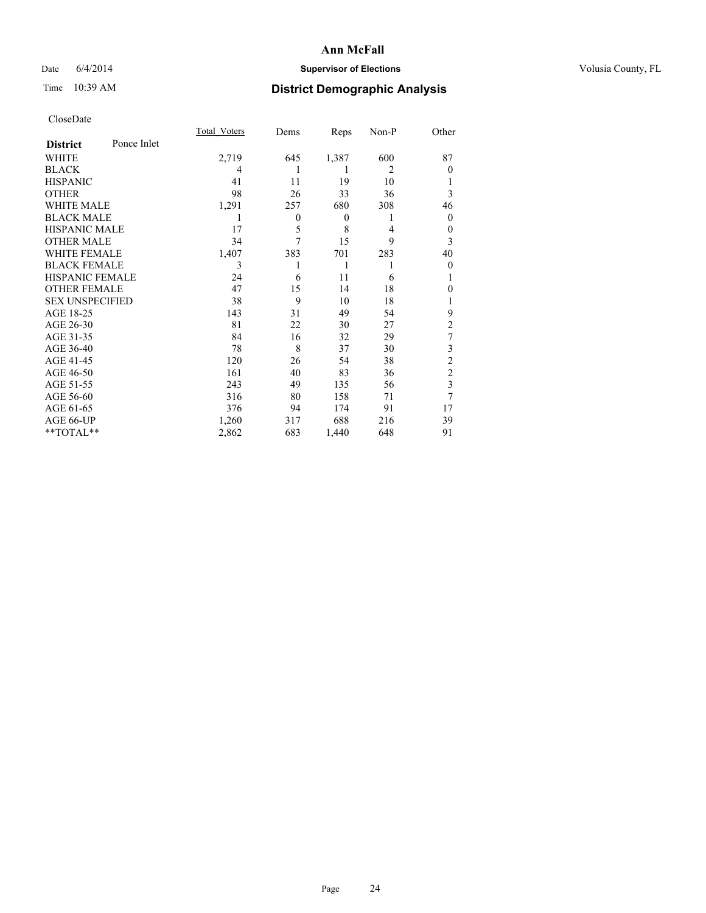## Date 6/4/2014 **Supervisor of Elections Supervisor of Elections** Volusia County, FL

# Time 10:39 AM **District Demographic Analysis**

|                        |             | <b>Total Voters</b> | Dems         | Reps             | Non-P          | Other          |
|------------------------|-------------|---------------------|--------------|------------------|----------------|----------------|
| <b>District</b>        | Ponce Inlet |                     |              |                  |                |                |
| WHITE                  |             | 2,719               | 645          | 1,387            | 600            | 87             |
| <b>BLACK</b>           |             | 4                   |              |                  | $\overline{2}$ | $\theta$       |
| <b>HISPANIC</b>        |             | 41                  | 11           | 19               | 10             |                |
| <b>OTHER</b>           |             | 98                  | 26           | 33               | 36             | 3              |
| WHITE MALE             |             | 1,291               | 257          | 680              | 308            | 46             |
| <b>BLACK MALE</b>      |             | 1                   | $\mathbf{0}$ | $\boldsymbol{0}$ | 1              | $\theta$       |
| <b>HISPANIC MALE</b>   |             | 17                  | 5            | 8                | 4              | 0              |
| <b>OTHER MALE</b>      |             | 34                  | 7            | 15               | 9              | 3              |
| <b>WHITE FEMALE</b>    |             | 1,407               | 383          | 701              | 283            | 40             |
| <b>BLACK FEMALE</b>    |             | 3                   | 1            | 1                |                | $\theta$       |
| <b>HISPANIC FEMALE</b> |             | 24                  | 6            | 11               | 6              |                |
| <b>OTHER FEMALE</b>    |             | 47                  | 15           | 14               | 18             | 0              |
| <b>SEX UNSPECIFIED</b> |             | 38                  | 9            | 10               | 18             |                |
| AGE 18-25              |             | 143                 | 31           | 49               | 54             | 9              |
| AGE 26-30              |             | 81                  | 22           | 30               | 27             | $\overline{c}$ |
| AGE 31-35              |             | 84                  | 16           | 32               | 29             | 7              |
| AGE 36-40              |             | 78                  | 8            | 37               | 30             | 3              |
| AGE 41-45              |             | 120                 | 26           | 54               | 38             | $\overline{c}$ |
| AGE 46-50              |             | 161                 | 40           | 83               | 36             | $\overline{2}$ |
| AGE 51-55              |             | 243                 | 49           | 135              | 56             | 3              |
| AGE 56-60              |             | 316                 | 80           | 158              | 71             | 7              |
| AGE 61-65              |             | 376                 | 94           | 174              | 91             | 17             |
| AGE 66-UP              |             | 1,260               | 317          | 688              | 216            | 39             |
| **TOTAL**              |             | 2,862               | 683          | 1,440            | 648            | 91             |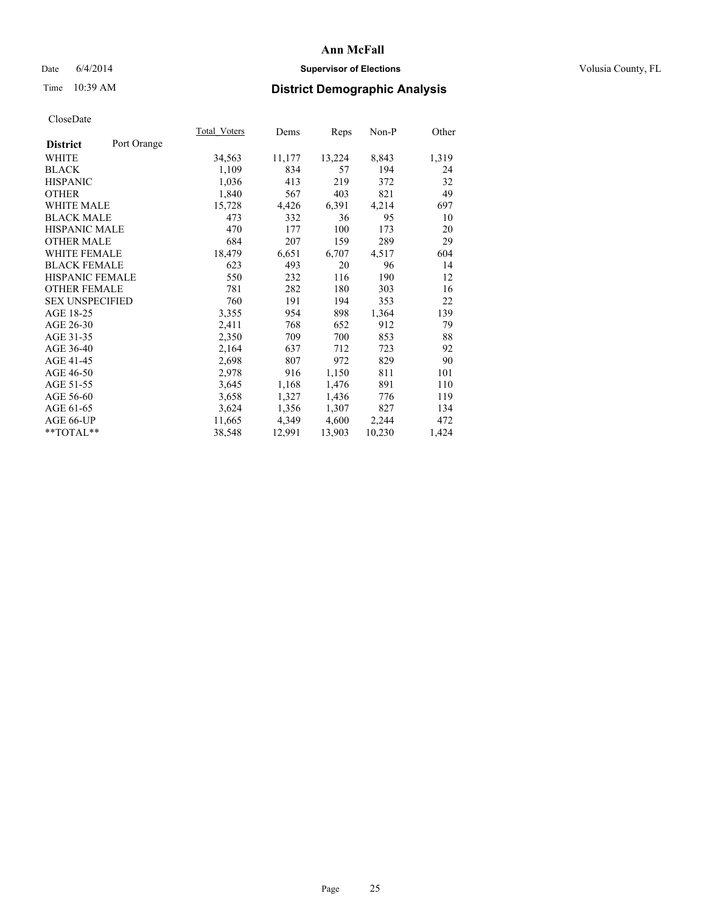## Date 6/4/2014 **Supervisor of Elections Supervisor of Elections** Volusia County, FL

# Time 10:39 AM **District Demographic Analysis**

|                        |             | Total Voters | Dems   | <b>Reps</b> | Non-P  | Other |
|------------------------|-------------|--------------|--------|-------------|--------|-------|
| <b>District</b>        | Port Orange |              |        |             |        |       |
| WHITE                  |             | 34,563       | 11,177 | 13,224      | 8,843  | 1,319 |
| <b>BLACK</b>           |             | 1,109        | 834    | 57          | 194    | 24    |
| <b>HISPANIC</b>        |             | 1,036        | 413    | 219         | 372    | 32    |
| <b>OTHER</b>           |             | 1,840        | 567    | 403         | 821    | 49    |
| WHITE MALE             |             | 15,728       | 4,426  | 6,391       | 4,214  | 697   |
| <b>BLACK MALE</b>      |             | 473          | 332    | 36          | 95     | 10    |
| <b>HISPANIC MALE</b>   |             | 470          | 177    | 100         | 173    | 20    |
| <b>OTHER MALE</b>      |             | 684          | 207    | 159         | 289    | 29    |
| <b>WHITE FEMALE</b>    |             | 18,479       | 6,651  | 6,707       | 4,517  | 604   |
| <b>BLACK FEMALE</b>    |             | 623          | 493    | 20          | 96     | 14    |
| <b>HISPANIC FEMALE</b> |             | 550          | 232    | 116         | 190    | 12    |
| <b>OTHER FEMALE</b>    |             | 781          | 282    | 180         | 303    | 16    |
| <b>SEX UNSPECIFIED</b> |             | 760          | 191    | 194         | 353    | 22    |
| AGE 18-25              |             | 3,355        | 954    | 898         | 1,364  | 139   |
| AGE 26-30              |             | 2,411        | 768    | 652         | 912    | 79    |
| AGE 31-35              |             | 2,350        | 709    | 700         | 853    | 88    |
| AGE 36-40              |             | 2,164        | 637    | 712         | 723    | 92    |
| AGE 41-45              |             | 2,698        | 807    | 972         | 829    | 90    |
| AGE 46-50              |             | 2,978        | 916    | 1,150       | 811    | 101   |
| AGE 51-55              |             | 3,645        | 1,168  | 1,476       | 891    | 110   |
| AGE 56-60              |             | 3,658        | 1,327  | 1,436       | 776    | 119   |
| AGE 61-65              |             | 3,624        | 1,356  | 1,307       | 827    | 134   |
| AGE 66-UP              |             | 11,665       | 4,349  | 4,600       | 2,244  | 472   |
| $*$ TOTAL $*$          |             | 38,548       | 12,991 | 13,903      | 10,230 | 1,424 |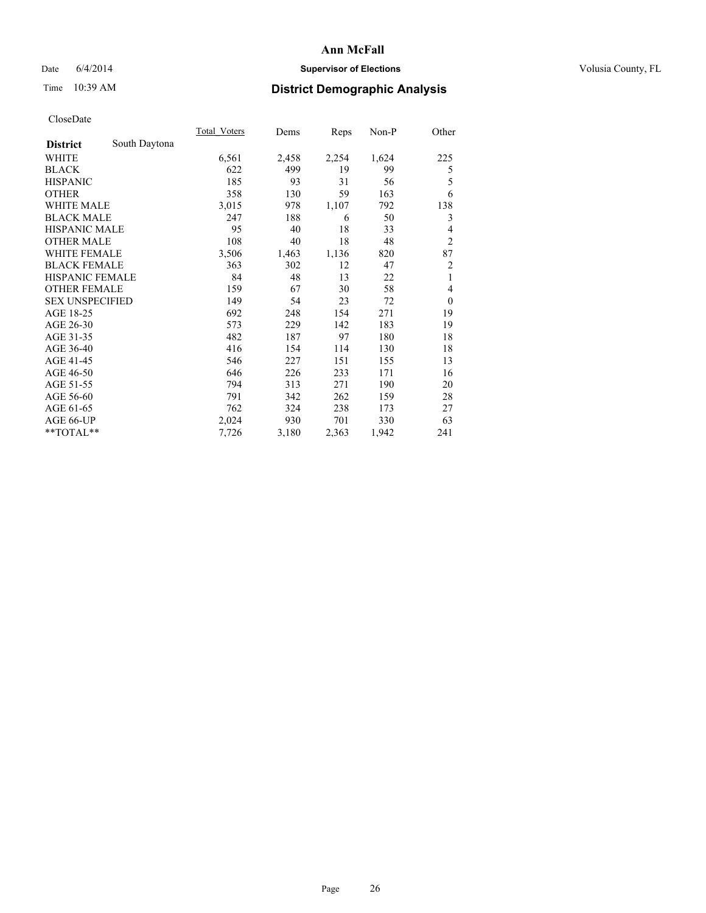## Date 6/4/2014 **Supervisor of Elections Supervisor of Elections** Volusia County, FL

# Time 10:39 AM **District Demographic Analysis**

|                        |               | Total Voters | Dems  | Reps  | Non-P | Other            |
|------------------------|---------------|--------------|-------|-------|-------|------------------|
| <b>District</b>        | South Daytona |              |       |       |       |                  |
| WHITE                  |               | 6,561        | 2,458 | 2,254 | 1,624 | 225              |
| <b>BLACK</b>           |               | 622          | 499   | 19    | 99    | 5                |
| <b>HISPANIC</b>        |               | 185          | 93    | 31    | 56    | 5                |
| <b>OTHER</b>           |               | 358          | 130   | 59    | 163   | 6                |
| <b>WHITE MALE</b>      |               | 3,015        | 978   | 1,107 | 792   | 138              |
| <b>BLACK MALE</b>      |               | 247          | 188   | 6     | 50    | 3                |
| <b>HISPANIC MALE</b>   |               | 95           | 40    | 18    | 33    | 4                |
| <b>OTHER MALE</b>      |               | 108          | 40    | 18    | 48    | $\overline{2}$   |
| <b>WHITE FEMALE</b>    |               | 3,506        | 1,463 | 1,136 | 820   | 87               |
| <b>BLACK FEMALE</b>    |               | 363          | 302   | 12    | 47    | $\overline{2}$   |
| <b>HISPANIC FEMALE</b> |               | 84           | 48    | 13    | 22    | 1                |
| <b>OTHER FEMALE</b>    |               | 159          | 67    | 30    | 58    | 4                |
| <b>SEX UNSPECIFIED</b> |               | 149          | 54    | 23    | 72    | $\boldsymbol{0}$ |
| AGE 18-25              |               | 692          | 248   | 154   | 271   | 19               |
| AGE 26-30              |               | 573          | 229   | 142   | 183   | 19               |
| AGE 31-35              |               | 482          | 187   | 97    | 180   | 18               |
| AGE 36-40              |               | 416          | 154   | 114   | 130   | 18               |
| AGE 41-45              |               | 546          | 227   | 151   | 155   | 13               |
| AGE 46-50              |               | 646          | 226   | 233   | 171   | 16               |
| AGE 51-55              |               | 794          | 313   | 271   | 190   | 20               |
| AGE 56-60              |               | 791          | 342   | 262   | 159   | 28               |
| AGE 61-65              |               | 762          | 324   | 238   | 173   | 27               |
| AGE 66-UP              |               | 2,024        | 930   | 701   | 330   | 63               |
| **TOTAL**              |               | 7,726        | 3,180 | 2,363 | 1,942 | 241              |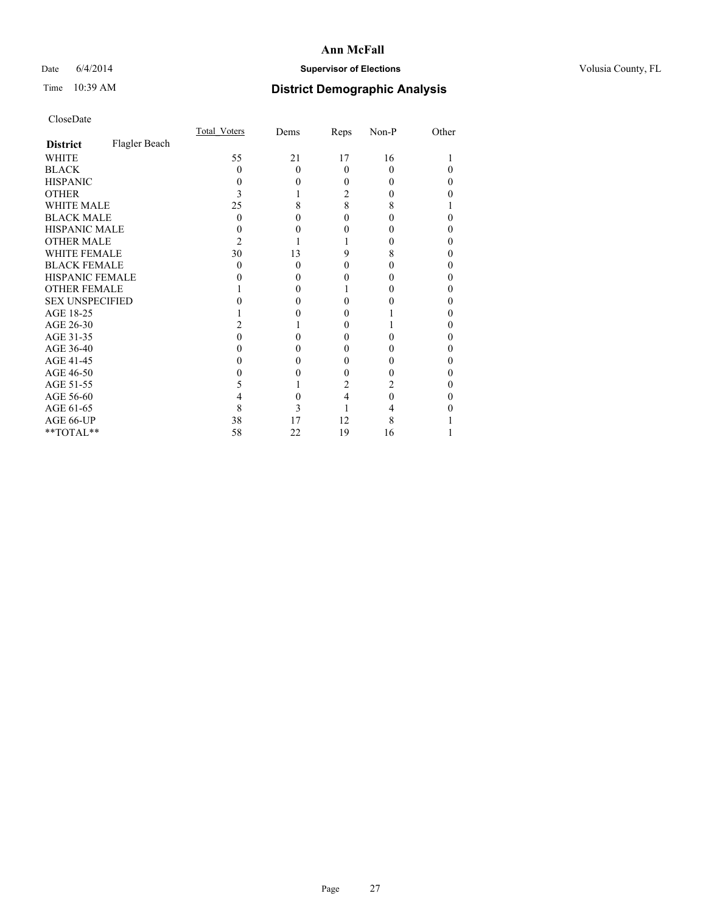## Date 6/4/2014 **Supervisor of Elections Supervisor of Elections** Volusia County, FL

# Time 10:39 AM **District Demographic Analysis**

|                        |               | Total Voters | Dems     | Reps     | Non-P | Other |
|------------------------|---------------|--------------|----------|----------|-------|-------|
| <b>District</b>        | Flagler Beach |              |          |          |       |       |
| <b>WHITE</b>           |               | 55           | 21       | 17       | 16    |       |
| <b>BLACK</b>           |               | $\Omega$     | $\Omega$ | $\Omega$ | 0     | 0     |
| <b>HISPANIC</b>        |               | 0            | 0        | 0        | 0     | 0     |
| <b>OTHER</b>           |               |              |          | 2        |       |       |
| <b>WHITE MALE</b>      |               | 25           | 8        | 8        | 8     |       |
| <b>BLACK MALE</b>      |               | 0            | 0        | 0        |       | 0     |
| <b>HISPANIC MALE</b>   |               |              | 0        |          |       | 0     |
| <b>OTHER MALE</b>      |               | 2            |          |          |       | 0     |
| <b>WHITE FEMALE</b>    |               | 30           | 13       | 9        | 8     | 0     |
| <b>BLACK FEMALE</b>    |               | 0            | $\Omega$ | 0        | 0     | 0     |
| <b>HISPANIC FEMALE</b> |               |              | 0        |          |       | 0     |
| <b>OTHER FEMALE</b>    |               |              | 0        |          |       | 0     |
| <b>SEX UNSPECIFIED</b> |               |              | 0        |          |       | 0     |
| AGE 18-25              |               |              | 0        |          |       | 0     |
| AGE 26-30              |               |              |          | 0        |       | 0     |
| AGE 31-35              |               |              |          |          |       | 0     |
| AGE 36-40              |               |              | 0        | 0        |       | 0     |
| AGE 41-45              |               |              | 0        |          |       | 0     |
| AGE 46-50              |               |              | 0        | 0        |       | 0     |
| AGE 51-55              |               | 5            |          | 2        |       |       |
| AGE 56-60              |               |              | 0        | 4        | 0     | 0     |
| AGE 61-65              |               | 8            | 3        |          |       |       |
| AGE 66-UP              |               | 38           | 17       | 12       | 8     |       |
| **TOTAL**              |               | 58           | 22       | 19       | 16    |       |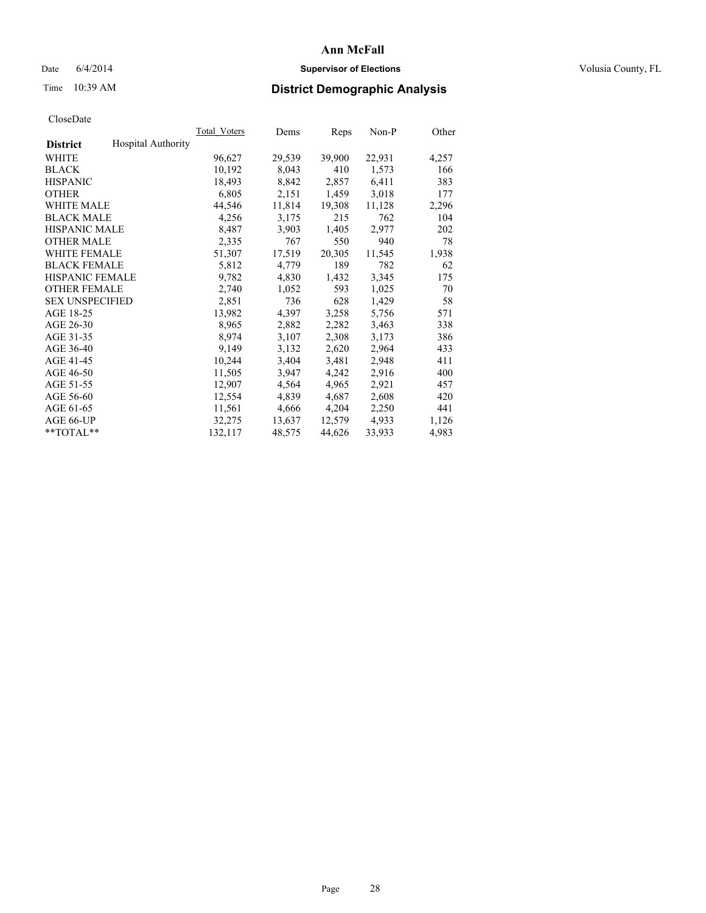## Date 6/4/2014 **Supervisor of Elections Supervisor of Elections** Volusia County, FL

# Time 10:39 AM **District Demographic Analysis**

|                        |                           | Total Voters | Dems   | Reps   | Non-P  | Other |
|------------------------|---------------------------|--------------|--------|--------|--------|-------|
| <b>District</b>        | <b>Hospital Authority</b> |              |        |        |        |       |
| WHITE                  |                           | 96,627       | 29,539 | 39,900 | 22,931 | 4,257 |
| <b>BLACK</b>           |                           | 10,192       | 8,043  | 410    | 1,573  | 166   |
| <b>HISPANIC</b>        |                           | 18,493       | 8,842  | 2,857  | 6,411  | 383   |
| <b>OTHER</b>           |                           | 6,805        | 2,151  | 1,459  | 3,018  | 177   |
| <b>WHITE MALE</b>      |                           | 44,546       | 11,814 | 19,308 | 11,128 | 2,296 |
| <b>BLACK MALE</b>      |                           | 4,256        | 3,175  | 215    | 762    | 104   |
| <b>HISPANIC MALE</b>   |                           | 8,487        | 3,903  | 1,405  | 2,977  | 202   |
| <b>OTHER MALE</b>      |                           | 2,335        | 767    | 550    | 940    | 78    |
| <b>WHITE FEMALE</b>    |                           | 51,307       | 17,519 | 20,305 | 11,545 | 1,938 |
| <b>BLACK FEMALE</b>    |                           | 5,812        | 4,779  | 189    | 782    | 62    |
| <b>HISPANIC FEMALE</b> |                           | 9,782        | 4,830  | 1,432  | 3,345  | 175   |
| <b>OTHER FEMALE</b>    |                           | 2,740        | 1,052  | 593    | 1,025  | 70    |
| <b>SEX UNSPECIFIED</b> |                           | 2,851        | 736    | 628    | 1,429  | 58    |
| AGE 18-25              |                           | 13,982       | 4,397  | 3,258  | 5,756  | 571   |
| AGE 26-30              |                           | 8,965        | 2,882  | 2,282  | 3,463  | 338   |
| AGE 31-35              |                           | 8,974        | 3,107  | 2,308  | 3,173  | 386   |
| AGE 36-40              |                           | 9,149        | 3,132  | 2,620  | 2,964  | 433   |
| AGE 41-45              |                           | 10,244       | 3,404  | 3,481  | 2,948  | 411   |
| AGE 46-50              |                           | 11,505       | 3,947  | 4,242  | 2,916  | 400   |
| AGE 51-55              |                           | 12,907       | 4,564  | 4,965  | 2,921  | 457   |
| AGE 56-60              |                           | 12,554       | 4,839  | 4,687  | 2,608  | 420   |
| AGE 61-65              |                           | 11,561       | 4,666  | 4,204  | 2,250  | 441   |
| AGE 66-UP              |                           | 32,275       | 13,637 | 12,579 | 4,933  | 1,126 |
| $*$ $TOTAL**$          |                           | 132,117      | 48,575 | 44,626 | 33,933 | 4,983 |
|                        |                           |              |        |        |        |       |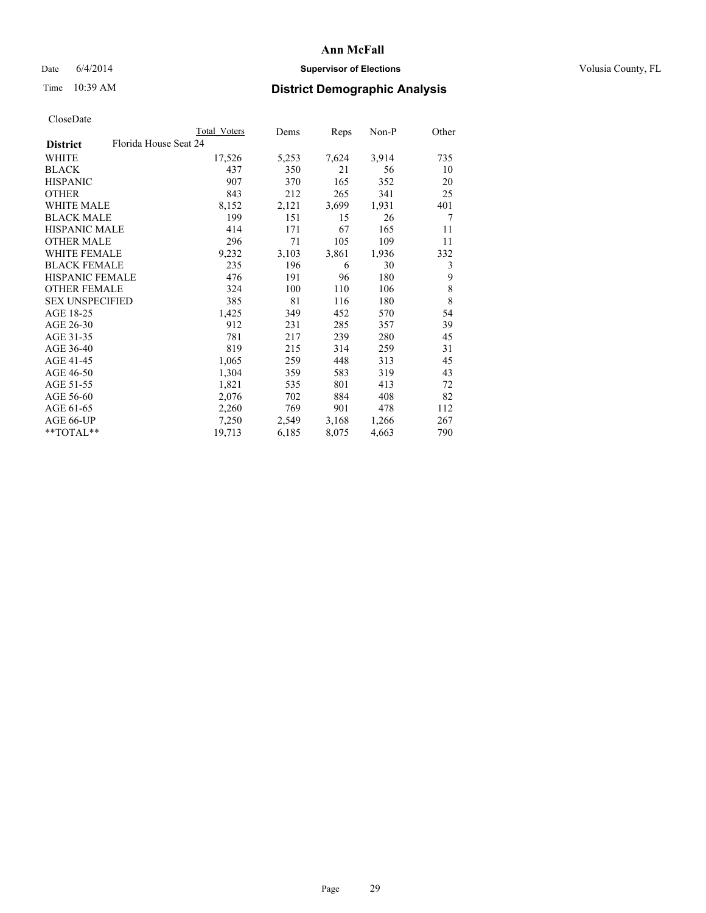## Date 6/4/2014 **Supervisor of Elections Supervisor of Elections** Volusia County, FL

# Time 10:39 AM **District Demographic Analysis**

|                                          | Total Voters | Dems  | <b>Reps</b> | Non-P | Other |
|------------------------------------------|--------------|-------|-------------|-------|-------|
| Florida House Seat 24<br><b>District</b> |              |       |             |       |       |
| WHITE                                    | 17,526       | 5,253 | 7,624       | 3,914 | 735   |
| <b>BLACK</b>                             | 437          | 350   | 21          | 56    | 10    |
| <b>HISPANIC</b>                          | 907          | 370   | 165         | 352   | 20    |
| <b>OTHER</b>                             | 843          | 212   | 265         | 341   | 25    |
| WHITE MALE                               | 8,152        | 2,121 | 3,699       | 1,931 | 401   |
| <b>BLACK MALE</b>                        | 199          | 151   | 15          | 26    | 7     |
| <b>HISPANIC MALE</b>                     | 414          | 171   | 67          | 165   | 11    |
| <b>OTHER MALE</b>                        | 296          | 71    | 105         | 109   | 11    |
| <b>WHITE FEMALE</b>                      | 9,232        | 3,103 | 3,861       | 1,936 | 332   |
| <b>BLACK FEMALE</b>                      | 235          | 196   | 6           | 30    | 3     |
| <b>HISPANIC FEMALE</b>                   | 476          | 191   | 96          | 180   | 9     |
| <b>OTHER FEMALE</b>                      | 324          | 100   | 110         | 106   | 8     |
| <b>SEX UNSPECIFIED</b>                   | 385          | 81    | 116         | 180   | 8     |
| AGE 18-25                                | 1,425        | 349   | 452         | 570   | 54    |
| AGE 26-30                                | 912          | 231   | 285         | 357   | 39    |
| AGE 31-35                                | 781          | 217   | 239         | 280   | 45    |
| AGE 36-40                                | 819          | 215   | 314         | 259   | 31    |
| AGE 41-45                                | 1,065        | 259   | 448         | 313   | 45    |
| AGE 46-50                                | 1,304        | 359   | 583         | 319   | 43    |
| AGE 51-55                                | 1,821        | 535   | 801         | 413   | 72    |
| AGE 56-60                                | 2,076        | 702   | 884         | 408   | 82    |
| AGE 61-65                                | 2,260        | 769   | 901         | 478   | 112   |
| AGE 66-UP                                | 7,250        | 2,549 | 3,168       | 1,266 | 267   |
| $*$ TOTAL $*$                            | 19,713       | 6,185 | 8,075       | 4,663 | 790   |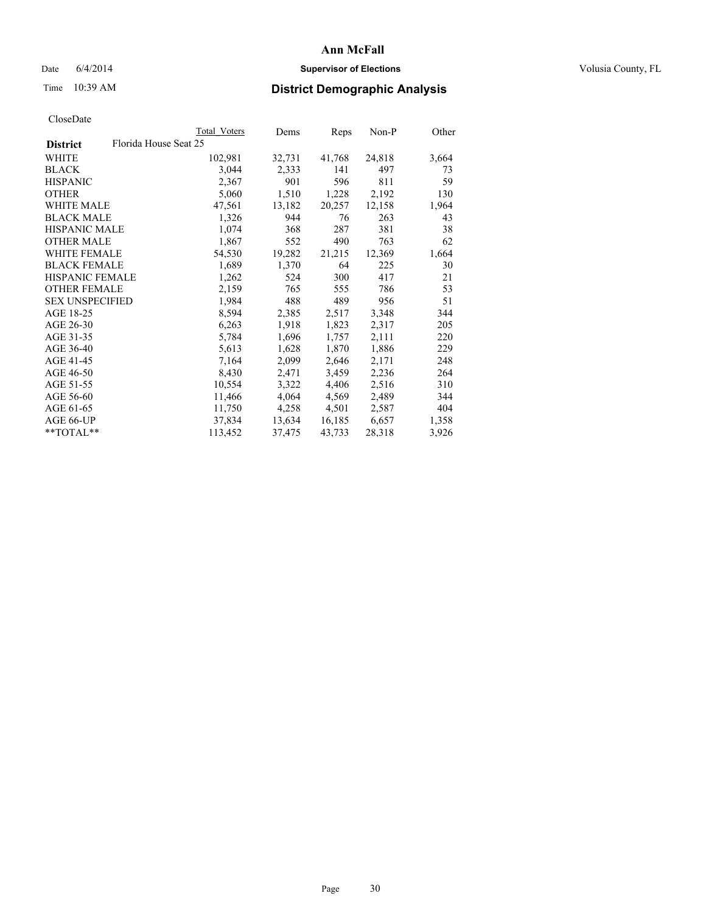## Date 6/4/2014 **Supervisor of Elections Supervisor of Elections** Volusia County, FL

# Time 10:39 AM **District Demographic Analysis**

|                        | Total Voters          | Dems   | Reps   | $Non-P$ | Other |
|------------------------|-----------------------|--------|--------|---------|-------|
| <b>District</b>        | Florida House Seat 25 |        |        |         |       |
| WHITE                  | 102,981               | 32,731 | 41,768 | 24,818  | 3,664 |
| <b>BLACK</b>           | 3,044                 | 2,333  | 141    | 497     | 73    |
| <b>HISPANIC</b>        | 2,367                 | 901    | 596    | 811     | 59    |
| <b>OTHER</b>           | 5,060                 | 1,510  | 1,228  | 2,192   | 130   |
| <b>WHITE MALE</b>      | 47,561                | 13,182 | 20,257 | 12,158  | 1,964 |
| <b>BLACK MALE</b>      | 1,326                 | 944    | 76     | 263     | 43    |
| <b>HISPANIC MALE</b>   | 1,074                 | 368    | 287    | 381     | 38    |
| <b>OTHER MALE</b>      | 1,867                 | 552    | 490    | 763     | 62    |
| <b>WHITE FEMALE</b>    | 54,530                | 19,282 | 21,215 | 12,369  | 1,664 |
| <b>BLACK FEMALE</b>    | 1,689                 | 1,370  | 64     | 225     | 30    |
| HISPANIC FEMALE        | 1,262                 | 524    | 300    | 417     | 21    |
| <b>OTHER FEMALE</b>    | 2,159                 | 765    | 555    | 786     | 53    |
| <b>SEX UNSPECIFIED</b> | 1,984                 | 488    | 489    | 956     | 51    |
| AGE 18-25              | 8,594                 | 2,385  | 2,517  | 3,348   | 344   |
| AGE 26-30              | 6,263                 | 1,918  | 1,823  | 2,317   | 205   |
| AGE 31-35              | 5,784                 | 1,696  | 1,757  | 2,111   | 220   |
| AGE 36-40              | 5,613                 | 1,628  | 1,870  | 1,886   | 229   |
| AGE 41-45              | 7,164                 | 2,099  | 2,646  | 2,171   | 248   |
| AGE 46-50              | 8,430                 | 2,471  | 3,459  | 2,236   | 264   |
| AGE 51-55              | 10,554                | 3,322  | 4,406  | 2,516   | 310   |
| AGE 56-60              | 11,466                | 4,064  | 4,569  | 2,489   | 344   |
| AGE 61-65              | 11,750                | 4,258  | 4,501  | 2,587   | 404   |
| AGE 66-UP              | 37,834                | 13,634 | 16,185 | 6,657   | 1,358 |
| $*$ $TOTAL**$          | 113,452               | 37,475 | 43,733 | 28,318  | 3,926 |
|                        |                       |        |        |         |       |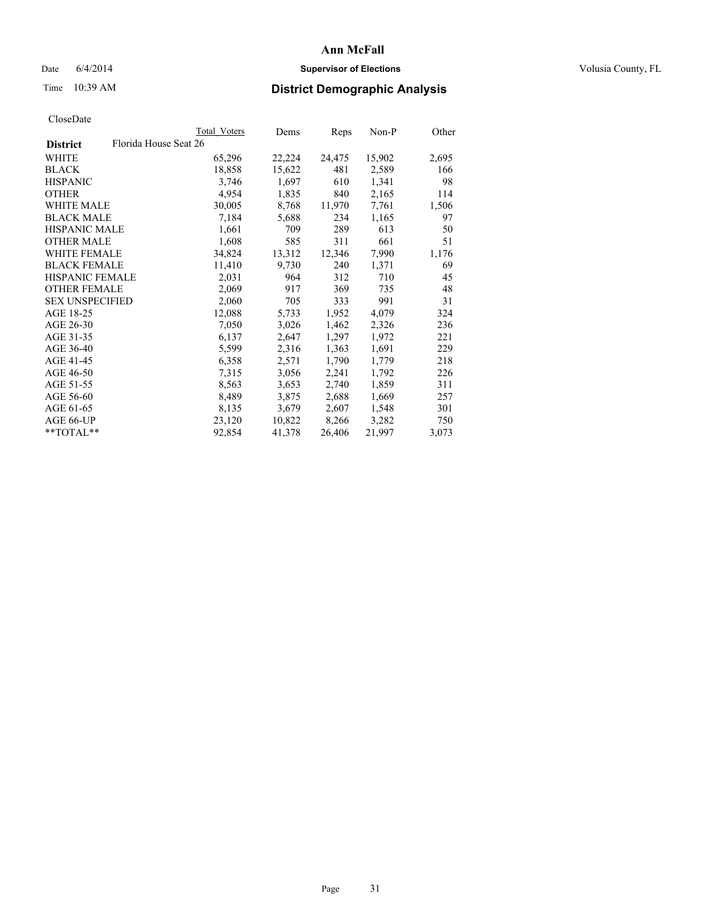## Date 6/4/2014 **Supervisor of Elections Supervisor of Elections** Volusia County, FL

# Time 10:39 AM **District Demographic Analysis**

|                        |                       | Total Voters | Dems   | <b>Reps</b> | $Non-P$ | Other |
|------------------------|-----------------------|--------------|--------|-------------|---------|-------|
| <b>District</b>        | Florida House Seat 26 |              |        |             |         |       |
| WHITE                  |                       | 65,296       | 22,224 | 24,475      | 15,902  | 2,695 |
| <b>BLACK</b>           |                       | 18,858       | 15,622 | 481         | 2,589   | 166   |
| <b>HISPANIC</b>        |                       | 3,746        | 1,697  | 610         | 1,341   | 98    |
| <b>OTHER</b>           |                       | 4,954        | 1,835  | 840         | 2,165   | 114   |
| WHITE MALE             |                       | 30,005       | 8,768  | 11,970      | 7.761   | 1,506 |
| <b>BLACK MALE</b>      |                       | 7,184        | 5,688  | 234         | 1,165   | 97    |
| <b>HISPANIC MALE</b>   |                       | 1,661        | 709    | 289         | 613     | 50    |
| <b>OTHER MALE</b>      |                       | 1,608        | 585    | 311         | 661     | 51    |
| <b>WHITE FEMALE</b>    |                       | 34,824       | 13,312 | 12,346      | 7,990   | 1,176 |
| <b>BLACK FEMALE</b>    |                       | 11,410       | 9,730  | 240         | 1,371   | 69    |
| HISPANIC FEMALE        |                       | 2,031        | 964    | 312         | 710     | 45    |
| <b>OTHER FEMALE</b>    |                       | 2,069        | 917    | 369         | 735     | 48    |
| <b>SEX UNSPECIFIED</b> |                       | 2,060        | 705    | 333         | 991     | 31    |
| AGE 18-25              |                       | 12,088       | 5,733  | 1,952       | 4,079   | 324   |
| AGE 26-30              |                       | 7,050        | 3,026  | 1,462       | 2,326   | 236   |
| AGE 31-35              |                       | 6,137        | 2,647  | 1,297       | 1,972   | 221   |
| AGE 36-40              |                       | 5,599        | 2,316  | 1,363       | 1,691   | 229   |
| AGE 41-45              |                       | 6,358        | 2,571  | 1,790       | 1,779   | 218   |
| AGE 46-50              |                       | 7,315        | 3,056  | 2,241       | 1,792   | 226   |
| AGE 51-55              |                       | 8,563        | 3,653  | 2,740       | 1,859   | 311   |
| AGE 56-60              |                       | 8,489        | 3,875  | 2,688       | 1,669   | 257   |
| AGE 61-65              |                       | 8,135        | 3,679  | 2,607       | 1,548   | 301   |
| AGE 66-UP              |                       | 23,120       | 10,822 | 8,266       | 3,282   | 750   |
| $*$ TOTAL $*$          |                       | 92,854       | 41,378 | 26,406      | 21,997  | 3,073 |
|                        |                       |              |        |             |         |       |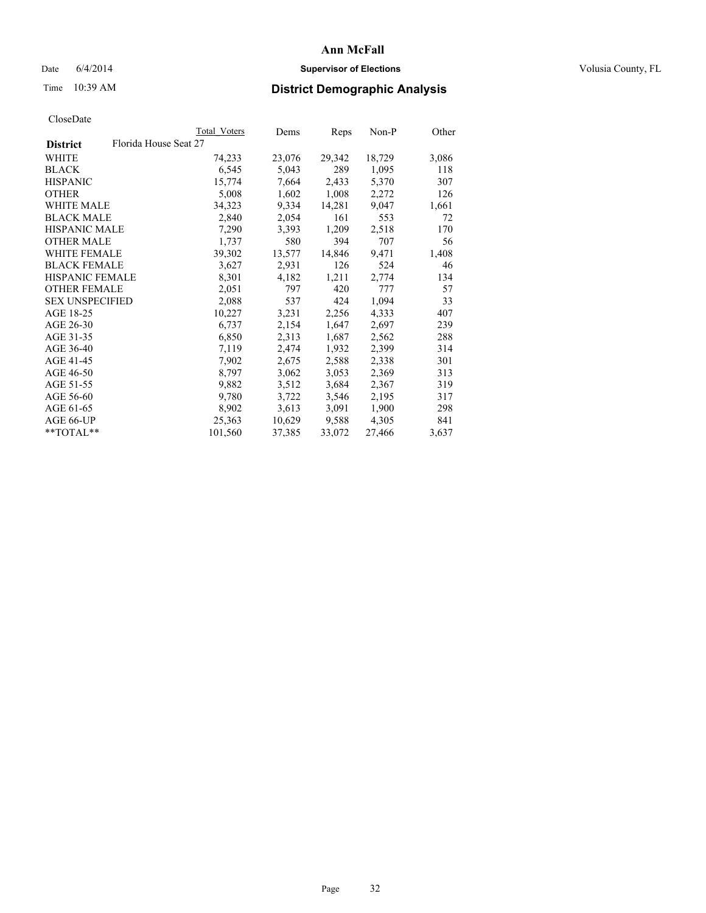## Date 6/4/2014 **Supervisor of Elections Supervisor of Elections** Volusia County, FL

# Time 10:39 AM **District Demographic Analysis**

| Total Voters | Dems                  | Reps   | $Non-P$ | Other |
|--------------|-----------------------|--------|---------|-------|
|              |                       |        |         |       |
| 74,233       | 23,076                | 29,342 | 18,729  | 3,086 |
| 6,545        | 5,043                 | 289    | 1,095   | 118   |
| 15,774       | 7,664                 | 2,433  | 5,370   | 307   |
| 5,008        | 1,602                 | 1,008  | 2,272   | 126   |
| 34,323       | 9,334                 | 14,281 | 9,047   | 1,661 |
| 2,840        | 2,054                 | 161    | 553     | 72    |
| 7,290        | 3,393                 | 1,209  | 2,518   | 170   |
| 1,737        | 580                   | 394    | 707     | 56    |
| 39,302       | 13,577                | 14,846 | 9,471   | 1,408 |
| 3,627        | 2,931                 | 126    | 524     | 46    |
| 8,301        | 4,182                 | 1,211  | 2,774   | 134   |
| 2,051        | 797                   | 420    | 777     | 57    |
| 2,088        | 537                   | 424    | 1,094   | 33    |
| 10,227       | 3,231                 | 2,256  | 4,333   | 407   |
| 6,737        | 2,154                 | 1,647  | 2,697   | 239   |
| 6,850        | 2,313                 | 1,687  | 2,562   | 288   |
| 7,119        | 2,474                 | 1,932  | 2,399   | 314   |
| 7,902        | 2,675                 | 2,588  | 2,338   | 301   |
| 8,797        | 3,062                 | 3,053  | 2,369   | 313   |
| 9,882        | 3,512                 | 3,684  | 2,367   | 319   |
| 9,780        | 3,722                 | 3,546  | 2,195   | 317   |
| 8,902        | 3,613                 | 3,091  | 1,900   | 298   |
| 25,363       | 10,629                | 9,588  | 4,305   | 841   |
| 101,560      | 37,385                | 33,072 | 27,466  | 3,637 |
|              | Florida House Seat 27 |        |         |       |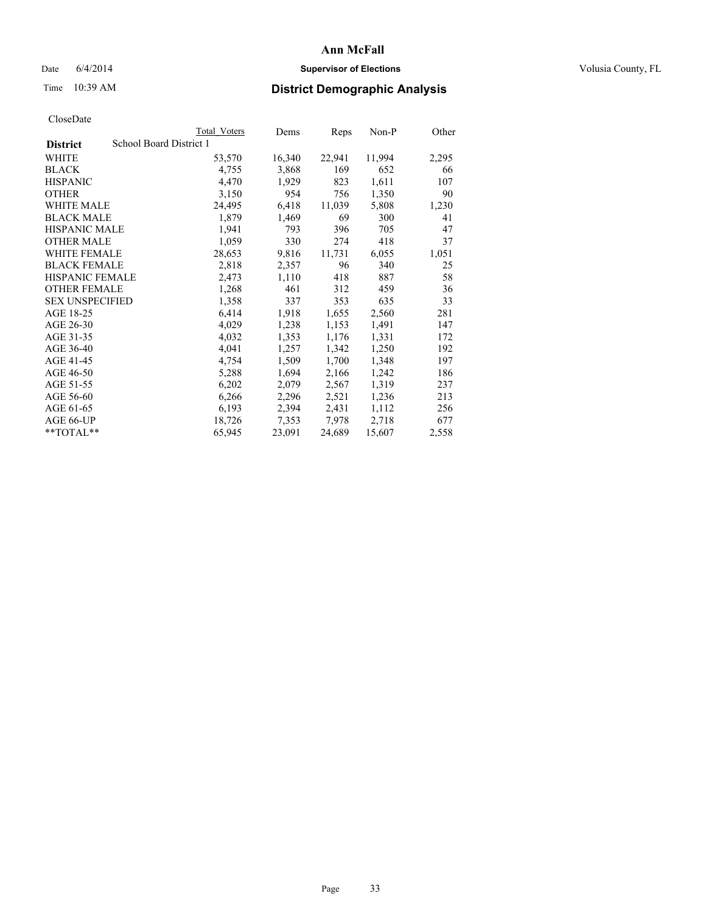## Date 6/4/2014 **Supervisor of Elections Supervisor of Elections** Volusia County, FL

# Time 10:39 AM **District Demographic Analysis**

|                        | Total Voters            | Dems   | Reps   | Non-P  | Other |
|------------------------|-------------------------|--------|--------|--------|-------|
| <b>District</b>        | School Board District 1 |        |        |        |       |
| <b>WHITE</b>           | 53,570                  | 16,340 | 22,941 | 11,994 | 2,295 |
| <b>BLACK</b>           | 4,755                   | 3,868  | 169    | 652    | 66    |
| <b>HISPANIC</b>        | 4,470                   | 1,929  | 823    | 1,611  | 107   |
| <b>OTHER</b>           | 3,150                   | 954    | 756    | 1,350  | 90    |
| <b>WHITE MALE</b>      | 24,495                  | 6,418  | 11,039 | 5,808  | 1,230 |
| <b>BLACK MALE</b>      | 1,879                   | 1,469  | 69     | 300    | 41    |
| <b>HISPANIC MALE</b>   | 1,941                   | 793    | 396    | 705    | 47    |
| <b>OTHER MALE</b>      | 1,059                   | 330    | 274    | 418    | 37    |
| WHITE FEMALE           | 28,653                  | 9,816  | 11,731 | 6,055  | 1,051 |
| <b>BLACK FEMALE</b>    | 2,818                   | 2,357  | 96     | 340    | 25    |
| HISPANIC FEMALE        | 2,473                   | 1,110  | 418    | 887    | 58    |
| <b>OTHER FEMALE</b>    | 1,268                   | 461    | 312    | 459    | 36    |
| <b>SEX UNSPECIFIED</b> | 1,358                   | 337    | 353    | 635    | 33    |
| AGE 18-25              | 6,414                   | 1,918  | 1,655  | 2,560  | 281   |
| AGE 26-30              | 4,029                   | 1,238  | 1,153  | 1,491  | 147   |
| AGE 31-35              | 4,032                   | 1,353  | 1,176  | 1,331  | 172   |
| AGE 36-40              | 4,041                   | 1,257  | 1,342  | 1,250  | 192   |
| AGE 41-45              | 4,754                   | 1,509  | 1,700  | 1,348  | 197   |
| AGE 46-50              | 5,288                   | 1,694  | 2,166  | 1,242  | 186   |
| AGE 51-55              | 6,202                   | 2,079  | 2,567  | 1,319  | 237   |
| AGE 56-60              | 6,266                   | 2,296  | 2,521  | 1,236  | 213   |
| AGE 61-65              | 6,193                   | 2,394  | 2,431  | 1,112  | 256   |
| AGE 66-UP              | 18,726                  | 7,353  | 7,978  | 2,718  | 677   |
| $*$ TOTAL $*$          | 65,945                  | 23,091 | 24,689 | 15,607 | 2,558 |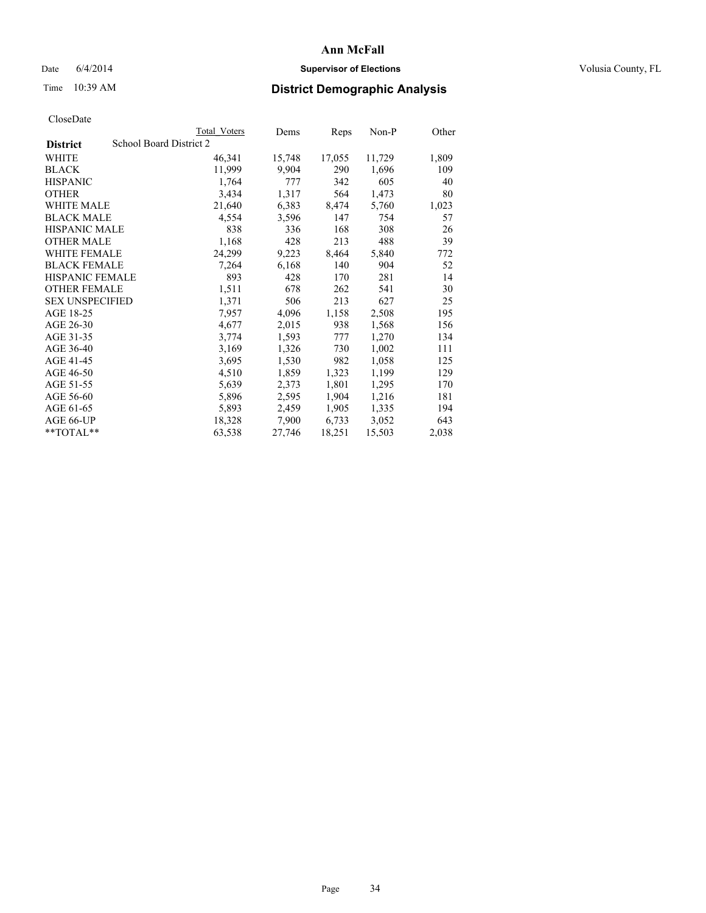## Date 6/4/2014 **Supervisor of Elections Supervisor of Elections** Volusia County, FL

# Time 10:39 AM **District Demographic Analysis**

|                        | Total Voters            | Dems   | Reps   | Non-P  | Other |
|------------------------|-------------------------|--------|--------|--------|-------|
| <b>District</b>        | School Board District 2 |        |        |        |       |
| WHITE                  | 46,341                  | 15,748 | 17,055 | 11,729 | 1,809 |
| <b>BLACK</b>           | 11,999                  | 9,904  | 290    | 1,696  | 109   |
| <b>HISPANIC</b>        | 1,764                   | 777    | 342    | 605    | 40    |
| <b>OTHER</b>           | 3,434                   | 1,317  | 564    | 1,473  | 80    |
| WHITE MALE             | 21,640                  | 6,383  | 8,474  | 5,760  | 1,023 |
| <b>BLACK MALE</b>      | 4,554                   | 3,596  | 147    | 754    | 57    |
| <b>HISPANIC MALE</b>   | 838                     | 336    | 168    | 308    | 26    |
| <b>OTHER MALE</b>      | 1,168                   | 428    | 213    | 488    | 39    |
| <b>WHITE FEMALE</b>    | 24,299                  | 9,223  | 8,464  | 5,840  | 772   |
| <b>BLACK FEMALE</b>    | 7.264                   | 6,168  | 140    | 904    | 52    |
| <b>HISPANIC FEMALE</b> | 893                     | 428    | 170    | 281    | 14    |
| <b>OTHER FEMALE</b>    | 1,511                   | 678    | 262    | 541    | 30    |
| <b>SEX UNSPECIFIED</b> | 1,371                   | 506    | 213    | 627    | 25    |
| AGE 18-25              | 7,957                   | 4,096  | 1,158  | 2,508  | 195   |
| AGE 26-30              | 4,677                   | 2,015  | 938    | 1,568  | 156   |
| AGE 31-35              | 3,774                   | 1,593  | 777    | 1,270  | 134   |
| AGE 36-40              | 3,169                   | 1,326  | 730    | 1,002  | 111   |
| AGE 41-45              | 3,695                   | 1,530  | 982    | 1,058  | 125   |
| AGE 46-50              | 4,510                   | 1,859  | 1,323  | 1,199  | 129   |
| AGE 51-55              | 5,639                   | 2,373  | 1,801  | 1,295  | 170   |
| AGE 56-60              | 5,896                   | 2,595  | 1,904  | 1,216  | 181   |
| AGE 61-65              | 5,893                   | 2,459  | 1,905  | 1,335  | 194   |
| AGE 66-UP              | 18,328                  | 7,900  | 6,733  | 3,052  | 643   |
| $*$ $TOTAI.**$         | 63,538                  | 27,746 | 18,251 | 15,503 | 2,038 |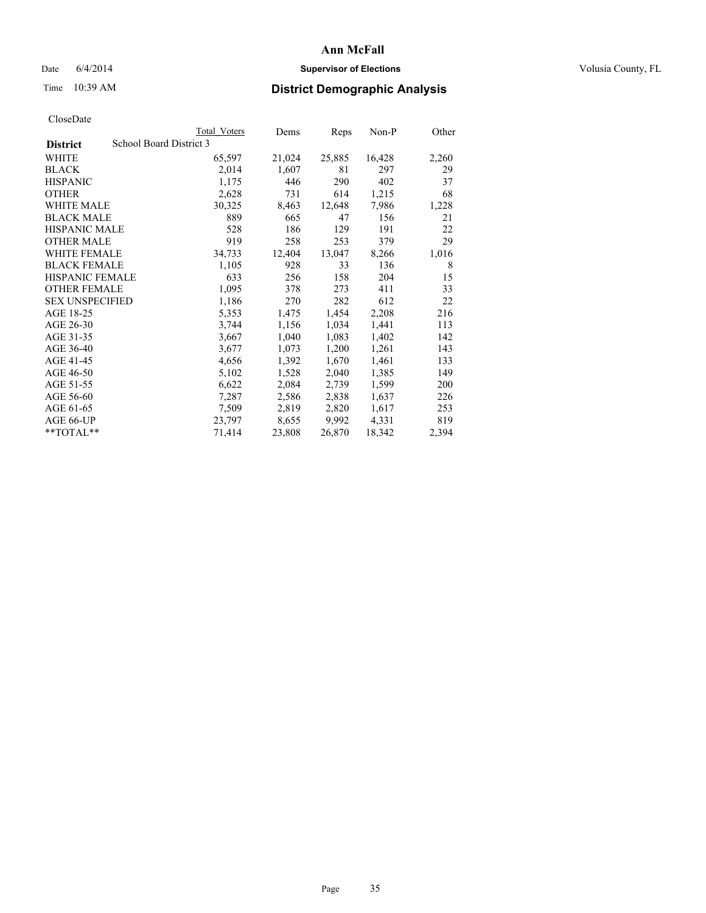## Date 6/4/2014 **Supervisor of Elections Supervisor of Elections** Volusia County, FL

# Time 10:39 AM **District Demographic Analysis**

|                        |                         | <b>Total Voters</b> | Dems   | Reps   | Non-P  | Other |
|------------------------|-------------------------|---------------------|--------|--------|--------|-------|
| <b>District</b>        | School Board District 3 |                     |        |        |        |       |
| WHITE                  |                         | 65,597              | 21,024 | 25,885 | 16,428 | 2,260 |
| <b>BLACK</b>           |                         | 2,014               | 1,607  | 81     | 297    | 29    |
| <b>HISPANIC</b>        |                         | 1,175               | 446    | 290    | 402    | 37    |
| <b>OTHER</b>           |                         | 2,628               | 731    | 614    | 1,215  | 68    |
| <b>WHITE MALE</b>      |                         | 30,325              | 8,463  | 12,648 | 7,986  | 1,228 |
| <b>BLACK MALE</b>      |                         | 889                 | 665    | 47     | 156    | 21    |
| <b>HISPANIC MALE</b>   |                         | 528                 | 186    | 129    | 191    | 22    |
| <b>OTHER MALE</b>      |                         | 919                 | 258    | 253    | 379    | 29    |
| WHITE FEMALE           |                         | 34,733              | 12,404 | 13,047 | 8,266  | 1,016 |
| <b>BLACK FEMALE</b>    |                         | 1,105               | 928    | 33     | 136    | 8     |
| <b>HISPANIC FEMALE</b> |                         | 633                 | 256    | 158    | 204    | 15    |
| <b>OTHER FEMALE</b>    |                         | 1,095               | 378    | 273    | 411    | 33    |
| <b>SEX UNSPECIFIED</b> |                         | 1,186               | 270    | 282    | 612    | 22    |
| AGE 18-25              |                         | 5,353               | 1,475  | 1,454  | 2,208  | 216   |
| AGE 26-30              |                         | 3,744               | 1,156  | 1,034  | 1,441  | 113   |
| AGE 31-35              |                         | 3,667               | 1,040  | 1,083  | 1,402  | 142   |
| AGE 36-40              |                         | 3,677               | 1,073  | 1,200  | 1,261  | 143   |
| AGE 41-45              |                         | 4,656               | 1,392  | 1,670  | 1,461  | 133   |
| AGE 46-50              |                         | 5,102               | 1,528  | 2,040  | 1,385  | 149   |
| AGE 51-55              |                         | 6,622               | 2,084  | 2,739  | 1,599  | 200   |
| AGE 56-60              |                         | 7,287               | 2,586  | 2,838  | 1,637  | 226   |
| AGE 61-65              |                         | 7,509               | 2,819  | 2,820  | 1,617  | 253   |
| AGE 66-UP              |                         | 23,797              | 8,655  | 9,992  | 4,331  | 819   |
| $*$ $TOTAI.**$         |                         | 71,414              | 23,808 | 26,870 | 18,342 | 2,394 |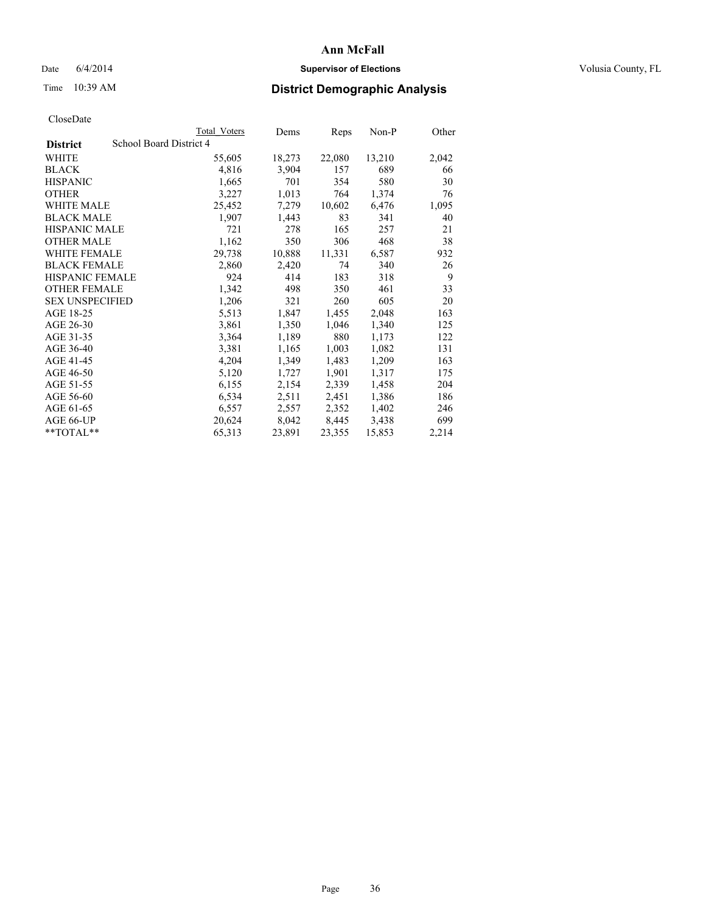## Date 6/4/2014 **Supervisor of Elections Supervisor of Elections** Volusia County, FL

# Time 10:39 AM **District Demographic Analysis**

|                        |                         | <b>Total Voters</b> | Dems   | Reps   | Non-P  | Other |
|------------------------|-------------------------|---------------------|--------|--------|--------|-------|
| <b>District</b>        | School Board District 4 |                     |        |        |        |       |
| WHITE                  |                         | 55,605              | 18,273 | 22,080 | 13,210 | 2,042 |
| <b>BLACK</b>           |                         | 4,816               | 3,904  | 157    | 689    | 66    |
| <b>HISPANIC</b>        |                         | 1,665               | 701    | 354    | 580    | 30    |
| <b>OTHER</b>           |                         | 3,227               | 1,013  | 764    | 1,374  | 76    |
| WHITE MALE             |                         | 25,452              | 7,279  | 10,602 | 6,476  | 1,095 |
| <b>BLACK MALE</b>      |                         | 1,907               | 1,443  | 83     | 341    | 40    |
| <b>HISPANIC MALE</b>   |                         | 721                 | 278    | 165    | 257    | 21    |
| <b>OTHER MALE</b>      |                         | 1,162               | 350    | 306    | 468    | 38    |
| <b>WHITE FEMALE</b>    |                         | 29,738              | 10,888 | 11,331 | 6,587  | 932   |
| <b>BLACK FEMALE</b>    |                         | 2,860               | 2,420  | 74     | 340    | 26    |
| <b>HISPANIC FEMALE</b> |                         | 924                 | 414    | 183    | 318    | 9     |
| <b>OTHER FEMALE</b>    |                         | 1,342               | 498    | 350    | 461    | 33    |
| <b>SEX UNSPECIFIED</b> |                         | 1,206               | 321    | 260    | 605    | 20    |
| AGE 18-25              |                         | 5,513               | 1,847  | 1,455  | 2,048  | 163   |
| AGE 26-30              |                         | 3,861               | 1,350  | 1,046  | 1,340  | 125   |
| AGE 31-35              |                         | 3,364               | 1,189  | 880    | 1,173  | 122   |
| AGE 36-40              |                         | 3,381               | 1,165  | 1,003  | 1,082  | 131   |
| AGE 41-45              |                         | 4,204               | 1,349  | 1,483  | 1,209  | 163   |
| AGE 46-50              |                         | 5,120               | 1,727  | 1,901  | 1,317  | 175   |
| AGE 51-55              |                         | 6,155               | 2,154  | 2,339  | 1,458  | 204   |
| AGE 56-60              |                         | 6,534               | 2,511  | 2,451  | 1,386  | 186   |
| AGE 61-65              |                         | 6,557               | 2,557  | 2,352  | 1,402  | 246   |
| AGE 66-UP              |                         | 20,624              | 8,042  | 8,445  | 3,438  | 699   |
| **TOTAL**              |                         | 65,313              | 23,891 | 23,355 | 15,853 | 2,214 |
|                        |                         |                     |        |        |        |       |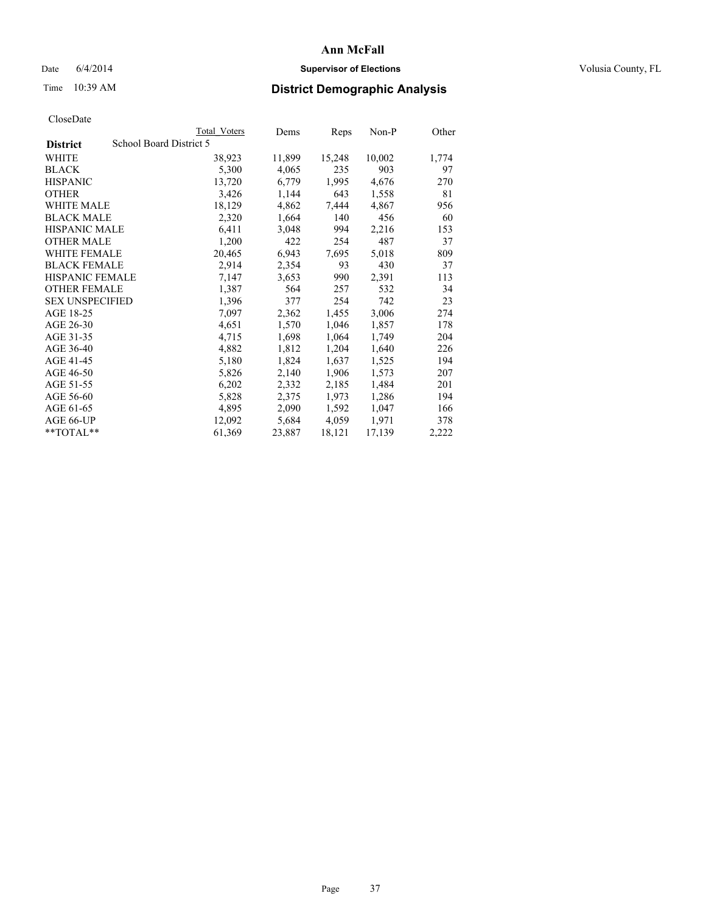## Date 6/4/2014 **Supervisor of Elections Supervisor of Elections** Volusia County, FL

## Time 10:39 AM **District Demographic Analysis**

|                        |                         | Total Voters | Dems   | <b>Reps</b> | $Non-P$ | Other |
|------------------------|-------------------------|--------------|--------|-------------|---------|-------|
| <b>District</b>        | School Board District 5 |              |        |             |         |       |
| WHITE                  |                         | 38,923       | 11,899 | 15,248      | 10,002  | 1,774 |
| <b>BLACK</b>           |                         | 5,300        | 4,065  | 235         | 903     | 97    |
| <b>HISPANIC</b>        |                         | 13,720       | 6,779  | 1,995       | 4,676   | 270   |
| <b>OTHER</b>           |                         | 3,426        | 1,144  | 643         | 1,558   | 81    |
| WHITE MALE             |                         | 18,129       | 4,862  | 7,444       | 4,867   | 956   |
| <b>BLACK MALE</b>      |                         | 2,320        | 1,664  | 140         | 456     | 60    |
| <b>HISPANIC MALE</b>   |                         | 6,411        | 3,048  | 994         | 2,216   | 153   |
| <b>OTHER MALE</b>      |                         | 1,200        | 422    | 254         | 487     | 37    |
| <b>WHITE FEMALE</b>    |                         | 20,465       | 6,943  | 7,695       | 5,018   | 809   |
| <b>BLACK FEMALE</b>    |                         | 2,914        | 2,354  | 93          | 430     | 37    |
| <b>HISPANIC FEMALE</b> |                         | 7,147        | 3,653  | 990         | 2,391   | 113   |
| <b>OTHER FEMALE</b>    |                         | 1,387        | 564    | 257         | 532     | 34    |
| <b>SEX UNSPECIFIED</b> |                         | 1,396        | 377    | 254         | 742     | 23    |
| AGE 18-25              |                         | 7,097        | 2,362  | 1,455       | 3,006   | 274   |
| AGE 26-30              |                         | 4,651        | 1,570  | 1,046       | 1,857   | 178   |
| AGE 31-35              |                         | 4,715        | 1,698  | 1,064       | 1,749   | 204   |
| AGE 36-40              |                         | 4,882        | 1,812  | 1,204       | 1,640   | 226   |
| AGE 41-45              |                         | 5,180        | 1,824  | 1,637       | 1,525   | 194   |
| AGE 46-50              |                         | 5,826        | 2,140  | 1,906       | 1,573   | 207   |
| AGE 51-55              |                         | 6,202        | 2,332  | 2,185       | 1,484   | 201   |
| AGE 56-60              |                         | 5,828        | 2,375  | 1,973       | 1,286   | 194   |
| AGE 61-65              |                         | 4,895        | 2,090  | 1,592       | 1,047   | 166   |
| AGE 66-UP              |                         | 12,092       | 5,684  | 4,059       | 1,971   | 378   |
| **TOTAL**              |                         | 61,369       | 23,887 | 18,121      | 17,139  | 2,222 |
|                        |                         |              |        |             |         |       |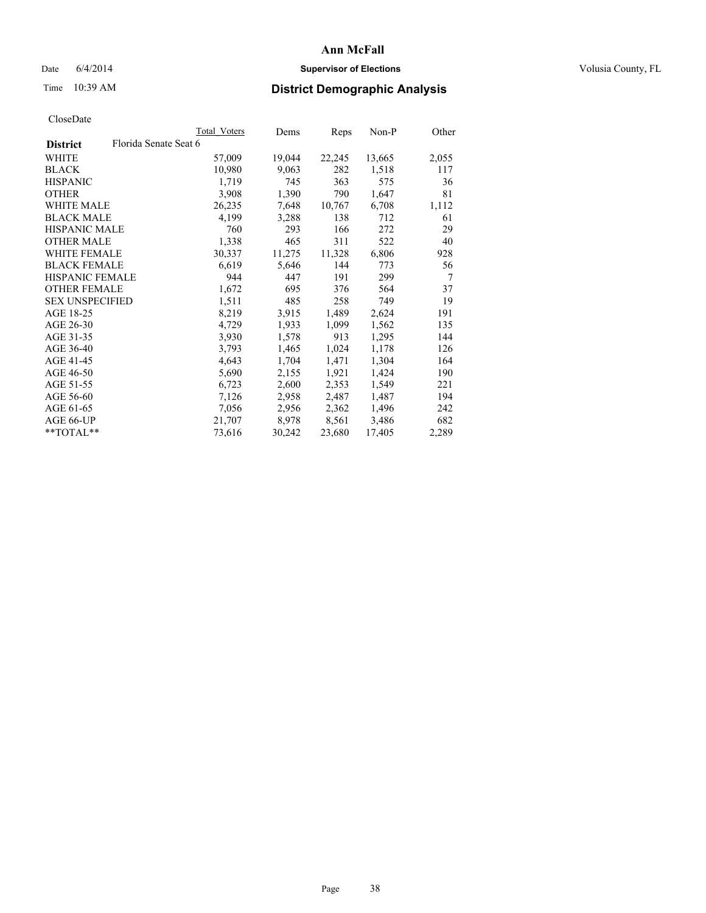## Date 6/4/2014 **Supervisor of Elections Supervisor of Elections** Volusia County, FL

# Time 10:39 AM **District Demographic Analysis**

| Total Voters | Dems                  | Reps   | $Non-P$ | Other |
|--------------|-----------------------|--------|---------|-------|
|              |                       |        |         |       |
| 57,009       | 19,044                | 22,245 | 13,665  | 2,055 |
| 10,980       | 9,063                 | 282    | 1,518   | 117   |
| 1,719        | 745                   | 363    | 575     | 36    |
| 3,908        | 1,390                 | 790    | 1,647   | 81    |
| 26,235       | 7,648                 | 10,767 | 6,708   | 1,112 |
| 4,199        | 3,288                 | 138    | 712     | 61    |
| 760          | 293                   | 166    | 272     | 29    |
| 1,338        | 465                   | 311    | 522     | 40    |
| 30,337       | 11,275                | 11,328 | 6,806   | 928   |
| 6,619        | 5,646                 | 144    | 773     | 56    |
| 944          | 447                   | 191    | 299     | 7     |
| 1,672        | 695                   | 376    | 564     | 37    |
| 1,511        | 485                   | 258    | 749     | 19    |
| 8,219        | 3,915                 | 1,489  | 2,624   | 191   |
| 4,729        | 1,933                 | 1,099  | 1,562   | 135   |
| 3,930        | 1,578                 | 913    | 1,295   | 144   |
| 3,793        | 1,465                 | 1,024  | 1,178   | 126   |
| 4,643        | 1,704                 | 1,471  | 1,304   | 164   |
| 5,690        | 2,155                 | 1,921  | 1,424   | 190   |
| 6,723        | 2,600                 | 2,353  | 1,549   | 221   |
| 7,126        | 2,958                 | 2,487  | 1,487   | 194   |
| 7,056        | 2,956                 | 2,362  | 1,496   | 242   |
| 21,707       | 8,978                 | 8,561  | 3,486   | 682   |
| 73,616       | 30,242                | 23,680 | 17,405  | 2,289 |
|              | Florida Senate Seat 6 |        |         |       |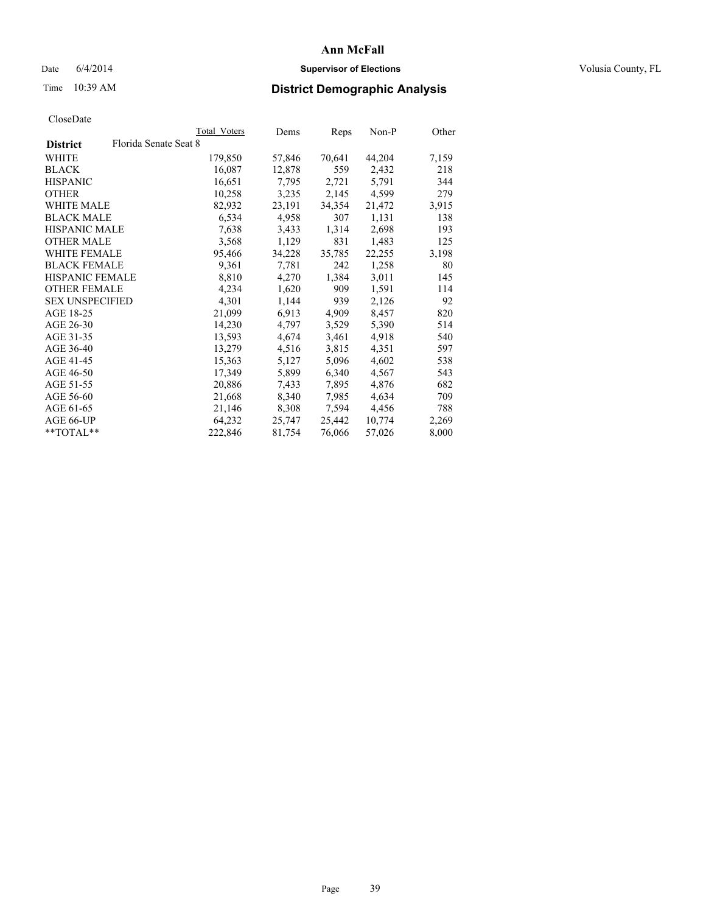## Date 6/4/2014 **Supervisor of Elections Supervisor of Elections** Volusia County, FL

## Time 10:39 AM **District Demographic Analysis**

|                        |                       | Total Voters | Dems   | <b>Reps</b> | Non-P  | Other |
|------------------------|-----------------------|--------------|--------|-------------|--------|-------|
| <b>District</b>        | Florida Senate Seat 8 |              |        |             |        |       |
| WHITE                  |                       | 179,850      | 57,846 | 70,641      | 44,204 | 7,159 |
| <b>BLACK</b>           |                       | 16,087       | 12,878 | 559         | 2,432  | 218   |
| <b>HISPANIC</b>        |                       | 16,651       | 7,795  | 2,721       | 5,791  | 344   |
| <b>OTHER</b>           |                       | 10,258       | 3,235  | 2,145       | 4,599  | 279   |
| WHITE MALE             |                       | 82,932       | 23,191 | 34,354      | 21,472 | 3,915 |
| <b>BLACK MALE</b>      |                       | 6,534        | 4,958  | 307         | 1,131  | 138   |
| <b>HISPANIC MALE</b>   |                       | 7,638        | 3,433  | 1,314       | 2,698  | 193   |
| <b>OTHER MALE</b>      |                       | 3,568        | 1,129  | 831         | 1,483  | 125   |
| <b>WHITE FEMALE</b>    |                       | 95,466       | 34,228 | 35,785      | 22,255 | 3,198 |
| <b>BLACK FEMALE</b>    |                       | 9,361        | 7.781  | 242         | 1,258  | 80    |
| HISPANIC FEMALE        |                       | 8,810        | 4,270  | 1,384       | 3,011  | 145   |
| <b>OTHER FEMALE</b>    |                       | 4,234        | 1,620  | 909         | 1,591  | 114   |
| <b>SEX UNSPECIFIED</b> |                       | 4,301        | 1,144  | 939         | 2,126  | 92    |
| AGE 18-25              |                       | 21,099       | 6.913  | 4,909       | 8,457  | 820   |
| AGE 26-30              |                       | 14,230       | 4,797  | 3,529       | 5,390  | 514   |
| AGE 31-35              |                       | 13,593       | 4,674  | 3,461       | 4,918  | 540   |
| AGE 36-40              |                       | 13,279       | 4,516  | 3,815       | 4,351  | 597   |
| AGE 41-45              |                       | 15,363       | 5,127  | 5,096       | 4,602  | 538   |
| AGE 46-50              |                       | 17,349       | 5,899  | 6,340       | 4,567  | 543   |
| AGE 51-55              |                       | 20,886       | 7.433  | 7,895       | 4,876  | 682   |
| AGE 56-60              |                       | 21,668       | 8,340  | 7,985       | 4,634  | 709   |
| AGE 61-65              |                       | 21,146       | 8,308  | 7,594       | 4,456  | 788   |
| AGE 66-UP              |                       | 64,232       | 25,747 | 25,442      | 10,774 | 2,269 |
| $*$ $TOTAL**$          |                       | 222,846      | 81,754 | 76,066      | 57,026 | 8,000 |
|                        |                       |              |        |             |        |       |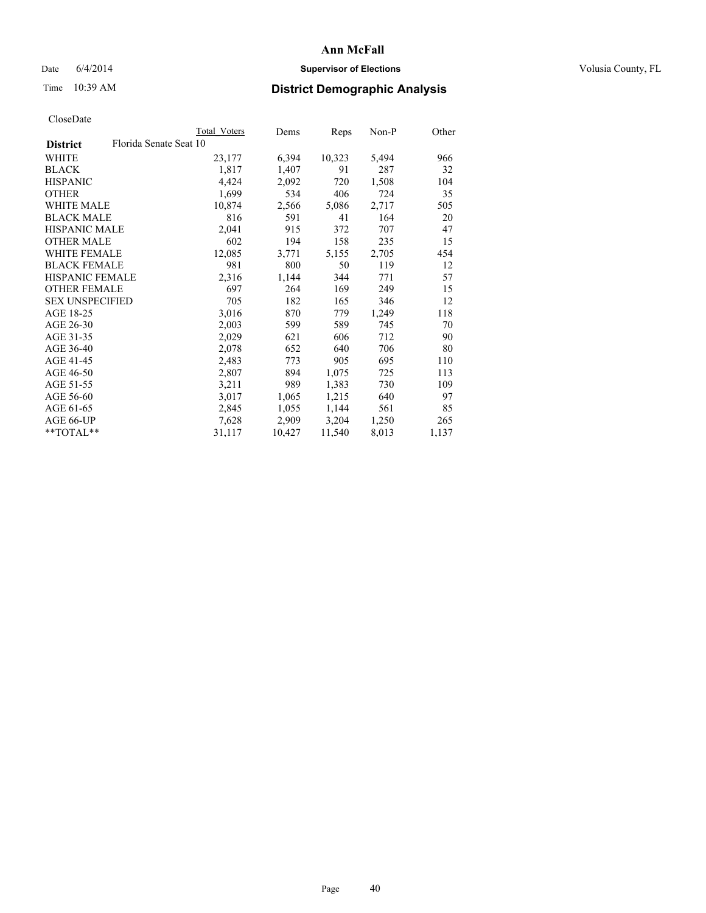## Date 6/4/2014 **Supervisor of Elections Supervisor of Elections** Volusia County, FL

## Time 10:39 AM **District Demographic Analysis**

| Total Voters           | Dems   | Reps   | Non-P | Other |
|------------------------|--------|--------|-------|-------|
| Florida Senate Seat 10 |        |        |       |       |
| 23,177                 | 6,394  | 10,323 | 5,494 | 966   |
| 1,817                  | 1,407  | 91     | 287   | 32    |
| 4,424                  | 2,092  | 720    | 1,508 | 104   |
| 1,699                  | 534    | 406    | 724   | 35    |
| 10,874                 | 2,566  | 5,086  | 2,717 | 505   |
| 816                    | 591    | 41     | 164   | 20    |
| 2,041                  | 915    | 372    | 707   | 47    |
| 602                    | 194    | 158    | 235   | 15    |
| 12,085                 | 3,771  | 5,155  | 2,705 | 454   |
| 981                    | 800    | 50     | 119   | 12    |
| 2,316                  | 1,144  | 344    | 771   | 57    |
| 697                    | 264    | 169    | 249   | 15    |
| 705                    | 182    | 165    | 346   | 12    |
| 3,016                  | 870    | 779    | 1,249 | 118   |
| 2,003                  | 599    | 589    | 745   | 70    |
| 2,029                  | 621    | 606    | 712   | 90    |
| 2,078                  | 652    | 640    | 706   | 80    |
| 2,483                  | 773    | 905    | 695   | 110   |
| 2,807                  | 894    | 1,075  | 725   | 113   |
| 3,211                  | 989    | 1,383  | 730   | 109   |
| 3,017                  | 1,065  | 1,215  | 640   | 97    |
| 2,845                  | 1,055  | 1,144  | 561   | 85    |
| 7,628                  | 2,909  | 3,204  | 1,250 | 265   |
| 31,117                 | 10,427 | 11,540 | 8,013 | 1,137 |
|                        |        |        |       |       |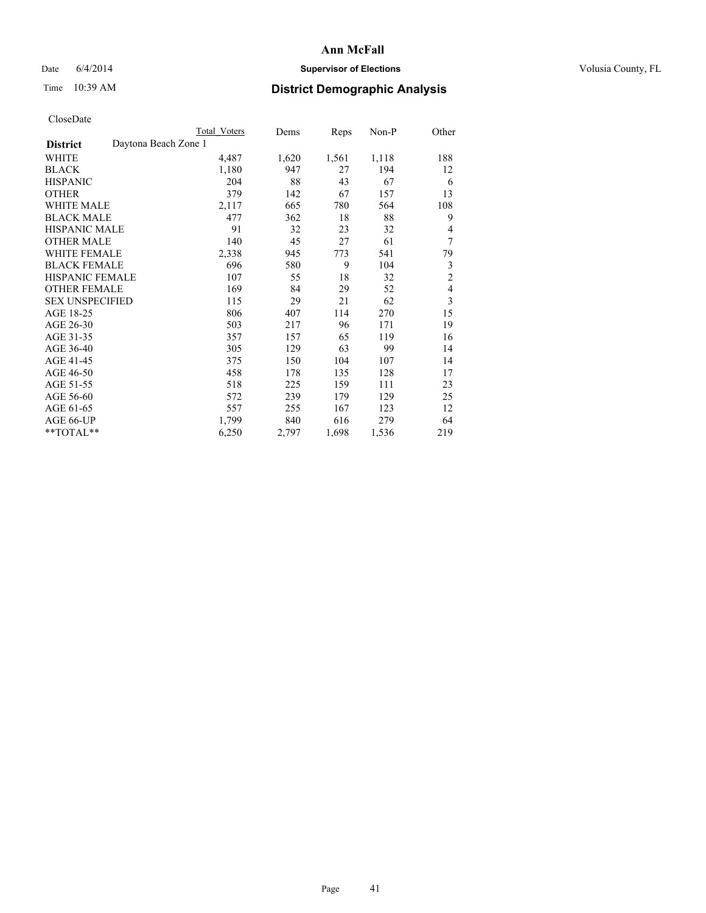## Date 6/4/2014 **Supervisor of Elections Supervisor of Elections** Volusia County, FL

## Time 10:39 AM **District Demographic Analysis**

|                                         | Total Voters | Dems  | Reps  | Non-P | Other          |
|-----------------------------------------|--------------|-------|-------|-------|----------------|
| Daytona Beach Zone 1<br><b>District</b> |              |       |       |       |                |
| WHITE                                   | 4,487        | 1,620 | 1,561 | 1,118 | 188            |
| <b>BLACK</b>                            | 1,180        | 947   | 27    | 194   | 12             |
| <b>HISPANIC</b>                         | 204          | 88    | 43    | 67    | 6              |
| <b>OTHER</b>                            | 379          | 142   | 67    | 157   | 13             |
| WHITE MALE                              | 2,117        | 665   | 780   | 564   | 108            |
| <b>BLACK MALE</b>                       | 477          | 362   | 18    | 88    | 9              |
| HISPANIC MALE                           | 91           | 32    | 23    | 32    | 4              |
| <b>OTHER MALE</b>                       | 140          | 45    | 27    | 61    | 7              |
| WHITE FEMALE                            | 2,338        | 945   | 773   | 541   | 79             |
| <b>BLACK FEMALE</b>                     | 696          | 580   | 9     | 104   | 3              |
| <b>HISPANIC FEMALE</b>                  | 107          | 55    | 18    | 32    | $\overline{c}$ |
| <b>OTHER FEMALE</b>                     | 169          | 84    | 29    | 52    | 4              |
| <b>SEX UNSPECIFIED</b>                  | 115          | 29    | 21    | 62    | 3              |
| AGE 18-25                               | 806          | 407   | 114   | 270   | 15             |
| AGE 26-30                               | 503          | 217   | 96    | 171   | 19             |
| AGE 31-35                               | 357          | 157   | 65    | 119   | 16             |
| AGE 36-40                               | 305          | 129   | 63    | 99    | 14             |
| AGE 41-45                               | 375          | 150   | 104   | 107   | 14             |
| AGE 46-50                               | 458          | 178   | 135   | 128   | 17             |
| AGE 51-55                               | 518          | 225   | 159   | 111   | 23             |
| AGE 56-60                               | 572          | 239   | 179   | 129   | 25             |
| AGE 61-65                               | 557          | 255   | 167   | 123   | 12             |
| AGE 66-UP                               | 1,799        | 840   | 616   | 279   | 64             |
| **TOTAL**                               | 6,250        | 2,797 | 1,698 | 1,536 | 219            |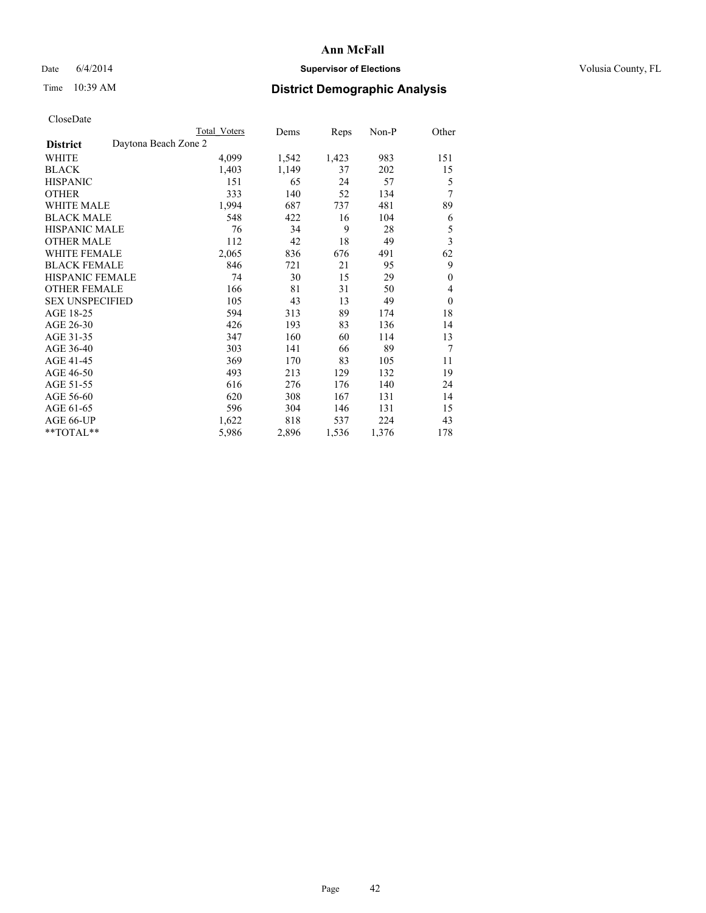## Date 6/4/2014 **Supervisor of Elections Supervisor of Elections** Volusia County, FL

|  | CloseDate |
|--|-----------|
|  |           |

|                                         | Total Voters | Dems  | Reps  | Non-P | Other                   |
|-----------------------------------------|--------------|-------|-------|-------|-------------------------|
| Daytona Beach Zone 2<br><b>District</b> |              |       |       |       |                         |
| WHITE                                   | 4,099        | 1,542 | 1,423 | 983   | 151                     |
| <b>BLACK</b>                            | 1,403        | 1,149 | 37    | 202   | 15                      |
| <b>HISPANIC</b>                         | 151          | 65    | 24    | 57    | 5                       |
| <b>OTHER</b>                            | 333          | 140   | 52    | 134   | 7                       |
| <b>WHITE MALE</b>                       | 1,994        | 687   | 737   | 481   | 89                      |
| <b>BLACK MALE</b>                       | 548          | 422   | 16    | 104   | 6                       |
| <b>HISPANIC MALE</b>                    | 76           | 34    | 9     | 28    | 5                       |
| <b>OTHER MALE</b>                       | 112          | 42    | 18    | 49    | $\overline{\mathbf{3}}$ |
| <b>WHITE FEMALE</b>                     | 2,065        | 836   | 676   | 491   | 62                      |
| <b>BLACK FEMALE</b>                     | 846          | 721   | 21    | 95    | 9                       |
| <b>HISPANIC FEMALE</b>                  | 74           | 30    | 15    | 29    | $\mathbf{0}$            |
| <b>OTHER FEMALE</b>                     | 166          | 81    | 31    | 50    | 4                       |
| <b>SEX UNSPECIFIED</b>                  | 105          | 43    | 13    | 49    | $\theta$                |
| AGE 18-25                               | 594          | 313   | 89    | 174   | 18                      |
| AGE 26-30                               | 426          | 193   | 83    | 136   | 14                      |
| AGE 31-35                               | 347          | 160   | 60    | 114   | 13                      |
| AGE 36-40                               | 303          | 141   | 66    | 89    | 7                       |
| AGE 41-45                               | 369          | 170   | 83    | 105   | 11                      |
| AGE 46-50                               | 493          | 213   | 129   | 132   | 19                      |
| AGE 51-55                               | 616          | 276   | 176   | 140   | 24                      |
| AGE 56-60                               | 620          | 308   | 167   | 131   | 14                      |
| AGE 61-65                               | 596          | 304   | 146   | 131   | 15                      |
| AGE 66-UP                               | 1,622        | 818   | 537   | 224   | 43                      |
| **TOTAL**                               | 5,986        | 2,896 | 1,536 | 1,376 | 178                     |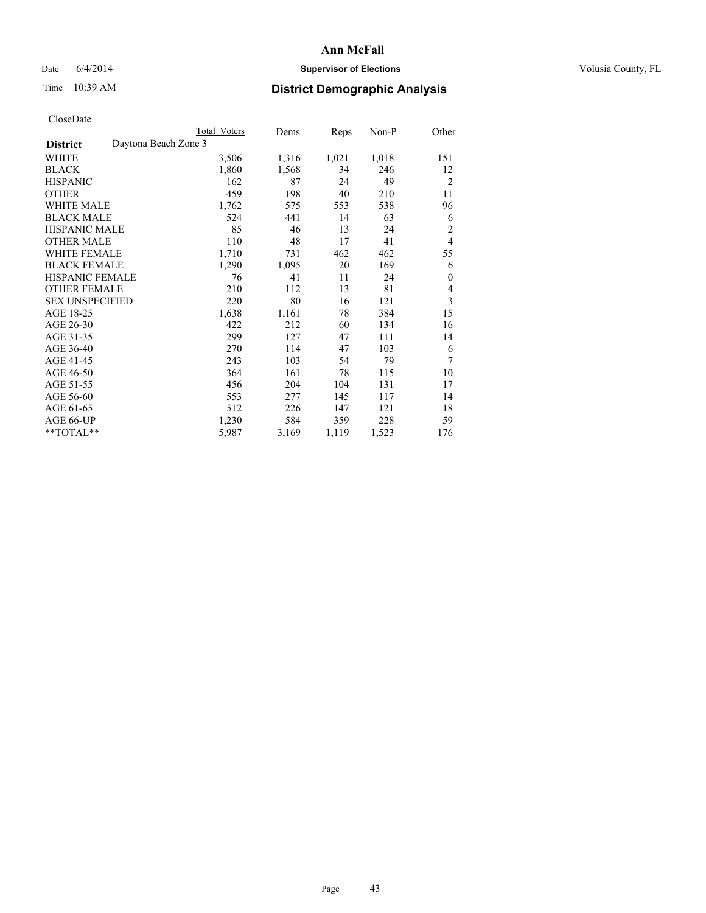## Date 6/4/2014 **Supervisor of Elections Supervisor of Elections** Volusia County, FL

# Time 10:39 AM **District Demographic Analysis**

|                                         | Total Voters | Dems  | Reps  | Non-P | Other                   |
|-----------------------------------------|--------------|-------|-------|-------|-------------------------|
| Daytona Beach Zone 3<br><b>District</b> |              |       |       |       |                         |
| WHITE                                   | 3,506        | 1,316 | 1,021 | 1,018 | 151                     |
| <b>BLACK</b>                            | 1,860        | 1,568 | 34    | 246   | 12                      |
| <b>HISPANIC</b>                         | 162          | 87    | 24    | 49    | $\overline{2}$          |
| <b>OTHER</b>                            | 459          | 198   | 40    | 210   | 11                      |
| WHITE MALE                              | 1,762        | 575   | 553   | 538   | 96                      |
| <b>BLACK MALE</b>                       | 524          | 441   | 14    | 63    | 6                       |
| <b>HISPANIC MALE</b>                    | 85           | 46    | 13    | 24    | $\overline{2}$          |
| <b>OTHER MALE</b>                       | 110          | 48    | 17    | 41    | $\overline{4}$          |
| WHITE FEMALE                            | 1,710        | 731   | 462   | 462   | 55                      |
| <b>BLACK FEMALE</b>                     | 1,290        | 1,095 | 20    | 169   | 6                       |
| <b>HISPANIC FEMALE</b>                  | 76           | 41    | 11    | 24    | $\mathbf{0}$            |
| <b>OTHER FEMALE</b>                     | 210          | 112   | 13    | 81    | 4                       |
| <b>SEX UNSPECIFIED</b>                  | 220          | 80    | 16    | 121   | $\overline{\mathbf{3}}$ |
| AGE 18-25                               | 1,638        | 1,161 | 78    | 384   | 15                      |
| AGE 26-30                               | 422          | 212   | 60    | 134   | 16                      |
| AGE 31-35                               | 299          | 127   | 47    | 111   | 14                      |
| AGE 36-40                               | 270          | 114   | 47    | 103   | 6                       |
| AGE 41-45                               | 243          | 103   | 54    | 79    | 7                       |
| AGE 46-50                               | 364          | 161   | 78    | 115   | 10                      |
| AGE 51-55                               | 456          | 204   | 104   | 131   | 17                      |
| AGE 56-60                               | 553          | 277   | 145   | 117   | 14                      |
| AGE 61-65                               | 512          | 226   | 147   | 121   | 18                      |
| AGE 66-UP                               | 1,230        | 584   | 359   | 228   | 59                      |
| **TOTAL**                               | 5,987        | 3,169 | 1,119 | 1,523 | 176                     |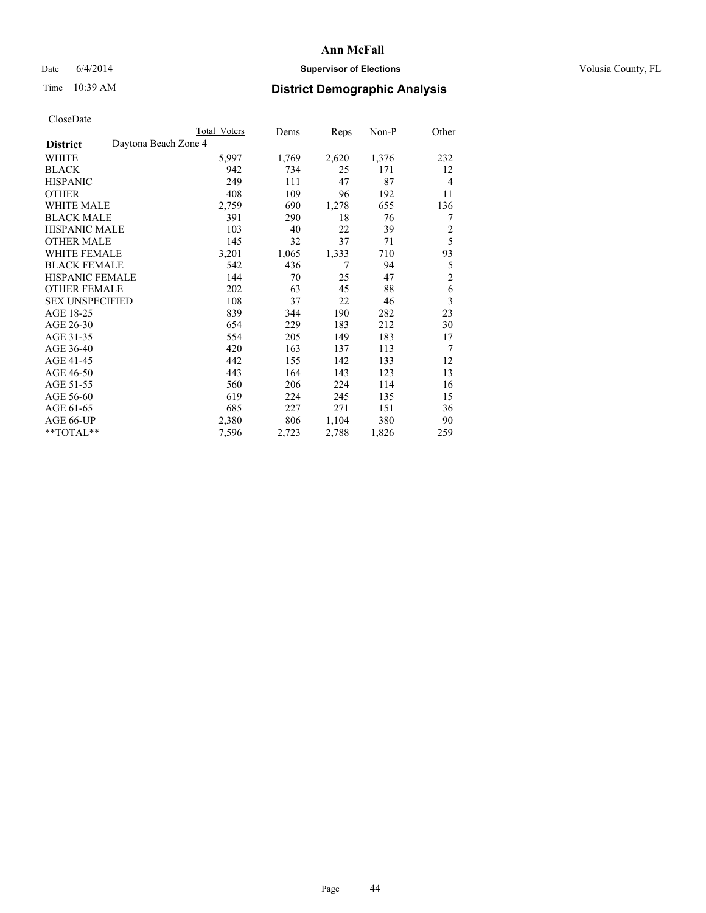## Date 6/4/2014 **Supervisor of Elections Supervisor of Elections** Volusia County, FL

## Time 10:39 AM **District Demographic Analysis**

|                                         | <b>Total Voters</b> | Dems  | Reps  | Non-P | Other          |
|-----------------------------------------|---------------------|-------|-------|-------|----------------|
| Daytona Beach Zone 4<br><b>District</b> |                     |       |       |       |                |
| WHITE                                   | 5,997               | 1,769 | 2,620 | 1,376 | 232            |
| <b>BLACK</b>                            | 942                 | 734   | 25    | 171   | 12             |
| <b>HISPANIC</b>                         | 249                 | 111   | 47    | 87    | $\overline{4}$ |
| <b>OTHER</b>                            | 408                 | 109   | 96    | 192   | 11             |
| WHITE MALE                              | 2,759               | 690   | 1,278 | 655   | 136            |
| <b>BLACK MALE</b>                       | 391                 | 290   | 18    | 76    | 7              |
| HISPANIC MALE                           | 103                 | 40    | 22    | 39    | $\overline{2}$ |
| <b>OTHER MALE</b>                       | 145                 | 32    | 37    | 71    | 5              |
| WHITE FEMALE                            | 3,201               | 1,065 | 1,333 | 710   | 93             |
| <b>BLACK FEMALE</b>                     | 542                 | 436   | 7     | 94    | 5              |
| <b>HISPANIC FEMALE</b>                  | 144                 | 70    | 25    | 47    | $\overline{c}$ |
| <b>OTHER FEMALE</b>                     | 202                 | 63    | 45    | 88    | 6              |
| <b>SEX UNSPECIFIED</b>                  | 108                 | 37    | 22    | 46    | 3              |
| AGE 18-25                               | 839                 | 344   | 190   | 282   | 23             |
| AGE 26-30                               | 654                 | 229   | 183   | 212   | 30             |
| AGE 31-35                               | 554                 | 205   | 149   | 183   | 17             |
| AGE 36-40                               | 420                 | 163   | 137   | 113   | 7              |
| AGE 41-45                               | 442                 | 155   | 142   | 133   | 12             |
| AGE 46-50                               | 443                 | 164   | 143   | 123   | 13             |
| AGE 51-55                               | 560                 | 206   | 224   | 114   | 16             |
| AGE 56-60                               | 619                 | 224   | 245   | 135   | 15             |
| AGE 61-65                               | 685                 | 227   | 271   | 151   | 36             |
| AGE 66-UP                               | 2,380               | 806   | 1,104 | 380   | 90             |
| **TOTAL**                               | 7,596               | 2,723 | 2,788 | 1,826 | 259            |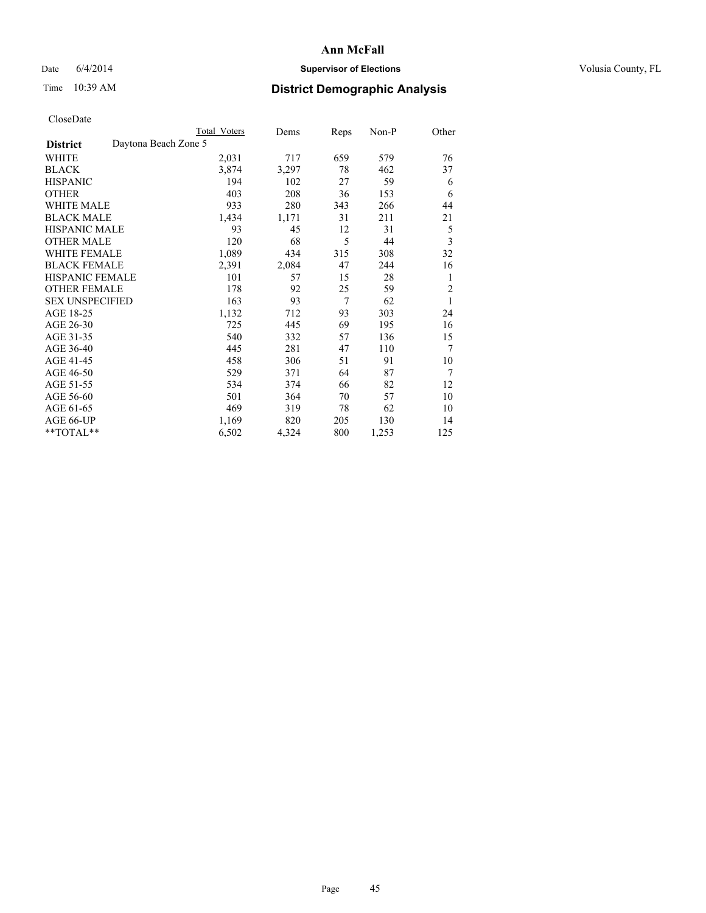## Date 6/4/2014 **Supervisor of Elections Supervisor of Elections** Volusia County, FL

# Time 10:39 AM **District Demographic Analysis**

|                                         | Total Voters | Dems  | Reps           | Non-P | Other          |
|-----------------------------------------|--------------|-------|----------------|-------|----------------|
| Daytona Beach Zone 5<br><b>District</b> |              |       |                |       |                |
| WHITE                                   | 2,031        | 717   | 659            | 579   | 76             |
| <b>BLACK</b>                            | 3,874        | 3,297 | 78             | 462   | 37             |
| <b>HISPANIC</b>                         | 194          | 102   | 27             | 59    | 6              |
| <b>OTHER</b>                            | 403          | 208   | 36             | 153   | 6              |
| <b>WHITE MALE</b>                       | 933          | 280   | 343            | 266   | 44             |
| <b>BLACK MALE</b>                       | 1,434        | 1,171 | 31             | 211   | 21             |
| <b>HISPANIC MALE</b>                    | 93           | 45    | 12             | 31    | 5              |
| <b>OTHER MALE</b>                       | 120          | 68    | 5              | 44    | 3              |
| <b>WHITE FEMALE</b>                     | 1,089        | 434   | 315            | 308   | 32             |
| <b>BLACK FEMALE</b>                     | 2,391        | 2,084 | 47             | 244   | 16             |
| <b>HISPANIC FEMALE</b>                  | 101          | 57    | 15             | 28    | 1              |
| <b>OTHER FEMALE</b>                     | 178          | 92    | 25             | 59    | $\overline{2}$ |
| <b>SEX UNSPECIFIED</b>                  | 163          | 93    | $\overline{7}$ | 62    | 1              |
| AGE 18-25                               | 1,132        | 712   | 93             | 303   | 24             |
| AGE 26-30                               | 725          | 445   | 69             | 195   | 16             |
| AGE 31-35                               | 540          | 332   | 57             | 136   | 15             |
| AGE 36-40                               | 445          | 281   | 47             | 110   | 7              |
| AGE 41-45                               | 458          | 306   | 51             | 91    | 10             |
| AGE 46-50                               | 529          | 371   | 64             | 87    | 7              |
| AGE 51-55                               | 534          | 374   | 66             | 82    | 12             |
| AGE 56-60                               | 501          | 364   | 70             | 57    | 10             |
| AGE 61-65                               | 469          | 319   | 78             | 62    | 10             |
| AGE 66-UP                               | 1,169        | 820   | 205            | 130   | 14             |
| **TOTAL**                               | 6,502        | 4,324 | 800            | 1,253 | 125            |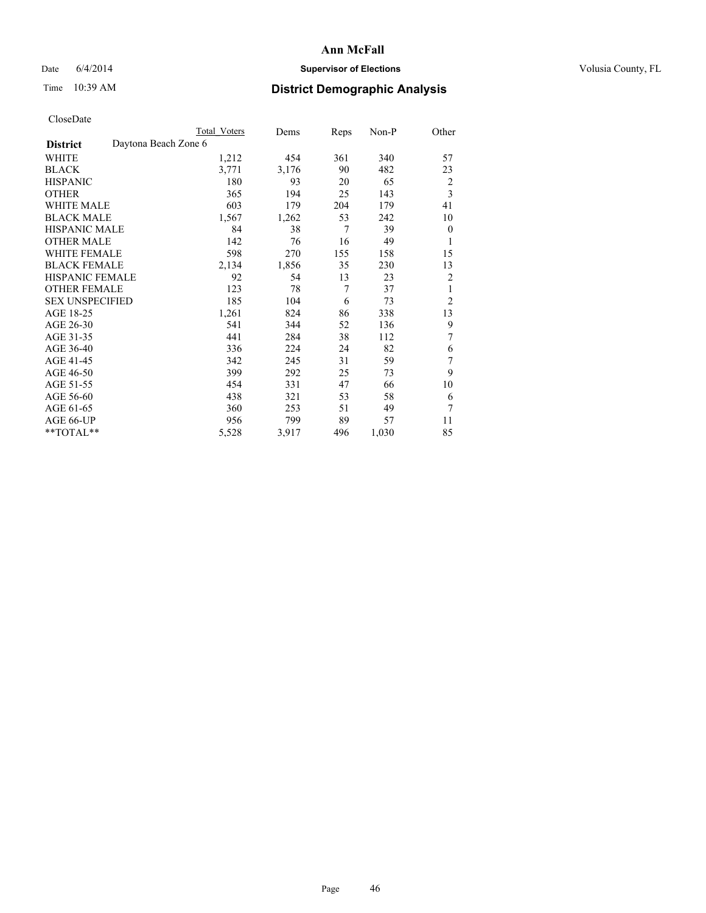## Date 6/4/2014 **Supervisor of Elections Supervisor of Elections** Volusia County, FL

|                        |                      | <b>Total Voters</b> | Dems  | Reps           | Non-P | Other          |
|------------------------|----------------------|---------------------|-------|----------------|-------|----------------|
| <b>District</b>        | Daytona Beach Zone 6 |                     |       |                |       |                |
| WHITE                  |                      | 1,212               | 454   | 361            | 340   | 57             |
| <b>BLACK</b>           |                      | 3,771               | 3,176 | 90             | 482   | 23             |
| <b>HISPANIC</b>        |                      | 180                 | 93    | 20             | 65    | 2              |
| <b>OTHER</b>           |                      | 365                 | 194   | 25             | 143   | $\overline{3}$ |
| WHITE MALE             |                      | 603                 | 179   | 204            | 179   | 41             |
| <b>BLACK MALE</b>      |                      | 1,567               | 1,262 | 53             | 242   | 10             |
| <b>HISPANIC MALE</b>   |                      | 84                  | 38    | $\overline{7}$ | 39    | $\mathbf{0}$   |
| <b>OTHER MALE</b>      |                      | 142                 | 76    | 16             | 49    | 1              |
| <b>WHITE FEMALE</b>    |                      | 598                 | 270   | 155            | 158   | 15             |
| <b>BLACK FEMALE</b>    |                      | 2,134               | 1,856 | 35             | 230   | 13             |
| <b>HISPANIC FEMALE</b> |                      | 92                  | 54    | 13             | 23    | $\overline{c}$ |
| <b>OTHER FEMALE</b>    |                      | 123                 | 78    | 7              | 37    | 1              |
| <b>SEX UNSPECIFIED</b> |                      | 185                 | 104   | 6              | 73    | $\overline{2}$ |
| AGE 18-25              |                      | 1,261               | 824   | 86             | 338   | 13             |
| AGE 26-30              |                      | 541                 | 344   | 52             | 136   | 9              |
| AGE 31-35              |                      | 441                 | 284   | 38             | 112   | 7              |
| AGE 36-40              |                      | 336                 | 224   | 24             | 82    | 6              |
| AGE 41-45              |                      | 342                 | 245   | 31             | 59    | 7              |
| AGE 46-50              |                      | 399                 | 292   | 25             | 73    | 9              |
| AGE 51-55              |                      | 454                 | 331   | 47             | 66    | 10             |
| AGE 56-60              |                      | 438                 | 321   | 53             | 58    | 6              |
| AGE 61-65              |                      | 360                 | 253   | 51             | 49    | 7              |
| AGE 66-UP              |                      | 956                 | 799   | 89             | 57    | 11             |
| **TOTAL**              |                      | 5,528               | 3,917 | 496            | 1,030 | 85             |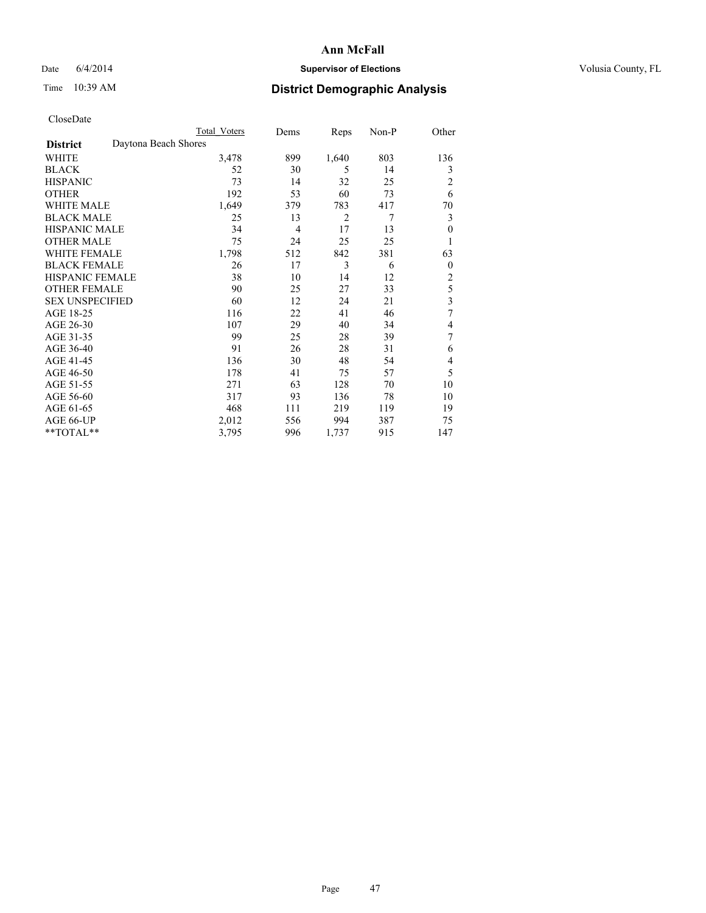## Date 6/4/2014 **Supervisor of Elections Supervisor of Elections** Volusia County, FL

## Time 10:39 AM **District Demographic Analysis**

|                        | <b>Total Voters</b>  | Dems           | Reps           | Non-P | Other          |
|------------------------|----------------------|----------------|----------------|-------|----------------|
| <b>District</b>        | Daytona Beach Shores |                |                |       |                |
| WHITE                  | 3,478                | 899            | 1,640          | 803   | 136            |
| <b>BLACK</b>           | 52                   | 30             | 5              | 14    | 3              |
| <b>HISPANIC</b>        | 73                   | 14             | 32             | 25    | $\overline{c}$ |
| <b>OTHER</b>           | 192                  | 53             | 60             | 73    | 6              |
| WHITE MALE             | 1,649                | 379            | 783            | 417   | 70             |
| <b>BLACK MALE</b>      | 25                   | 13             | $\overline{2}$ | 7     | 3              |
| <b>HISPANIC MALE</b>   | 34                   | $\overline{4}$ | 17             | 13    | $\mathbf{0}$   |
| <b>OTHER MALE</b>      | 75                   | 24             | 25             | 25    | 1              |
| WHITE FEMALE           | 1,798                | 512            | 842            | 381   | 63             |
| <b>BLACK FEMALE</b>    | 26                   | 17             | 3              | 6     | $\overline{0}$ |
| <b>HISPANIC FEMALE</b> | 38                   | 10             | 14             | 12    | $\overline{c}$ |
| <b>OTHER FEMALE</b>    | 90                   | 25             | 27             | 33    | 5              |
| <b>SEX UNSPECIFIED</b> | 60                   | 12             | 24             | 21    | 3              |
| AGE 18-25              | 116                  | 22             | 41             | 46    | 7              |
| AGE 26-30              | 107                  | 29             | 40             | 34    | 4              |
| AGE 31-35              | 99                   | 25             | 28             | 39    | 7              |
| AGE 36-40              | 91                   | 26             | 28             | 31    | 6              |
| AGE 41-45              | 136                  | 30             | 48             | 54    | 4              |
| AGE 46-50              | 178                  | 41             | 75             | 57    | 5              |
| AGE 51-55              | 271                  | 63             | 128            | 70    | 10             |
| AGE 56-60              | 317                  | 93             | 136            | 78    | 10             |
| AGE 61-65              | 468                  | 111            | 219            | 119   | 19             |
| AGE 66-UP              | 2,012                | 556            | 994            | 387   | 75             |
| **TOTAL**              | 3,795                | 996            | 1,737          | 915   | 147            |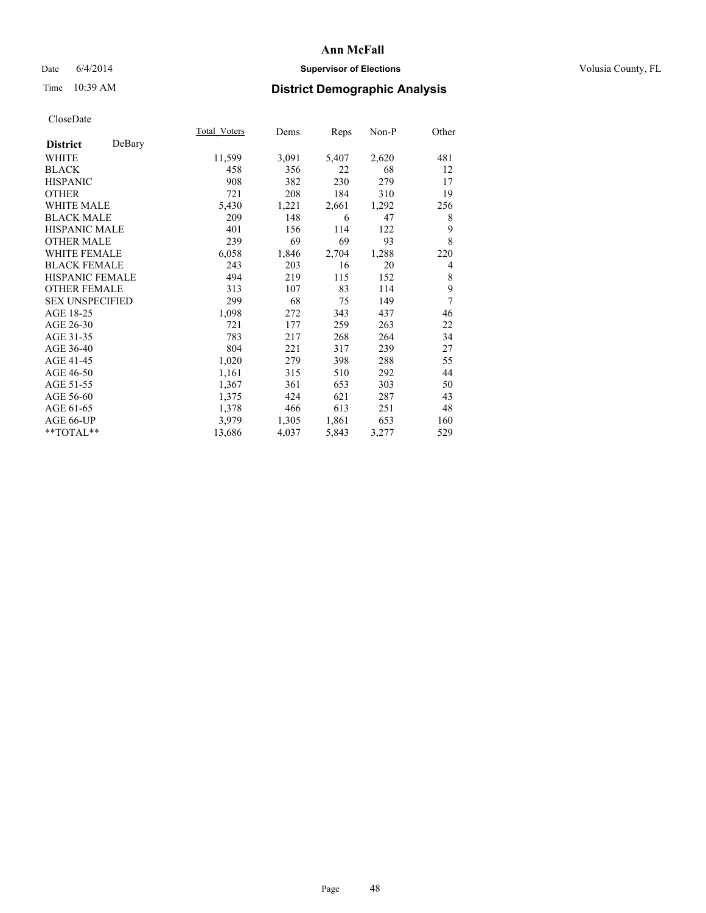## Date 6/4/2014 **Supervisor of Elections Supervisor of Elections** Volusia County, FL

# Time 10:39 AM **District Demographic Analysis**

|                           | Total Voters | Dems  | Reps  | Non-P | Other |
|---------------------------|--------------|-------|-------|-------|-------|
| DeBary<br><b>District</b> |              |       |       |       |       |
| WHITE                     | 11,599       | 3,091 | 5,407 | 2,620 | 481   |
| <b>BLACK</b>              | 458          | 356   | 22    | 68    | 12    |
| <b>HISPANIC</b>           | 908          | 382   | 230   | 279   | 17    |
| OTHER                     | 721          | 208   | 184   | 310   | 19    |
| <b>WHITE MALE</b>         | 5,430        | 1,221 | 2,661 | 1,292 | 256   |
| <b>BLACK MALE</b>         | 209          | 148   | 6     | 47    | 8     |
| <b>HISPANIC MALE</b>      | 401          | 156   | 114   | 122   | 9     |
| OTHER MALE                | 239          | 69    | 69    | 93    | 8     |
| <b>WHITE FEMALE</b>       | 6,058        | 1,846 | 2,704 | 1,288 | 220   |
| <b>BLACK FEMALE</b>       | 243          | 203   | 16    | 20    | 4     |
| <b>HISPANIC FEMALE</b>    | 494          | 219   | 115   | 152   | 8     |
| <b>OTHER FEMALE</b>       | 313          | 107   | 83    | 114   | 9     |
| <b>SEX UNSPECIFIED</b>    | 299          | 68    | 75    | 149   | 7     |
| AGE 18-25                 | 1,098        | 272   | 343   | 437   | 46    |
| AGE 26-30                 | 721          | 177   | 259   | 263   | 22    |
| AGE 31-35                 | 783          | 217   | 268   | 264   | 34    |
| AGE 36-40                 | 804          | 221   | 317   | 239   | 27    |
| AGE 41-45                 | 1,020        | 279   | 398   | 288   | 55    |
| AGE 46-50                 | 1,161        | 315   | 510   | 292   | 44    |
| AGE 51-55                 | 1,367        | 361   | 653   | 303   | 50    |
| AGE 56-60                 | 1,375        | 424   | 621   | 287   | 43    |
| AGE 61-65                 | 1,378        | 466   | 613   | 251   | 48    |
| AGE 66-UP                 | 3,979        | 1,305 | 1,861 | 653   | 160   |
| **TOTAL**                 | 13,686       | 4,037 | 5,843 | 3,277 | 529   |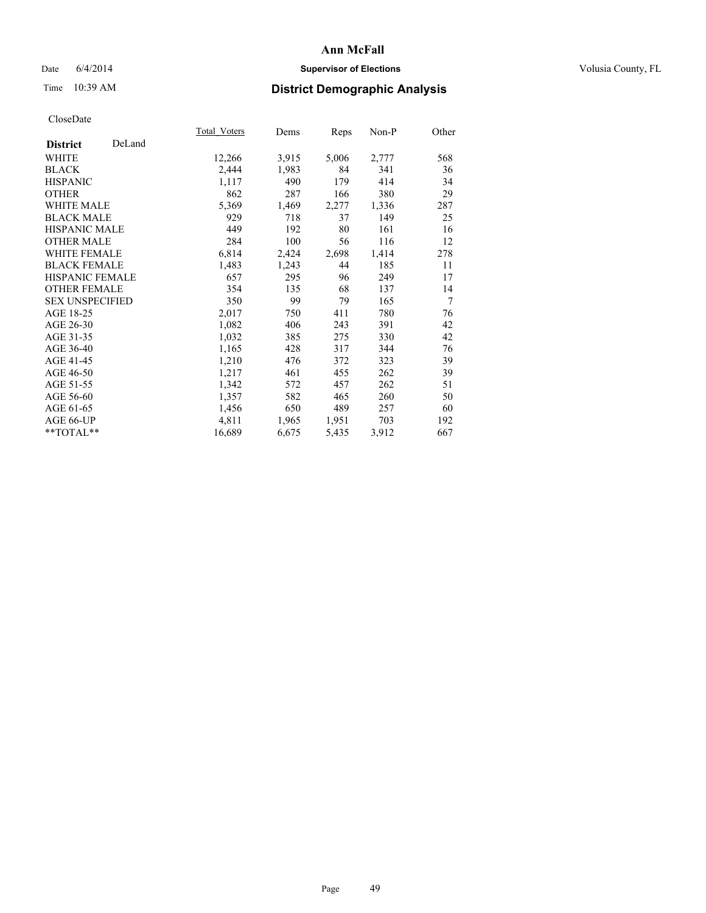## Date 6/4/2014 **Supervisor of Elections Supervisor of Elections** Volusia County, FL

## Time 10:39 AM **District Demographic Analysis**

|                           | Total Voters | Dems  | Reps  | Non-P | Other |
|---------------------------|--------------|-------|-------|-------|-------|
| DeLand<br><b>District</b> |              |       |       |       |       |
| WHITE                     | 12,266       | 3,915 | 5,006 | 2,777 | 568   |
| <b>BLACK</b>              | 2,444        | 1,983 | 84    | 341   | 36    |
| <b>HISPANIC</b>           | 1,117        | 490   | 179   | 414   | 34    |
| <b>OTHER</b>              | 862          | 287   | 166   | 380   | 29    |
| WHITE MALE                | 5,369        | 1,469 | 2,277 | 1,336 | 287   |
| <b>BLACK MALE</b>         | 929          | 718   | 37    | 149   | 25    |
| <b>HISPANIC MALE</b>      | 449          | 192   | 80    | 161   | 16    |
| <b>OTHER MALE</b>         | 284          | 100   | 56    | 116   | 12    |
| <b>WHITE FEMALE</b>       | 6,814        | 2,424 | 2,698 | 1,414 | 278   |
| <b>BLACK FEMALE</b>       | 1,483        | 1,243 | 44    | 185   | 11    |
| <b>HISPANIC FEMALE</b>    | 657          | 295   | 96    | 249   | 17    |
| <b>OTHER FEMALE</b>       | 354          | 135   | 68    | 137   | 14    |
| <b>SEX UNSPECIFIED</b>    | 350          | 99    | 79    | 165   | 7     |
| AGE 18-25                 | 2,017        | 750   | 411   | 780   | 76    |
| AGE 26-30                 | 1,082        | 406   | 243   | 391   | 42    |
| AGE 31-35                 | 1,032        | 385   | 275   | 330   | 42    |
| AGE 36-40                 | 1,165        | 428   | 317   | 344   | 76    |
| AGE 41-45                 | 1,210        | 476   | 372   | 323   | 39    |
| AGE 46-50                 | 1,217        | 461   | 455   | 262   | 39    |
| AGE 51-55                 | 1,342        | 572   | 457   | 262   | 51    |
| AGE 56-60                 | 1,357        | 582   | 465   | 260   | 50    |
| AGE 61-65                 | 1,456        | 650   | 489   | 257   | 60    |
| AGE 66-UP                 | 4,811        | 1,965 | 1,951 | 703   | 192   |
| $*$ $TOTAL**$             | 16,689       | 6,675 | 5,435 | 3,912 | 667   |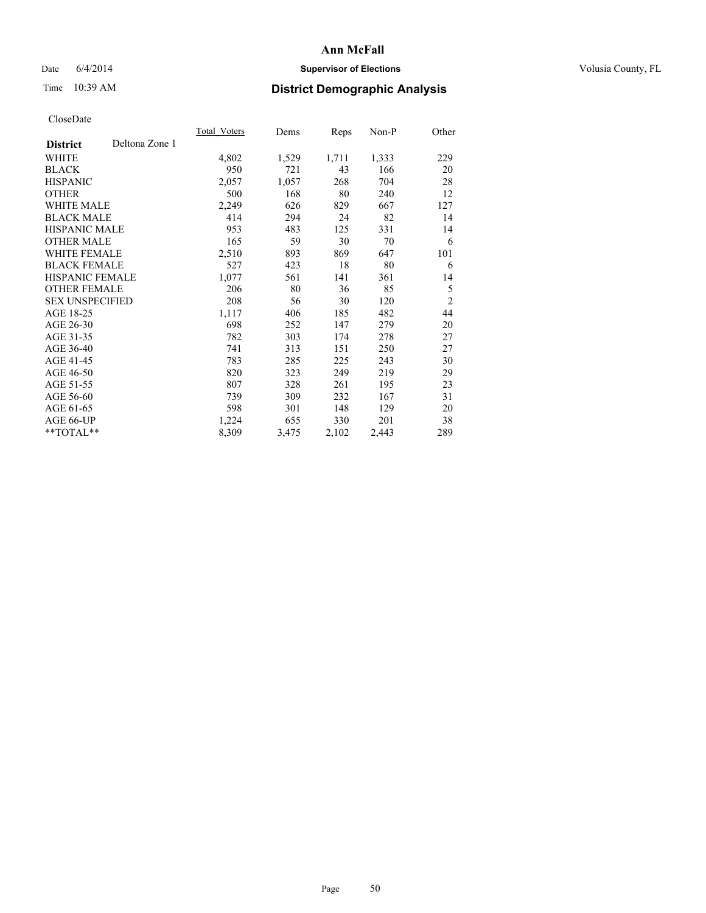## Date 6/4/2014 **Supervisor of Elections Supervisor of Elections** Volusia County, FL

# Time 10:39 AM **District Demographic Analysis**

|                                   | <b>Total Voters</b> | Dems  | Reps  | Non-P | Other          |
|-----------------------------------|---------------------|-------|-------|-------|----------------|
| Deltona Zone 1<br><b>District</b> |                     |       |       |       |                |
| WHITE                             | 4,802               | 1,529 | 1,711 | 1,333 | 229            |
| <b>BLACK</b>                      | 950                 | 721   | 43    | 166   | 20             |
| <b>HISPANIC</b>                   | 2,057               | 1,057 | 268   | 704   | 28             |
| OTHER                             | 500                 | 168   | 80    | 240   | 12             |
| WHITE MALE                        | 2,249               | 626   | 829   | 667   | 127            |
| <b>BLACK MALE</b>                 | 414                 | 294   | 24    | 82    | 14             |
| <b>HISPANIC MALE</b>              | 953                 | 483   | 125   | 331   | 14             |
| OTHER MALE                        | 165                 | 59    | 30    | 70    | 6              |
| <b>WHITE FEMALE</b>               | 2,510               | 893   | 869   | 647   | 101            |
| <b>BLACK FEMALE</b>               | 527                 | 423   | 18    | 80    | 6              |
| HISPANIC FEMALE                   | 1,077               | 561   | 141   | 361   | 14             |
| <b>OTHER FEMALE</b>               | 206                 | 80    | 36    | 85    | 5              |
| <b>SEX UNSPECIFIED</b>            | 208                 | 56    | 30    | 120   | $\overline{2}$ |
| AGE 18-25                         | 1,117               | 406   | 185   | 482   | 44             |
| AGE 26-30                         | 698                 | 252   | 147   | 279   | 20             |
| AGE 31-35                         | 782                 | 303   | 174   | 278   | 27             |
| AGE 36-40                         | 741                 | 313   | 151   | 250   | 27             |
| AGE 41-45                         | 783                 | 285   | 225   | 243   | 30             |
| AGE 46-50                         | 820                 | 323   | 249   | 219   | 29             |
| AGE 51-55                         | 807                 | 328   | 261   | 195   | 23             |
| AGE 56-60                         | 739                 | 309   | 232   | 167   | 31             |
| AGE 61-65                         | 598                 | 301   | 148   | 129   | 20             |
| AGE 66-UP                         | 1,224               | 655   | 330   | 201   | 38             |
| **TOTAL**                         | 8,309               | 3,475 | 2,102 | 2,443 | 289            |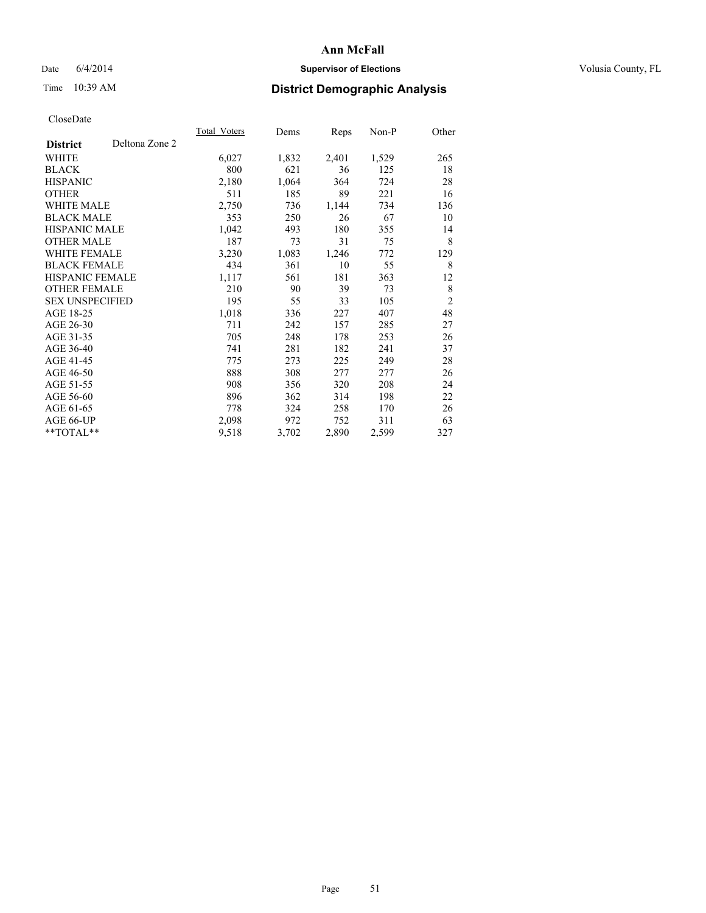## Date 6/4/2014 **Supervisor of Elections Supervisor of Elections** Volusia County, FL

# Time 10:39 AM **District Demographic Analysis**

|                                   | Total Voters | Dems  | Reps  | Non-P | Other          |
|-----------------------------------|--------------|-------|-------|-------|----------------|
| Deltona Zone 2<br><b>District</b> |              |       |       |       |                |
| WHITE                             | 6,027        | 1,832 | 2,401 | 1,529 | 265            |
| <b>BLACK</b>                      | 800          | 621   | 36    | 125   | 18             |
| <b>HISPANIC</b>                   | 2,180        | 1,064 | 364   | 724   | 28             |
| <b>OTHER</b>                      | 511          | 185   | 89    | 221   | 16             |
| WHITE MALE                        | 2,750        | 736   | 1,144 | 734   | 136            |
| <b>BLACK MALE</b>                 | 353          | 250   | 26    | 67    | 10             |
| <b>HISPANIC MALE</b>              | 1,042        | 493   | 180   | 355   | 14             |
| <b>OTHER MALE</b>                 | 187          | 73    | 31    | 75    | 8              |
| <b>WHITE FEMALE</b>               | 3,230        | 1,083 | 1,246 | 772   | 129            |
| <b>BLACK FEMALE</b>               | 434          | 361   | 10    | 55    | 8              |
| <b>HISPANIC FEMALE</b>            | 1,117        | 561   | 181   | 363   | 12             |
| <b>OTHER FEMALE</b>               | 210          | 90    | 39    | 73    | 8              |
| <b>SEX UNSPECIFIED</b>            | 195          | 55    | 33    | 105   | $\overline{c}$ |
| AGE 18-25                         | 1,018        | 336   | 227   | 407   | 48             |
| AGE 26-30                         | 711          | 242   | 157   | 285   | 27             |
| AGE 31-35                         | 705          | 248   | 178   | 253   | 26             |
| AGE 36-40                         | 741          | 281   | 182   | 241   | 37             |
| AGE 41-45                         | 775          | 273   | 225   | 249   | 28             |
| AGE 46-50                         | 888          | 308   | 277   | 277   | 26             |
| AGE 51-55                         | 908          | 356   | 320   | 208   | 24             |
| AGE 56-60                         | 896          | 362   | 314   | 198   | 22             |
| AGE 61-65                         | 778          | 324   | 258   | 170   | 26             |
| AGE 66-UP                         | 2,098        | 972   | 752   | 311   | 63             |
| **TOTAL**                         | 9,518        | 3,702 | 2,890 | 2,599 | 327            |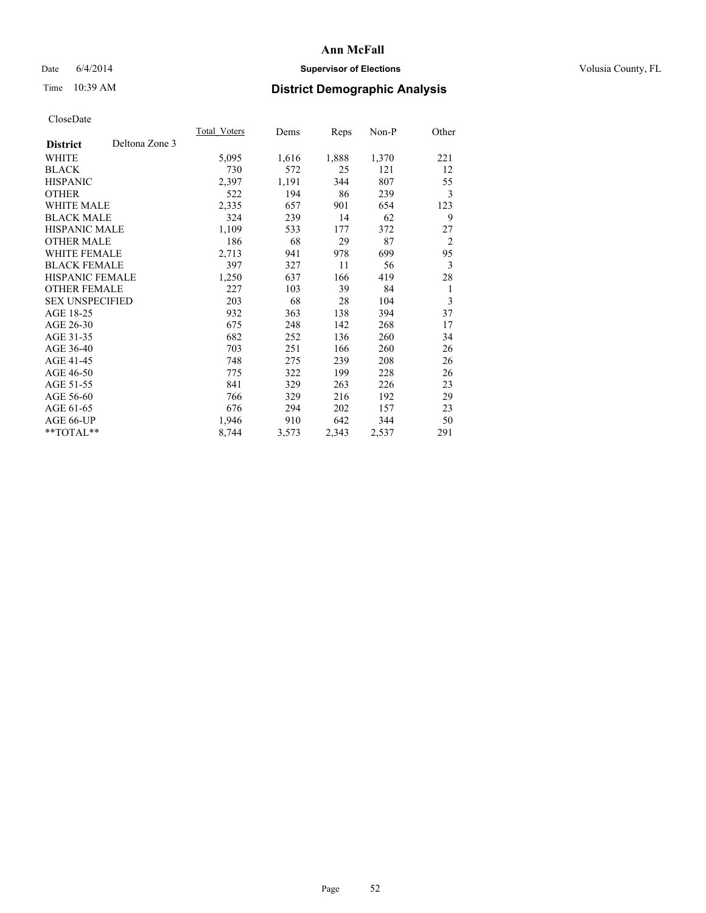## Date 6/4/2014 **Supervisor of Elections Supervisor of Elections** Volusia County, FL

## Time 10:39 AM **District Demographic Analysis**

|                        |                | Total Voters | Dems  | Reps  | Non-P | Other          |
|------------------------|----------------|--------------|-------|-------|-------|----------------|
| <b>District</b>        | Deltona Zone 3 |              |       |       |       |                |
| WHITE                  |                | 5,095        | 1,616 | 1,888 | 1,370 | 221            |
| <b>BLACK</b>           |                | 730          | 572   | 25    | 121   | 12             |
| <b>HISPANIC</b>        |                | 2,397        | 1,191 | 344   | 807   | 55             |
| <b>OTHER</b>           |                | 522          | 194   | 86    | 239   | 3              |
| WHITE MALE             |                | 2,335        | 657   | 901   | 654   | 123            |
| <b>BLACK MALE</b>      |                | 324          | 239   | 14    | 62    | 9              |
| <b>HISPANIC MALE</b>   |                | 1,109        | 533   | 177   | 372   | 27             |
| <b>OTHER MALE</b>      |                | 186          | 68    | 29    | 87    | $\overline{2}$ |
| WHITE FEMALE           |                | 2,713        | 941   | 978   | 699   | 95             |
| <b>BLACK FEMALE</b>    |                | 397          | 327   | 11    | 56    | 3              |
| <b>HISPANIC FEMALE</b> |                | 1,250        | 637   | 166   | 419   | 28             |
| <b>OTHER FEMALE</b>    |                | 227          | 103   | 39    | 84    | 1              |
| <b>SEX UNSPECIFIED</b> |                | 203          | 68    | 28    | 104   | 3              |
| AGE 18-25              |                | 932          | 363   | 138   | 394   | 37             |
| AGE 26-30              |                | 675          | 248   | 142   | 268   | 17             |
| AGE 31-35              |                | 682          | 252   | 136   | 260   | 34             |
| AGE 36-40              |                | 703          | 251   | 166   | 260   | 26             |
| AGE 41-45              |                | 748          | 275   | 239   | 208   | 26             |
| AGE 46-50              |                | 775          | 322   | 199   | 228   | 26             |
| AGE 51-55              |                | 841          | 329   | 263   | 226   | 23             |
| AGE 56-60              |                | 766          | 329   | 216   | 192   | 29             |
| AGE 61-65              |                | 676          | 294   | 202   | 157   | 23             |
| AGE 66-UP              |                | 1,946        | 910   | 642   | 344   | 50             |
| **TOTAL**              |                | 8,744        | 3,573 | 2,343 | 2,537 | 291            |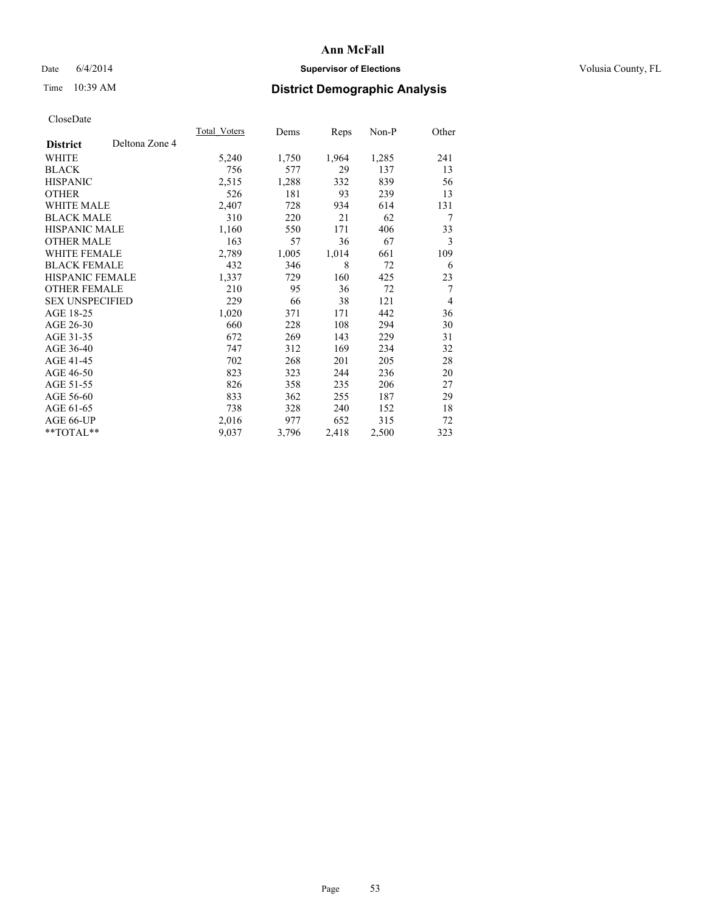## Date 6/4/2014 **Supervisor of Elections Supervisor of Elections** Volusia County, FL

# Time 10:39 AM **District Demographic Analysis**

|                        |                | Total Voters | Dems  | Reps  | Non-P | Other          |
|------------------------|----------------|--------------|-------|-------|-------|----------------|
| <b>District</b>        | Deltona Zone 4 |              |       |       |       |                |
| WHITE                  |                | 5,240        | 1,750 | 1,964 | 1,285 | 241            |
| <b>BLACK</b>           |                | 756          | 577   | 29    | 137   | 13             |
| <b>HISPANIC</b>        |                | 2,515        | 1,288 | 332   | 839   | 56             |
| <b>OTHER</b>           |                | 526          | 181   | 93    | 239   | 13             |
| WHITE MALE             |                | 2,407        | 728   | 934   | 614   | 131            |
| <b>BLACK MALE</b>      |                | 310          | 220   | 21    | 62    | 7              |
| <b>HISPANIC MALE</b>   |                | 1,160        | 550   | 171   | 406   | 33             |
| <b>OTHER MALE</b>      |                | 163          | 57    | 36    | 67    | 3              |
| WHITE FEMALE           |                | 2,789        | 1,005 | 1,014 | 661   | 109            |
| <b>BLACK FEMALE</b>    |                | 432          | 346   | 8     | 72    | 6              |
| <b>HISPANIC FEMALE</b> |                | 1,337        | 729   | 160   | 425   | 23             |
| <b>OTHER FEMALE</b>    |                | 210          | 95    | 36    | 72    | $\overline{7}$ |
| <b>SEX UNSPECIFIED</b> |                | 229          | 66    | 38    | 121   | 4              |
| AGE 18-25              |                | 1,020        | 371   | 171   | 442   | 36             |
| AGE 26-30              |                | 660          | 228   | 108   | 294   | 30             |
| AGE 31-35              |                | 672          | 269   | 143   | 229   | 31             |
| AGE 36-40              |                | 747          | 312   | 169   | 234   | 32             |
| AGE 41-45              |                | 702          | 268   | 201   | 205   | 28             |
| AGE 46-50              |                | 823          | 323   | 244   | 236   | 20             |
| AGE 51-55              |                | 826          | 358   | 235   | 206   | 27             |
| AGE 56-60              |                | 833          | 362   | 255   | 187   | 29             |
| AGE 61-65              |                | 738          | 328   | 240   | 152   | 18             |
| AGE 66-UP              |                | 2,016        | 977   | 652   | 315   | 72             |
| **TOTAL**              |                | 9,037        | 3,796 | 2,418 | 2,500 | 323            |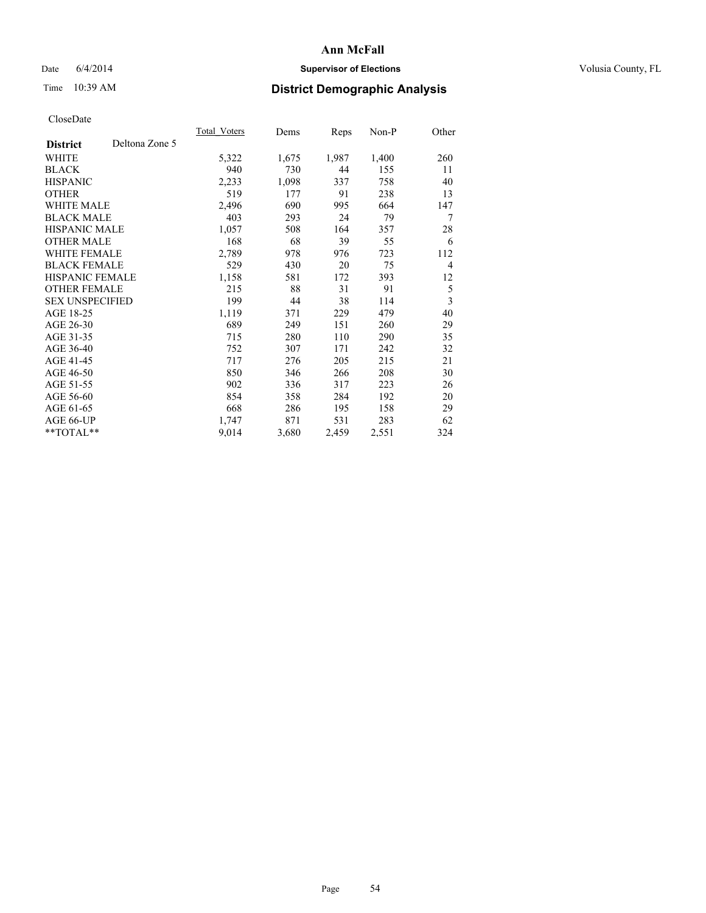## Date 6/4/2014 **Supervisor of Elections Supervisor of Elections** Volusia County, FL

## Time 10:39 AM **District Demographic Analysis**

|                        |                | Total Voters | Dems  | <b>Reps</b> | Non-P | Other          |
|------------------------|----------------|--------------|-------|-------------|-------|----------------|
| <b>District</b>        | Deltona Zone 5 |              |       |             |       |                |
| WHITE                  |                | 5,322        | 1,675 | 1,987       | 1,400 | 260            |
| <b>BLACK</b>           |                | 940          | 730   | 44          | 155   | 11             |
| <b>HISPANIC</b>        |                | 2,233        | 1,098 | 337         | 758   | 40             |
| <b>OTHER</b>           |                | 519          | 177   | 91          | 238   | 13             |
| WHITE MALE             |                | 2,496        | 690   | 995         | 664   | 147            |
| <b>BLACK MALE</b>      |                | 403          | 293   | 24          | 79    | 7              |
| <b>HISPANIC MALE</b>   |                | 1,057        | 508   | 164         | 357   | 28             |
| <b>OTHER MALE</b>      |                | 168          | 68    | 39          | 55    | 6              |
| WHITE FEMALE           |                | 2,789        | 978   | 976         | 723   | 112            |
| <b>BLACK FEMALE</b>    |                | 529          | 430   | 20          | 75    | $\overline{4}$ |
| HISPANIC FEMALE        |                | 1,158        | 581   | 172         | 393   | 12             |
| <b>OTHER FEMALE</b>    |                | 215          | 88    | 31          | 91    | 5              |
| <b>SEX UNSPECIFIED</b> |                | 199          | 44    | 38          | 114   | 3              |
| AGE 18-25              |                | 1,119        | 371   | 229         | 479   | 40             |
| AGE 26-30              |                | 689          | 249   | 151         | 260   | 29             |
| AGE 31-35              |                | 715          | 280   | 110         | 290   | 35             |
| AGE 36-40              |                | 752          | 307   | 171         | 242   | 32             |
| AGE 41-45              |                | 717          | 276   | 205         | 215   | 21             |
| AGE 46-50              |                | 850          | 346   | 266         | 208   | 30             |
| AGE 51-55              |                | 902          | 336   | 317         | 223   | 26             |
| AGE 56-60              |                | 854          | 358   | 284         | 192   | 20             |
| AGE 61-65              |                | 668          | 286   | 195         | 158   | 29             |
| AGE 66-UP              |                | 1,747        | 871   | 531         | 283   | 62             |
| **TOTAL**              |                | 9,014        | 3,680 | 2,459       | 2,551 | 324            |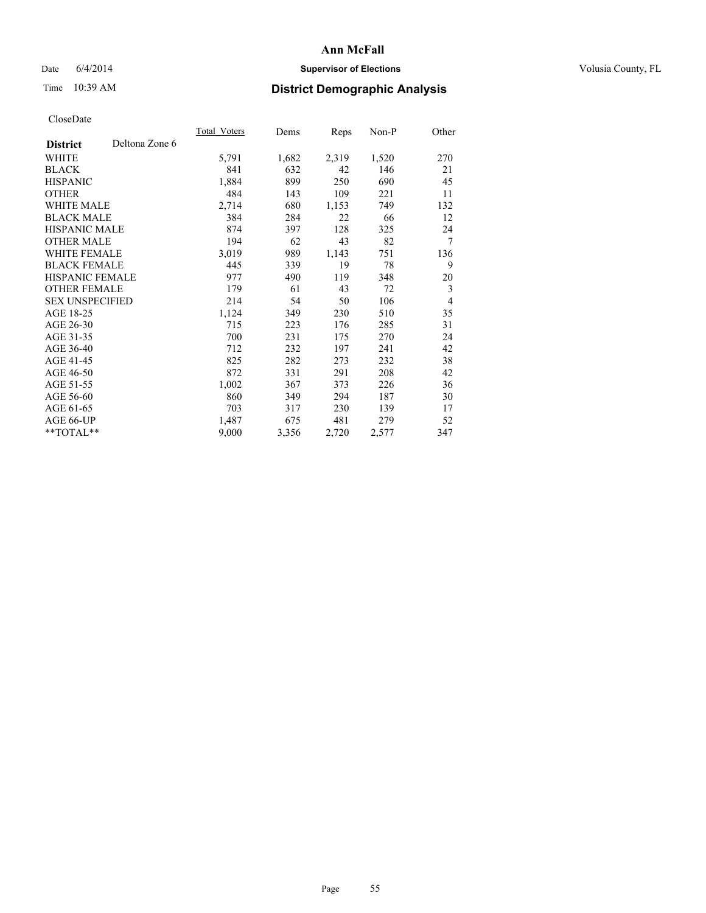## Date 6/4/2014 **Supervisor of Elections Supervisor of Elections** Volusia County, FL

## Time 10:39 AM **District Demographic Analysis**

|                        |                | Total Voters | Dems  | <b>Reps</b> | Non-P | Other          |
|------------------------|----------------|--------------|-------|-------------|-------|----------------|
| <b>District</b>        | Deltona Zone 6 |              |       |             |       |                |
| WHITE                  |                | 5,791        | 1,682 | 2,319       | 1,520 | 270            |
| <b>BLACK</b>           |                | 841          | 632   | 42          | 146   | 21             |
| <b>HISPANIC</b>        |                | 1,884        | 899   | 250         | 690   | 45             |
| <b>OTHER</b>           |                | 484          | 143   | 109         | 221   | 11             |
| WHITE MALE             |                | 2,714        | 680   | 1,153       | 749   | 132            |
| <b>BLACK MALE</b>      |                | 384          | 284   | 22          | 66    | 12             |
| <b>HISPANIC MALE</b>   |                | 874          | 397   | 128         | 325   | 24             |
| <b>OTHER MALE</b>      |                | 194          | 62    | 43          | 82    | 7              |
| WHITE FEMALE           |                | 3,019        | 989   | 1,143       | 751   | 136            |
| <b>BLACK FEMALE</b>    |                | 445          | 339   | 19          | 78    | 9              |
| HISPANIC FEMALE        |                | 977          | 490   | 119         | 348   | 20             |
| <b>OTHER FEMALE</b>    |                | 179          | 61    | 43          | 72    | 3              |
| <b>SEX UNSPECIFIED</b> |                | 214          | 54    | 50          | 106   | $\overline{4}$ |
| AGE 18-25              |                | 1,124        | 349   | 230         | 510   | 35             |
| AGE 26-30              |                | 715          | 223   | 176         | 285   | 31             |
| AGE 31-35              |                | 700          | 231   | 175         | 270   | 24             |
| AGE 36-40              |                | 712          | 232   | 197         | 241   | 42             |
| AGE 41-45              |                | 825          | 282   | 273         | 232   | 38             |
| AGE 46-50              |                | 872          | 331   | 291         | 208   | 42             |
| AGE 51-55              |                | 1,002        | 367   | 373         | 226   | 36             |
| AGE 56-60              |                | 860          | 349   | 294         | 187   | 30             |
| AGE 61-65              |                | 703          | 317   | 230         | 139   | 17             |
| AGE 66-UP              |                | 1,487        | 675   | 481         | 279   | 52             |
| **TOTAL**              |                | 9,000        | 3,356 | 2,720       | 2,577 | 347            |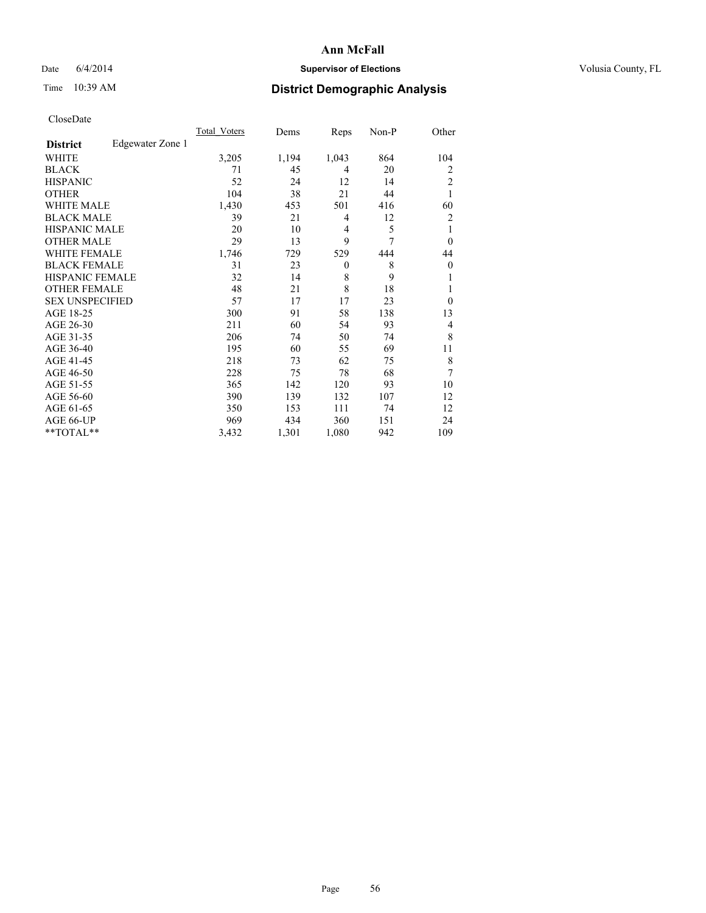## Date 6/4/2014 **Supervisor of Elections Supervisor of Elections** Volusia County, FL

## Time 10:39 AM **District Demographic Analysis**

|                        |                  | <b>Total Voters</b> | Dems  | Reps     | Non-P | Other          |
|------------------------|------------------|---------------------|-------|----------|-------|----------------|
| <b>District</b>        | Edgewater Zone 1 |                     |       |          |       |                |
| WHITE                  |                  | 3,205               | 1,194 | 1,043    | 864   | 104            |
| <b>BLACK</b>           |                  | 71                  | 45    | 4        | 20    | $\overline{2}$ |
| <b>HISPANIC</b>        |                  | 52                  | 24    | 12       | 14    | $\overline{2}$ |
| <b>OTHER</b>           |                  | 104                 | 38    | 21       | 44    | 1              |
| WHITE MALE             |                  | 1,430               | 453   | 501      | 416   | 60             |
| <b>BLACK MALE</b>      |                  | 39                  | 21    | 4        | 12    | $\overline{2}$ |
| <b>HISPANIC MALE</b>   |                  | 20                  | 10    | 4        | 5     | 1              |
| <b>OTHER MALE</b>      |                  | 29                  | 13    | 9        | 7     | $\Omega$       |
| WHITE FEMALE           |                  | 1,746               | 729   | 529      | 444   | 44             |
| <b>BLACK FEMALE</b>    |                  | 31                  | 23    | $\theta$ | 8     | $\mathbf{0}$   |
| <b>HISPANIC FEMALE</b> |                  | 32                  | 14    | 8        | 9     |                |
| <b>OTHER FEMALE</b>    |                  | 48                  | 21    | 8        | 18    |                |
| <b>SEX UNSPECIFIED</b> |                  | 57                  | 17    | 17       | 23    | $\theta$       |
| AGE 18-25              |                  | 300                 | 91    | 58       | 138   | 13             |
| AGE 26-30              |                  | 211                 | 60    | 54       | 93    | 4              |
| AGE 31-35              |                  | 206                 | 74    | 50       | 74    | 8              |
| AGE 36-40              |                  | 195                 | 60    | 55       | 69    | 11             |
| AGE 41-45              |                  | 218                 | 73    | 62       | 75    | 8              |
| AGE 46-50              |                  | 228                 | 75    | 78       | 68    | 7              |
| AGE 51-55              |                  | 365                 | 142   | 120      | 93    | 10             |
| AGE 56-60              |                  | 390                 | 139   | 132      | 107   | 12             |
| AGE 61-65              |                  | 350                 | 153   | 111      | 74    | 12             |
| AGE 66-UP              |                  | 969                 | 434   | 360      | 151   | 24             |
| **TOTAL**              |                  | 3,432               | 1,301 | 1,080    | 942   | 109            |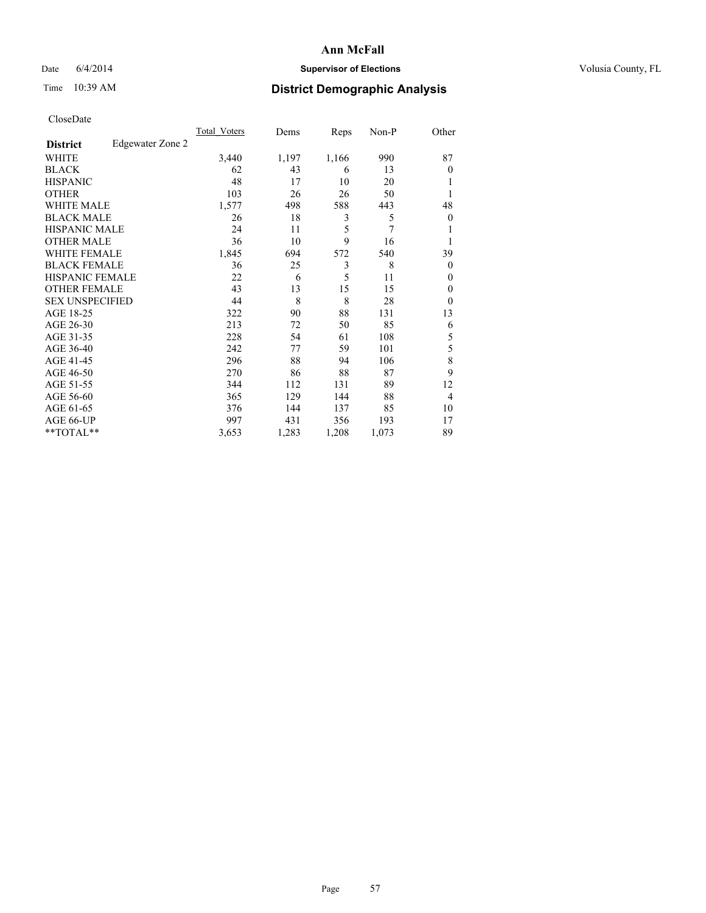## Date 6/4/2014 **Supervisor of Elections Supervisor of Elections** Volusia County, FL

## Time 10:39 AM **District Demographic Analysis**

|                        |                  | <b>Total Voters</b> | Dems  | Reps  | Non-P | Other          |
|------------------------|------------------|---------------------|-------|-------|-------|----------------|
| <b>District</b>        | Edgewater Zone 2 |                     |       |       |       |                |
| WHITE                  |                  | 3,440               | 1,197 | 1,166 | 990   | 87             |
| <b>BLACK</b>           |                  | 62                  | 43    | 6     | 13    | $\Omega$       |
| <b>HISPANIC</b>        |                  | 48                  | 17    | 10    | 20    |                |
| <b>OTHER</b>           |                  | 103                 | 26    | 26    | 50    |                |
| WHITE MALE             |                  | 1,577               | 498   | 588   | 443   | 48             |
| <b>BLACK MALE</b>      |                  | 26                  | 18    | 3     | 5     | $\overline{0}$ |
| <b>HISPANIC MALE</b>   |                  | 24                  | 11    | 5     | 7     |                |
| <b>OTHER MALE</b>      |                  | 36                  | 10    | 9     | 16    |                |
| WHITE FEMALE           |                  | 1,845               | 694   | 572   | 540   | 39             |
| <b>BLACK FEMALE</b>    |                  | 36                  | 25    | 3     | 8     | $\overline{0}$ |
| <b>HISPANIC FEMALE</b> |                  | 22                  | 6     | 5     | 11    | $\Omega$       |
| <b>OTHER FEMALE</b>    |                  | 43                  | 13    | 15    | 15    | $\Omega$       |
| <b>SEX UNSPECIFIED</b> |                  | 44                  | 8     | 8     | 28    | $\Omega$       |
| AGE 18-25              |                  | 322                 | 90    | 88    | 131   | 13             |
| AGE 26-30              |                  | 213                 | 72    | 50    | 85    | 6              |
| AGE 31-35              |                  | 228                 | 54    | 61    | 108   | 5              |
| AGE 36-40              |                  | 242                 | 77    | 59    | 101   | 5              |
| AGE 41-45              |                  | 296                 | 88    | 94    | 106   | 8              |
| AGE 46-50              |                  | 270                 | 86    | 88    | 87    | 9              |
| AGE 51-55              |                  | 344                 | 112   | 131   | 89    | 12             |
| AGE 56-60              |                  | 365                 | 129   | 144   | 88    | $\overline{4}$ |
| AGE 61-65              |                  | 376                 | 144   | 137   | 85    | 10             |
| AGE 66-UP              |                  | 997                 | 431   | 356   | 193   | 17             |
| **TOTAL**              |                  | 3,653               | 1,283 | 1,208 | 1,073 | 89             |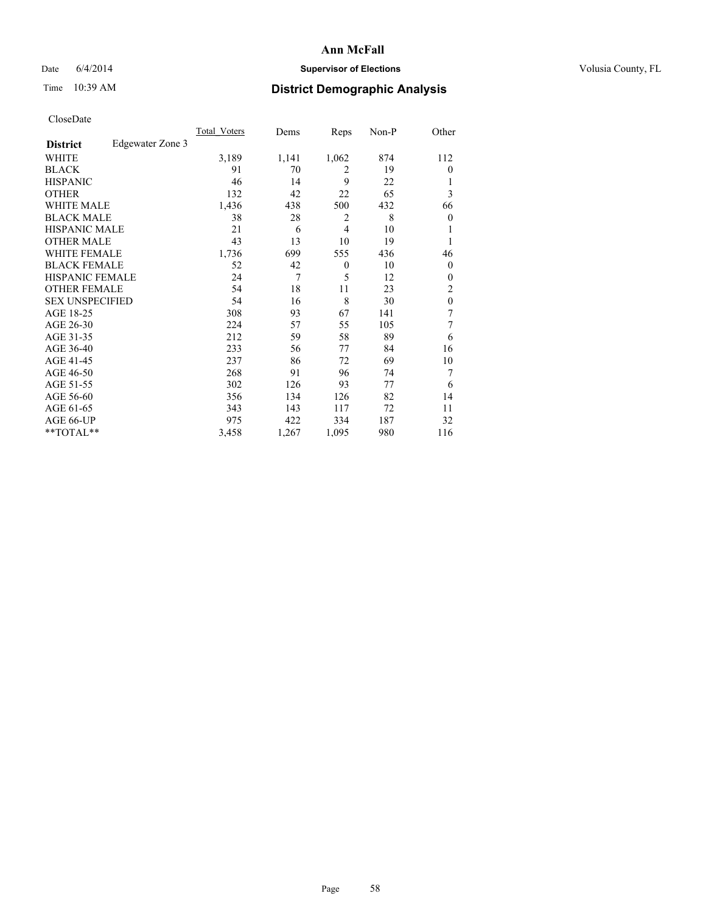## Date 6/4/2014 **Supervisor of Elections Supervisor of Elections** Volusia County, FL

## Time 10:39 AM **District Demographic Analysis**

|                        |                  | <b>Total Voters</b> | Dems  | Reps           | Non-P | Other            |
|------------------------|------------------|---------------------|-------|----------------|-------|------------------|
| <b>District</b>        | Edgewater Zone 3 |                     |       |                |       |                  |
| WHITE                  |                  | 3,189               | 1,141 | 1,062          | 874   | 112              |
| <b>BLACK</b>           |                  | 91                  | 70    | $\overline{2}$ | 19    | $\theta$         |
| <b>HISPANIC</b>        |                  | 46                  | 14    | 9              | 22    | 1                |
| <b>OTHER</b>           |                  | 132                 | 42    | 22             | 65    | 3                |
| WHITE MALE             |                  | 1,436               | 438   | 500            | 432   | 66               |
| <b>BLACK MALE</b>      |                  | 38                  | 28    | $\overline{2}$ | 8     | $\boldsymbol{0}$ |
| <b>HISPANIC MALE</b>   |                  | 21                  | 6     | $\overline{4}$ | 10    |                  |
| <b>OTHER MALE</b>      |                  | 43                  | 13    | 10             | 19    | 1                |
| WHITE FEMALE           |                  | 1,736               | 699   | 555            | 436   | 46               |
| <b>BLACK FEMALE</b>    |                  | 52                  | 42    | $\theta$       | 10    | $\theta$         |
| <b>HISPANIC FEMALE</b> |                  | 24                  | 7     | 5              | 12    | $\theta$         |
| <b>OTHER FEMALE</b>    |                  | 54                  | 18    | 11             | 23    | 2                |
| <b>SEX UNSPECIFIED</b> |                  | 54                  | 16    | 8              | 30    | $\mathbf{0}$     |
| AGE 18-25              |                  | 308                 | 93    | 67             | 141   | 7                |
| AGE 26-30              |                  | 224                 | 57    | 55             | 105   | 7                |
| AGE 31-35              |                  | 212                 | 59    | 58             | 89    | 6                |
| AGE 36-40              |                  | 233                 | 56    | 77             | 84    | 16               |
| AGE 41-45              |                  | 237                 | 86    | 72             | 69    | 10               |
| AGE 46-50              |                  | 268                 | 91    | 96             | 74    | 7                |
| AGE 51-55              |                  | 302                 | 126   | 93             | 77    | 6                |
| AGE 56-60              |                  | 356                 | 134   | 126            | 82    | 14               |
| AGE 61-65              |                  | 343                 | 143   | 117            | 72    | 11               |
| AGE 66-UP              |                  | 975                 | 422   | 334            | 187   | 32               |
| **TOTAL**              |                  | 3,458               | 1,267 | 1,095          | 980   | 116              |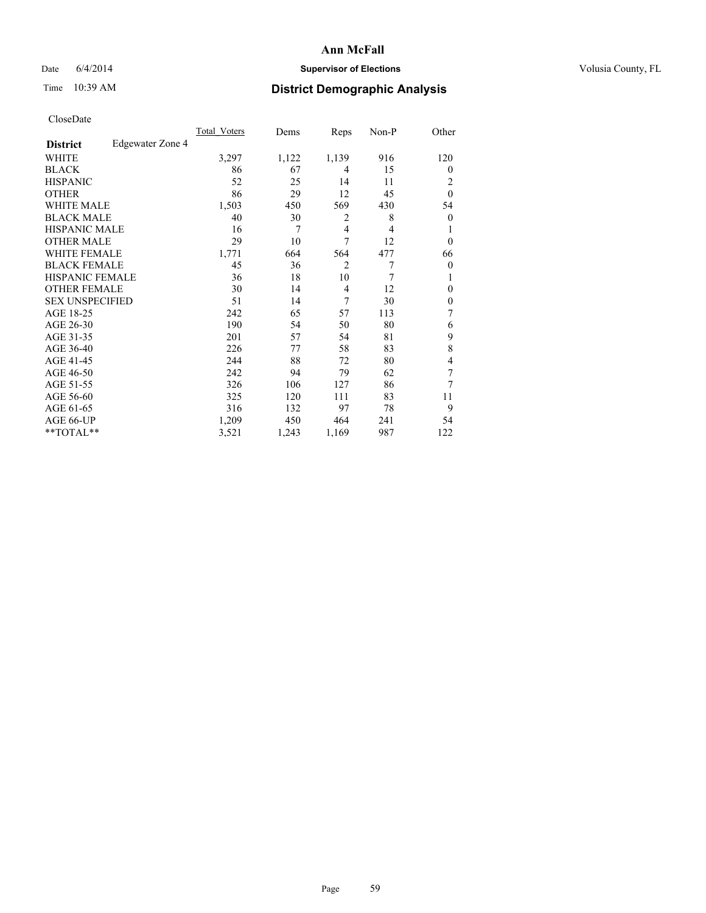## Date 6/4/2014 **Supervisor of Elections Supervisor of Elections** Volusia County, FL

## Time 10:39 AM **District Demographic Analysis**

|                        |                  | <b>Total Voters</b> | Dems  | Reps           | Non-P | Other          |
|------------------------|------------------|---------------------|-------|----------------|-------|----------------|
| <b>District</b>        | Edgewater Zone 4 |                     |       |                |       |                |
| WHITE                  |                  | 3,297               | 1,122 | 1,139          | 916   | 120            |
| <b>BLACK</b>           |                  | 86                  | 67    | 4              | 15    | $\Omega$       |
| <b>HISPANIC</b>        |                  | 52                  | 25    | 14             | 11    | 2              |
| <b>OTHER</b>           |                  | 86                  | 29    | 12             | 45    | $\theta$       |
| WHITE MALE             |                  | 1,503               | 450   | 569            | 430   | 54             |
| <b>BLACK MALE</b>      |                  | 40                  | 30    | 2              | 8     | $\overline{0}$ |
| <b>HISPANIC MALE</b>   |                  | 16                  | 7     | 4              | 4     |                |
| <b>OTHER MALE</b>      |                  | 29                  | 10    | 7              | 12    | $\overline{0}$ |
| <b>WHITE FEMALE</b>    |                  | 1,771               | 664   | 564            | 477   | 66             |
| <b>BLACK FEMALE</b>    |                  | 45                  | 36    | $\overline{2}$ | 7     | $\overline{0}$ |
| <b>HISPANIC FEMALE</b> |                  | 36                  | 18    | 10             | 7     |                |
| <b>OTHER FEMALE</b>    |                  | 30                  | 14    | 4              | 12    | $\Omega$       |
| <b>SEX UNSPECIFIED</b> |                  | 51                  | 14    | 7              | 30    | $\theta$       |
| AGE 18-25              |                  | 242                 | 65    | 57             | 113   | 7              |
| AGE 26-30              |                  | 190                 | 54    | 50             | 80    | 6              |
| AGE 31-35              |                  | 201                 | 57    | 54             | 81    | 9              |
| AGE 36-40              |                  | 226                 | 77    | 58             | 83    | 8              |
| AGE 41-45              |                  | 244                 | 88    | 72             | 80    | 4              |
| AGE 46-50              |                  | 242                 | 94    | 79             | 62    | 7              |
| AGE 51-55              |                  | 326                 | 106   | 127            | 86    | 7              |
| AGE 56-60              |                  | 325                 | 120   | 111            | 83    | 11             |
| AGE 61-65              |                  | 316                 | 132   | 97             | 78    | 9              |
| AGE 66-UP              |                  | 1,209               | 450   | 464            | 241   | 54             |
| **TOTAL**              |                  | 3,521               | 1,243 | 1,169          | 987   | 122            |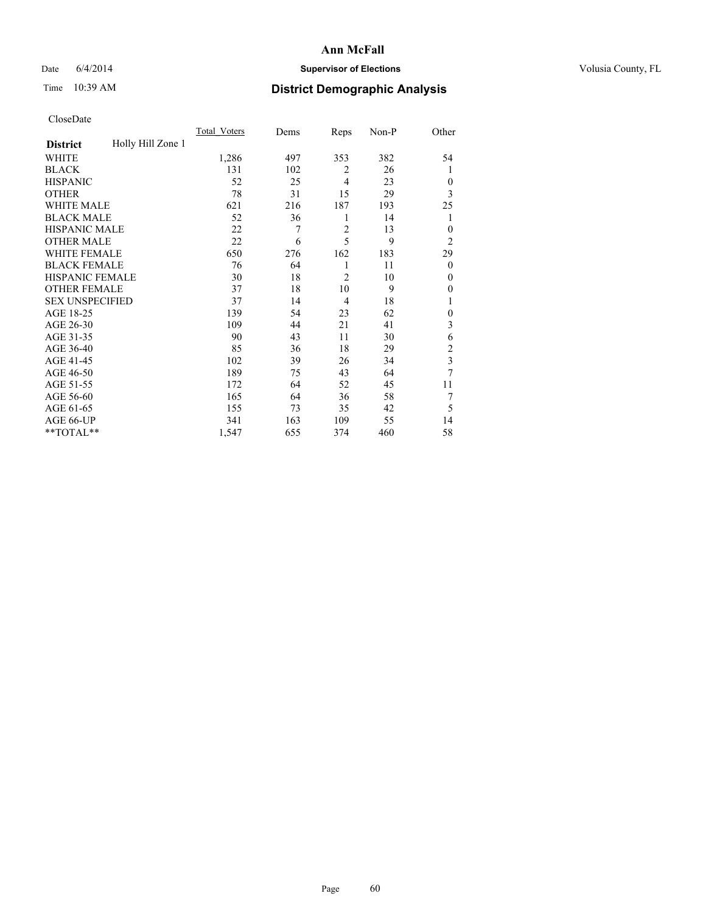## Date 6/4/2014 **Supervisor of Elections Supervisor of Elections** Volusia County, FL

## Time 10:39 AM **District Demographic Analysis**

|                        |                   | <b>Total Voters</b> | Dems | Reps           | Non-P | Other                   |
|------------------------|-------------------|---------------------|------|----------------|-------|-------------------------|
| <b>District</b>        | Holly Hill Zone 1 |                     |      |                |       |                         |
| WHITE                  |                   | 1,286               | 497  | 353            | 382   | 54                      |
| <b>BLACK</b>           |                   | 131                 | 102  | $\overline{2}$ | 26    | 1                       |
| <b>HISPANIC</b>        |                   | 52                  | 25   | $\overline{4}$ | 23    | $\overline{0}$          |
| <b>OTHER</b>           |                   | 78                  | 31   | 15             | 29    | 3                       |
| WHITE MALE             |                   | 621                 | 216  | 187            | 193   | 25                      |
| <b>BLACK MALE</b>      |                   | 52                  | 36   | 1              | 14    | 1                       |
| <b>HISPANIC MALE</b>   |                   | 22                  | 7    | $\overline{2}$ | 13    | $\theta$                |
| <b>OTHER MALE</b>      |                   | 22                  | 6    | 5              | 9     | $\overline{2}$          |
| WHITE FEMALE           |                   | 650                 | 276  | 162            | 183   | 29                      |
| <b>BLACK FEMALE</b>    |                   | 76                  | 64   | 1              | 11    | $\overline{0}$          |
| <b>HISPANIC FEMALE</b> |                   | 30                  | 18   | $\overline{2}$ | 10    | $\theta$                |
| <b>OTHER FEMALE</b>    |                   | 37                  | 18   | 10             | 9     | $\theta$                |
| <b>SEX UNSPECIFIED</b> |                   | 37                  | 14   | $\overline{4}$ | 18    | 1                       |
| AGE 18-25              |                   | 139                 | 54   | 23             | 62    | $\mathbf{0}$            |
| AGE 26-30              |                   | 109                 | 44   | 21             | 41    | 3                       |
| AGE 31-35              |                   | 90                  | 43   | 11             | 30    | 6                       |
| AGE 36-40              |                   | 85                  | 36   | 18             | 29    | $\overline{\mathbf{c}}$ |
| AGE 41-45              |                   | 102                 | 39   | 26             | 34    | 3                       |
| AGE 46-50              |                   | 189                 | 75   | 43             | 64    | 7                       |
| AGE 51-55              |                   | 172                 | 64   | 52             | 45    | 11                      |
| AGE 56-60              |                   | 165                 | 64   | 36             | 58    | 7                       |
| AGE 61-65              |                   | 155                 | 73   | 35             | 42    | 5                       |
| AGE 66-UP              |                   | 341                 | 163  | 109            | 55    | 14                      |
| **TOTAL**              |                   | 1,547               | 655  | 374            | 460   | 58                      |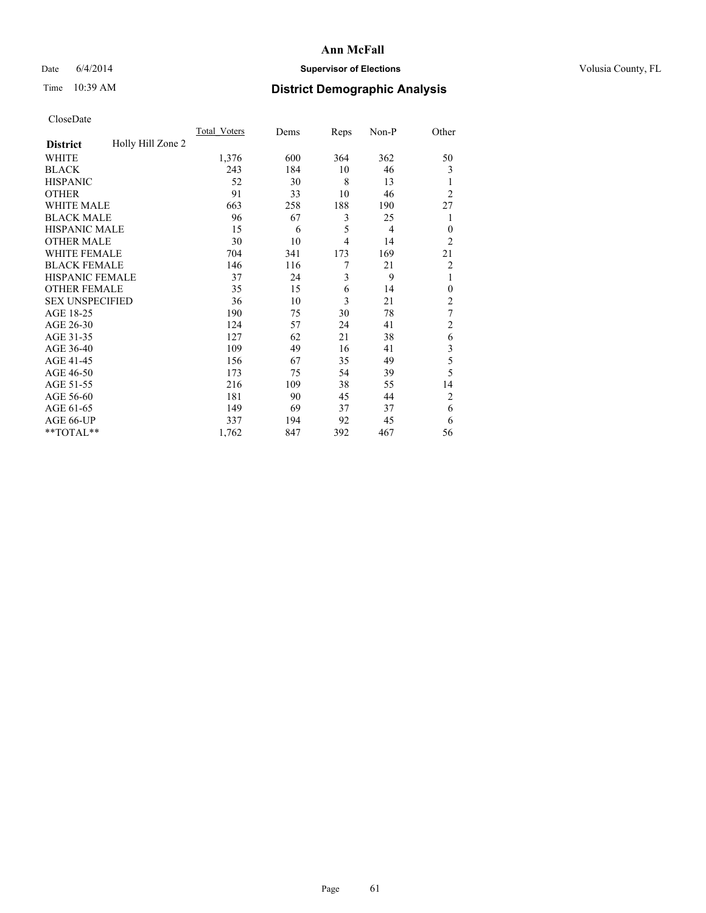## Date 6/4/2014 **Supervisor of Elections Supervisor of Elections** Volusia County, FL

# Time 10:39 AM **District Demographic Analysis**

|                        |                   | Total Voters | Dems | Reps           | Non-P | Other          |
|------------------------|-------------------|--------------|------|----------------|-------|----------------|
| <b>District</b>        | Holly Hill Zone 2 |              |      |                |       |                |
| WHITE                  |                   | 1,376        | 600  | 364            | 362   | 50             |
| <b>BLACK</b>           |                   | 243          | 184  | 10             | 46    | 3              |
| <b>HISPANIC</b>        |                   | 52           | 30   | 8              | 13    | 1              |
| <b>OTHER</b>           |                   | 91           | 33   | 10             | 46    | $\overline{2}$ |
| WHITE MALE             |                   | 663          | 258  | 188            | 190   | 27             |
| <b>BLACK MALE</b>      |                   | 96           | 67   | 3              | 25    | 1              |
| <b>HISPANIC MALE</b>   |                   | 15           | 6    | 5              | 4     | $\mathbf{0}$   |
| <b>OTHER MALE</b>      |                   | 30           | 10   | $\overline{4}$ | 14    | $\overline{2}$ |
| WHITE FEMALE           |                   | 704          | 341  | 173            | 169   | 21             |
| <b>BLACK FEMALE</b>    |                   | 146          | 116  | 7              | 21    | $\overline{c}$ |
| <b>HISPANIC FEMALE</b> |                   | 37           | 24   | 3              | 9     | 1              |
| <b>OTHER FEMALE</b>    |                   | 35           | 15   | 6              | 14    | $\theta$       |
| <b>SEX UNSPECIFIED</b> |                   | 36           | 10   | 3              | 21    | $\overline{2}$ |
| AGE 18-25              |                   | 190          | 75   | 30             | 78    | $\tau$         |
| AGE 26-30              |                   | 124          | 57   | 24             | 41    | $\overline{2}$ |
| AGE 31-35              |                   | 127          | 62   | 21             | 38    | 6              |
| AGE 36-40              |                   | 109          | 49   | 16             | 41    | 3              |
| AGE 41-45              |                   | 156          | 67   | 35             | 49    | 5              |
| AGE 46-50              |                   | 173          | 75   | 54             | 39    | 5              |
| AGE 51-55              |                   | 216          | 109  | 38             | 55    | 14             |
| AGE 56-60              |                   | 181          | 90   | 45             | 44    | $\overline{2}$ |
| AGE 61-65              |                   | 149          | 69   | 37             | 37    | 6              |
| AGE 66-UP              |                   | 337          | 194  | 92             | 45    | 6              |
| **TOTAL**              |                   | 1,762        | 847  | 392            | 467   | 56             |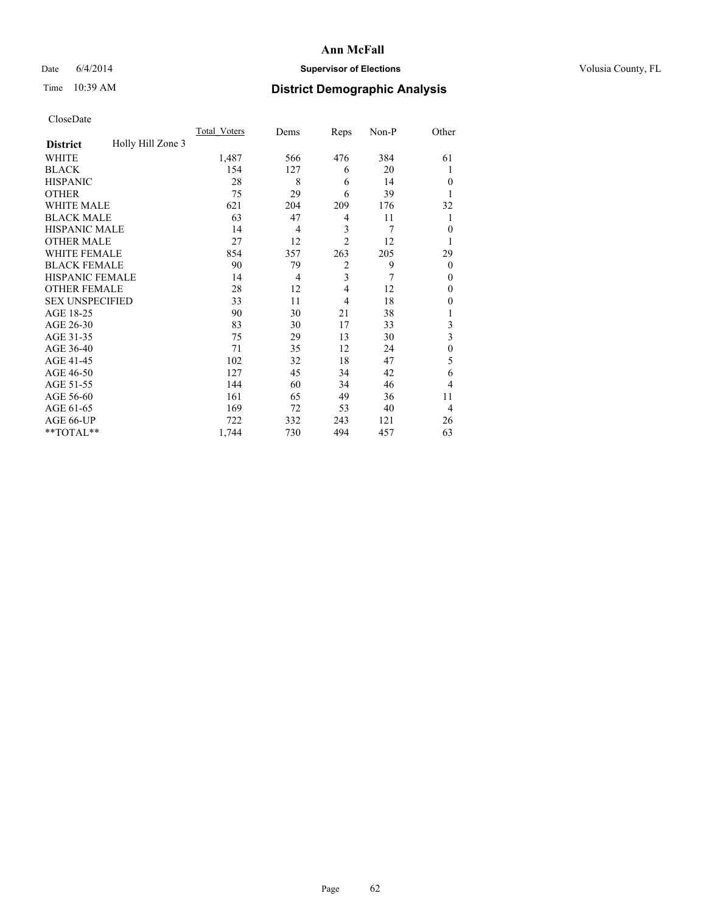## Date 6/4/2014 **Supervisor of Elections Supervisor of Elections** Volusia County, FL

# Time 10:39 AM **District Demographic Analysis**

|                        |                   | Total Voters | Dems | Reps           | Non-P | Other            |
|------------------------|-------------------|--------------|------|----------------|-------|------------------|
| <b>District</b>        | Holly Hill Zone 3 |              |      |                |       |                  |
| WHITE                  |                   | 1,487        | 566  | 476            | 384   | 61               |
| <b>BLACK</b>           |                   | 154          | 127  | 6              | 20    |                  |
| <b>HISPANIC</b>        |                   | 28           | 8    | 6              | 14    | $\theta$         |
| <b>OTHER</b>           |                   | 75           | 29   | 6              | 39    |                  |
| <b>WHITE MALE</b>      |                   | 621          | 204  | 209            | 176   | 32               |
| <b>BLACK MALE</b>      |                   | 63           | 47   | 4              | 11    | 1                |
| <b>HISPANIC MALE</b>   |                   | 14           | 4    | 3              | 7     | $\mathbf{0}$     |
| <b>OTHER MALE</b>      |                   | 27           | 12   | $\overline{2}$ | 12    | 1                |
| <b>WHITE FEMALE</b>    |                   | 854          | 357  | 263            | 205   | 29               |
| <b>BLACK FEMALE</b>    |                   | 90           | 79   | $\overline{2}$ | 9     | $\theta$         |
| <b>HISPANIC FEMALE</b> |                   | 14           | 4    | 3              | 7     | $\theta$         |
| <b>OTHER FEMALE</b>    |                   | 28           | 12   | $\overline{4}$ | 12    | $\theta$         |
| <b>SEX UNSPECIFIED</b> |                   | 33           | 11   | 4              | 18    | 0                |
| AGE 18-25              |                   | 90           | 30   | 21             | 38    |                  |
| AGE 26-30              |                   | 83           | 30   | 17             | 33    | 3                |
| AGE 31-35              |                   | 75           | 29   | 13             | 30    | 3                |
| AGE 36-40              |                   | 71           | 35   | 12             | 24    | $\boldsymbol{0}$ |
| AGE 41-45              |                   | 102          | 32   | 18             | 47    | 5                |
| AGE 46-50              |                   | 127          | 45   | 34             | 42    | 6                |
| AGE 51-55              |                   | 144          | 60   | 34             | 46    | 4                |
| AGE 56-60              |                   | 161          | 65   | 49             | 36    | 11               |
| AGE 61-65              |                   | 169          | 72   | 53             | 40    | $\overline{4}$   |
| AGE 66-UP              |                   | 722          | 332  | 243            | 121   | 26               |
| **TOTAL**              |                   | 1,744        | 730  | 494            | 457   | 63               |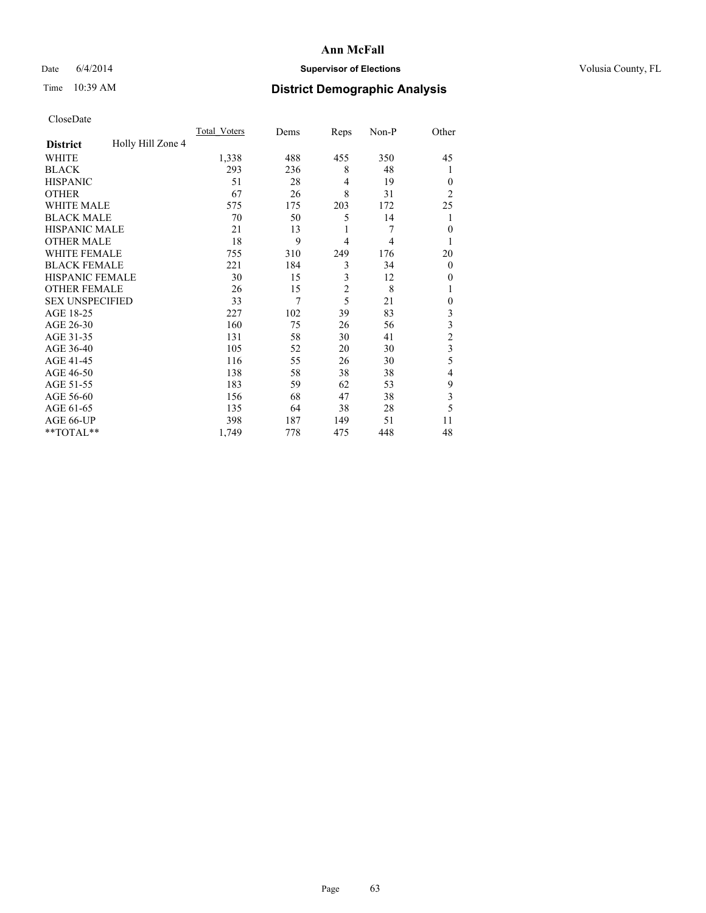## Date 6/4/2014 **Supervisor of Elections Supervisor of Elections** Volusia County, FL

## Time 10:39 AM **District Demographic Analysis**

|                        |                   | Total Voters | Dems | Reps           | Non-P | Other          |
|------------------------|-------------------|--------------|------|----------------|-------|----------------|
| <b>District</b>        | Holly Hill Zone 4 |              |      |                |       |                |
| WHITE                  |                   | 1,338        | 488  | 455            | 350   | 45             |
| <b>BLACK</b>           |                   | 293          | 236  | 8              | 48    | 1              |
| <b>HISPANIC</b>        |                   | 51           | 28   | $\overline{4}$ | 19    | $\theta$       |
| <b>OTHER</b>           |                   | 67           | 26   | 8              | 31    | $\overline{2}$ |
| WHITE MALE             |                   | 575          | 175  | 203            | 172   | 25             |
| <b>BLACK MALE</b>      |                   | 70           | 50   | 5              | 14    | 1              |
| <b>HISPANIC MALE</b>   |                   | 21           | 13   | 1              | 7     | $\mathbf{0}$   |
| <b>OTHER MALE</b>      |                   | 18           | 9    | $\overline{4}$ | 4     | 1              |
| WHITE FEMALE           |                   | 755          | 310  | 249            | 176   | 20             |
| <b>BLACK FEMALE</b>    |                   | 221          | 184  | 3              | 34    | $\theta$       |
| <b>HISPANIC FEMALE</b> |                   | 30           | 15   | 3              | 12    | 0              |
| <b>OTHER FEMALE</b>    |                   | 26           | 15   | $\overline{c}$ | 8     |                |
| <b>SEX UNSPECIFIED</b> |                   | 33           | 7    | 5              | 21    | $\mathbf{0}$   |
| AGE 18-25              |                   | 227          | 102  | 39             | 83    | 3              |
| AGE 26-30              |                   | 160          | 75   | 26             | 56    | 3              |
| AGE 31-35              |                   | 131          | 58   | 30             | 41    | $\overline{c}$ |
| AGE 36-40              |                   | 105          | 52   | 20             | 30    | 3              |
| AGE 41-45              |                   | 116          | 55   | 26             | 30    | 5              |
| AGE 46-50              |                   | 138          | 58   | 38             | 38    | 4              |
| AGE 51-55              |                   | 183          | 59   | 62             | 53    | 9              |
| AGE 56-60              |                   | 156          | 68   | 47             | 38    | 3              |
| AGE 61-65              |                   | 135          | 64   | 38             | 28    | 5              |
| AGE 66-UP              |                   | 398          | 187  | 149            | 51    | 11             |
| **TOTAL**              |                   | 1,749        | 778  | 475            | 448   | 48             |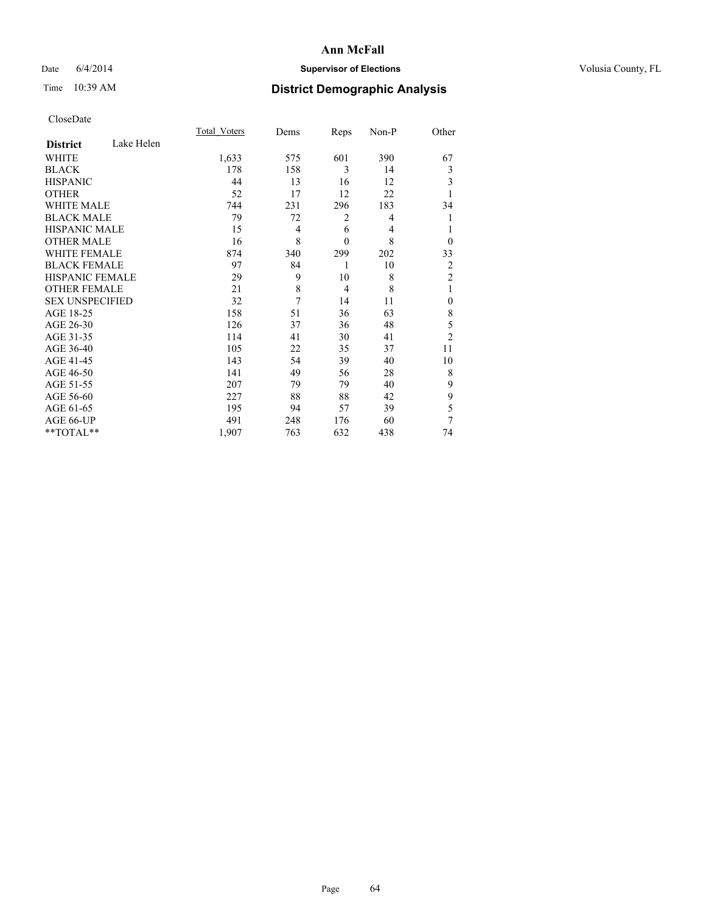## Date 6/4/2014 **Supervisor of Elections Supervisor of Elections** Volusia County, FL

## Time 10:39 AM **District Demographic Analysis**

|                        |            | Total Voters | Dems | Reps           | Non-P | Other          |
|------------------------|------------|--------------|------|----------------|-------|----------------|
| <b>District</b>        | Lake Helen |              |      |                |       |                |
| WHITE                  |            | 1,633        | 575  | 601            | 390   | 67             |
| <b>BLACK</b>           |            | 178          | 158  | 3              | 14    | 3              |
| <b>HISPANIC</b>        |            | 44           | 13   | 16             | 12    | 3              |
| <b>OTHER</b>           |            | 52           | 17   | 12             | 22    |                |
| WHITE MALE             |            | 744          | 231  | 296            | 183   | 34             |
| <b>BLACK MALE</b>      |            | 79           | 72   | 2              | 4     | 1              |
| <b>HISPANIC MALE</b>   |            | 15           | 4    | 6              | 4     | 1              |
| <b>OTHER MALE</b>      |            | 16           | 8    | $\mathbf{0}$   | 8     | $\theta$       |
| <b>WHITE FEMALE</b>    |            | 874          | 340  | 299            | 202   | 33             |
| <b>BLACK FEMALE</b>    |            | 97           | 84   | 1              | 10    | 2              |
| <b>HISPANIC FEMALE</b> |            | 29           | 9    | 10             | 8     | $\overline{2}$ |
| <b>OTHER FEMALE</b>    |            | 21           | 8    | $\overline{4}$ | 8     | 1              |
| <b>SEX UNSPECIFIED</b> |            | 32           | 7    | 14             | 11    | $\mathbf{0}$   |
| AGE 18-25              |            | 158          | 51   | 36             | 63    | 8              |
| AGE 26-30              |            | 126          | 37   | 36             | 48    | 5              |
| AGE 31-35              |            | 114          | 41   | 30             | 41    | $\overline{2}$ |
| AGE 36-40              |            | 105          | 22   | 35             | 37    | 11             |
| AGE 41-45              |            | 143          | 54   | 39             | 40    | 10             |
| AGE 46-50              |            | 141          | 49   | 56             | 28    | 8              |
| AGE 51-55              |            | 207          | 79   | 79             | 40    | 9              |
| AGE 56-60              |            | 227          | 88   | 88             | 42    | 9              |
| AGE 61-65              |            | 195          | 94   | 57             | 39    | 5              |
| AGE 66-UP              |            | 491          | 248  | 176            | 60    | 7              |
| **TOTAL**              |            | 1,907        | 763  | 632            | 438   | 74             |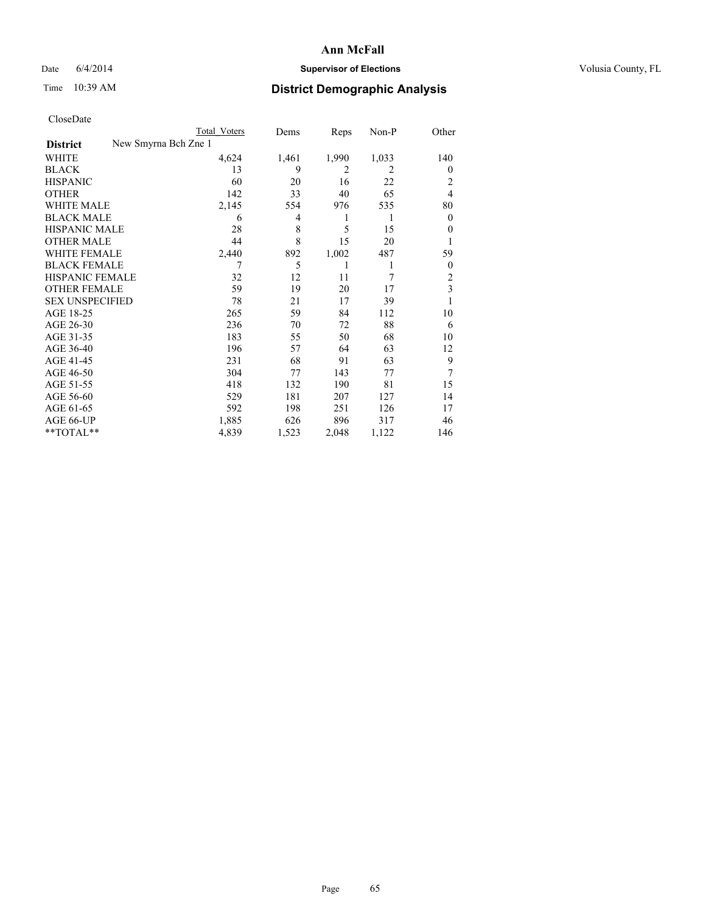## Date 6/4/2014 **Supervisor of Elections Supervisor of Elections** Volusia County, FL

| <b>Total Voters</b> | Dems                 | Reps           | $Non-P$ | Other                   |
|---------------------|----------------------|----------------|---------|-------------------------|
|                     |                      |                |         |                         |
| 4,624               | 1,461                | 1,990          | 1,033   | 140                     |
| 13                  | 9                    | $\overline{2}$ | 2       | $\overline{0}$          |
| 60                  | 20                   | 16             | 22      | 2                       |
| 142                 | 33                   | 40             | 65      | $\overline{4}$          |
| 2,145               | 554                  | 976            | 535     | 80                      |
| 6                   | 4                    | 1              | 1       | $\overline{0}$          |
| 28                  | 8                    | 5              | 15      | $\theta$                |
| 44                  | 8                    | 15             | 20      |                         |
| 2,440               | 892                  | 1,002          | 487     | 59                      |
| 7                   | 5                    | 1              | 1       | $\overline{0}$          |
| 32                  | 12                   | 11             | 7       | $\overline{c}$          |
| 59                  | 19                   | 20             | 17      | $\overline{\mathbf{3}}$ |
| 78                  | 21                   | 17             | 39      |                         |
| 265                 | 59                   | 84             | 112     | 10                      |
| 236                 | 70                   | 72             | 88      | 6                       |
| 183                 | 55                   | 50             | 68      | 10                      |
| 196                 | 57                   | 64             | 63      | 12                      |
| 231                 | 68                   | 91             | 63      | 9                       |
| 304                 | 77                   | 143            | 77      | 7                       |
| 418                 | 132                  | 190            | 81      | 15                      |
| 529                 | 181                  | 207            | 127     | 14                      |
| 592                 | 198                  | 251            | 126     | 17                      |
| 1,885               | 626                  | 896            | 317     | 46                      |
| 4,839               | 1,523                | 2,048          | 1,122   | 146                     |
|                     | New Smyrna Bch Zne 1 |                |         |                         |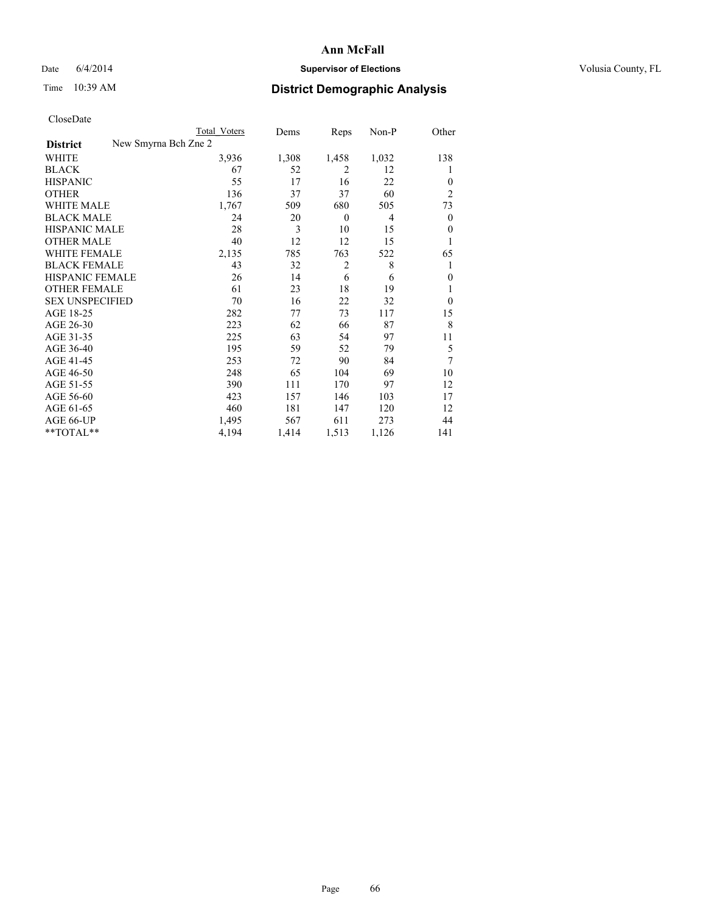## Date 6/4/2014 **Supervisor of Elections Supervisor of Elections** Volusia County, FL

|                        | Total Voters         | Dems  | Reps           | Non-P          | Other            |
|------------------------|----------------------|-------|----------------|----------------|------------------|
| <b>District</b>        | New Smyrna Bch Zne 2 |       |                |                |                  |
| WHITE                  | 3,936                | 1,308 | 1,458          | 1,032          | 138              |
| <b>BLACK</b>           | 67                   | 52    | $\overline{2}$ | 12             | 1                |
| <b>HISPANIC</b>        | 55                   | 17    | 16             | 22             | $\overline{0}$   |
| <b>OTHER</b>           | 136                  | 37    | 37             | 60             | $\overline{2}$   |
| <b>WHITE MALE</b>      | 1,767                | 509   | 680            | 505            | 73               |
| <b>BLACK MALE</b>      | 24                   | 20    | $\theta$       | $\overline{4}$ | $\boldsymbol{0}$ |
| <b>HISPANIC MALE</b>   | 28                   | 3     | 10             | 15             | $\mathbf{0}$     |
| <b>OTHER MALE</b>      | 40                   | 12    | 12             | 15             | 1                |
| <b>WHITE FEMALE</b>    | 2,135                | 785   | 763            | 522            | 65               |
| <b>BLACK FEMALE</b>    | 43                   | 32    | $\overline{2}$ | 8              | 1                |
| <b>HISPANIC FEMALE</b> | 26                   | 14    | 6              | 6              | $\theta$         |
| <b>OTHER FEMALE</b>    | 61                   | 23    | 18             | 19             |                  |
| <b>SEX UNSPECIFIED</b> | 70                   | 16    | 22             | 32             | $\theta$         |
| AGE 18-25              | 282                  | 77    | 73             | 117            | 15               |
| AGE 26-30              | 223                  | 62    | 66             | 87             | 8                |
| AGE 31-35              | 225                  | 63    | 54             | 97             | 11               |
| AGE 36-40              | 195                  | 59    | 52             | 79             | 5                |
| AGE 41-45              | 253                  | 72    | 90             | 84             | 7                |
| AGE 46-50              | 248                  | 65    | 104            | 69             | 10               |
| AGE 51-55              | 390                  | 111   | 170            | 97             | 12               |
| AGE 56-60              | 423                  | 157   | 146            | 103            | 17               |
| AGE 61-65              | 460                  | 181   | 147            | 120            | 12               |
| AGE 66-UP              | 1,495                | 567   | 611            | 273            | 44               |
| **TOTAL**              | 4,194                | 1,414 | 1,513          | 1,126          | 141              |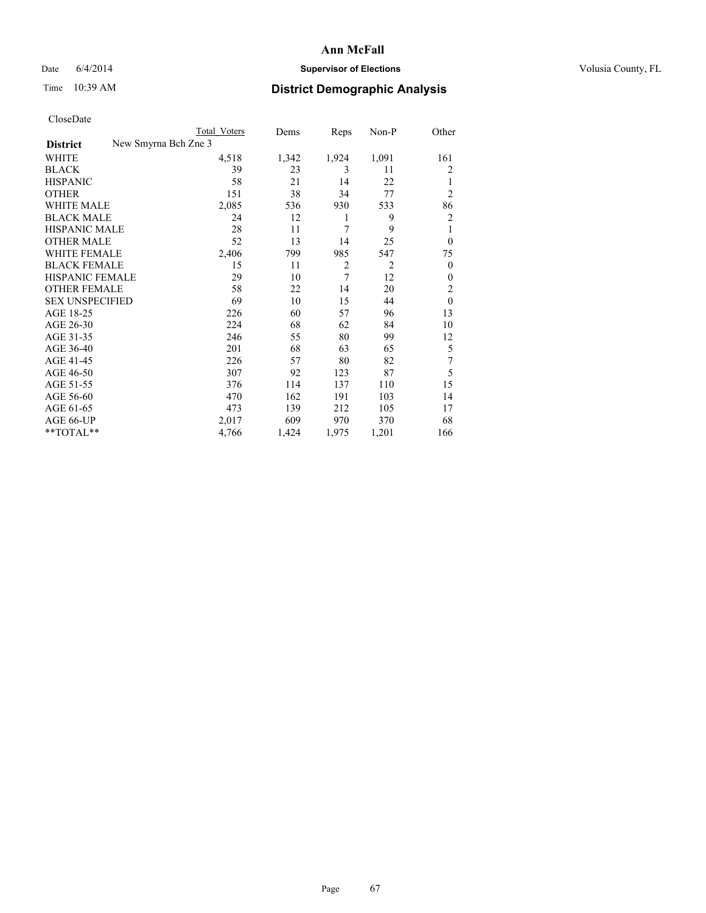## Date 6/4/2014 **Supervisor of Elections Supervisor of Elections** Volusia County, FL

| <b>Total Voters</b> | Dems                 | Reps           | $Non-P$        | Other            |
|---------------------|----------------------|----------------|----------------|------------------|
|                     |                      |                |                |                  |
| 4,518               | 1,342                | 1,924          | 1,091          | 161              |
| 39                  | 23                   | 3              | 11             | 2                |
| 58                  | 21                   | 14             | 22             |                  |
| 151                 | 38                   | 34             | 77             | $\overline{2}$   |
| 2,085               | 536                  | 930            | 533            | 86               |
| 24                  | 12                   | 1              | 9              | $\overline{2}$   |
| 28                  | 11                   | 7              | 9              | 1                |
| 52                  | 13                   | 14             | 25             | $\theta$         |
| 2,406               | 799                  | 985            | 547            | 75               |
| 15                  | 11                   | $\overline{2}$ | $\overline{2}$ | $\theta$         |
| 29                  | 10                   | 7              | 12             | $\boldsymbol{0}$ |
| 58                  | 22                   | 14             | 20             | $\overline{c}$   |
| 69                  | 10                   | 15             | 44             | $\mathbf{0}$     |
| 226                 | 60                   | 57             | 96             | 13               |
| 224                 | 68                   | 62             | 84             | 10               |
| 246                 | 55                   | 80             | 99             | 12               |
| 201                 | 68                   | 63             | 65             | 5                |
| 226                 | 57                   | 80             | 82             | 7                |
| 307                 | 92                   | 123            | 87             | 5                |
| 376                 | 114                  | 137            | 110            | 15               |
| 470                 | 162                  | 191            | 103            | 14               |
| 473                 | 139                  | 212            | 105            | 17               |
| 2,017               | 609                  | 970            | 370            | 68               |
| 4,766               | 1,424                | 1,975          | 1,201          | 166              |
|                     | New Smyrna Bch Zne 3 |                |                |                  |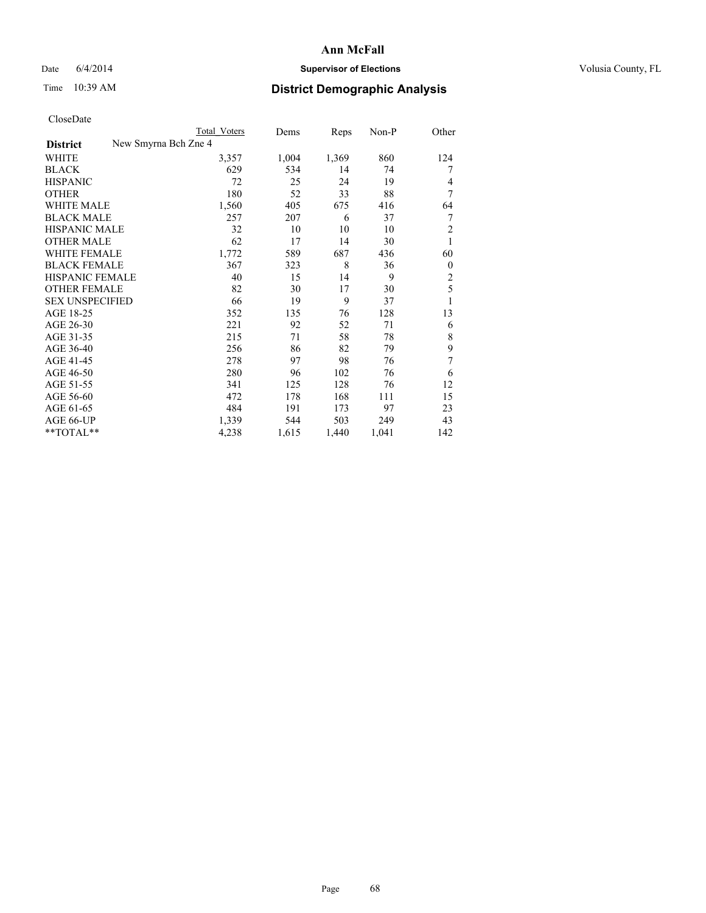## Date 6/4/2014 **Supervisor of Elections Supervisor of Elections** Volusia County, FL

| <b>Total Voters</b> | Dems                 | Reps  | $Non-P$ | Other          |
|---------------------|----------------------|-------|---------|----------------|
|                     |                      |       |         |                |
| 3,357               | 1,004                | 1,369 | 860     | 124            |
| 629                 | 534                  | 14    | 74      | 7              |
| 72                  | 25                   | 24    | 19      | 4              |
| 180                 | 52                   | 33    | 88      | 7              |
| 1,560               | 405                  | 675   | 416     | 64             |
| 257                 | 207                  | 6     | 37      | 7              |
| 32                  | 10                   | 10    | 10      | 2              |
| 62                  | 17                   | 14    | 30      | 1              |
| 1,772               | 589                  | 687   | 436     | 60             |
| 367                 | 323                  | 8     | 36      | $\mathbf{0}$   |
| 40                  | 15                   | 14    | 9       | $\overline{c}$ |
| 82                  | 30                   | 17    | 30      | 5              |
| 66                  | 19                   | 9     | 37      | 1              |
| 352                 | 135                  | 76    | 128     | 13             |
| 221                 | 92                   | 52    | 71      | 6              |
| 215                 | 71                   | 58    | 78      | 8              |
| 256                 | 86                   | 82    | 79      | 9              |
| 278                 | 97                   | 98    | 76      | 7              |
| 280                 | 96                   | 102   | 76      | 6              |
| 341                 | 125                  | 128   | 76      | 12             |
| 472                 | 178                  | 168   | 111     | 15             |
| 484                 | 191                  | 173   | 97      | 23             |
| 1,339               | 544                  | 503   | 249     | 43             |
| 4,238               | 1,615                | 1,440 | 1,041   | 142            |
|                     | New Smyrna Bch Zne 4 |       |         |                |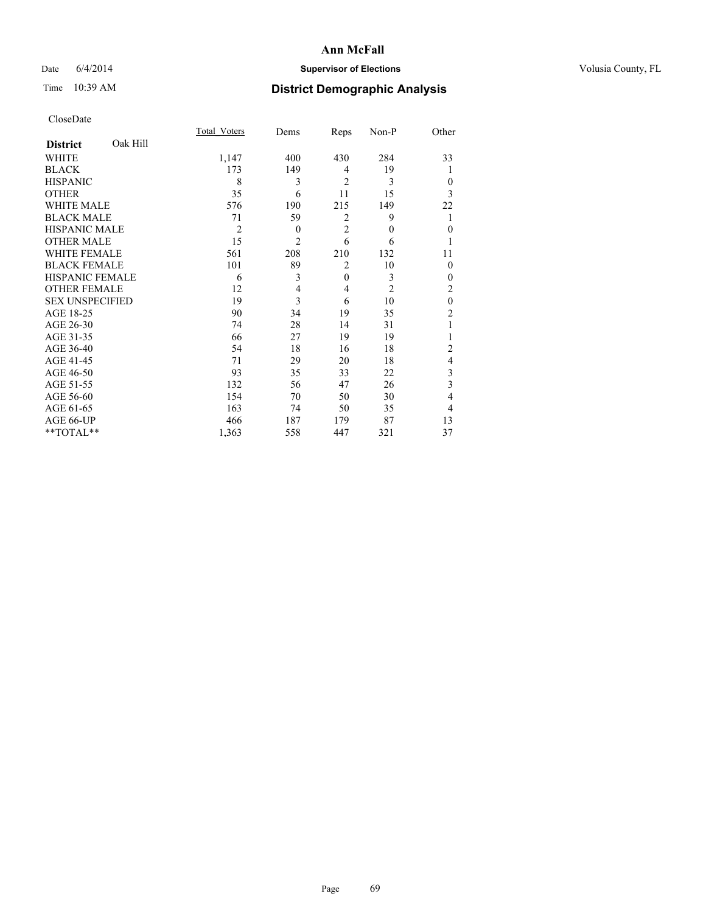## Date 6/4/2014 **Supervisor of Elections Supervisor of Elections** Volusia County, FL

# Time 10:39 AM **District Demographic Analysis**

|                        |          | Total Voters   | Dems           | Reps           | Non-P        | Other          |
|------------------------|----------|----------------|----------------|----------------|--------------|----------------|
| <b>District</b>        | Oak Hill |                |                |                |              |                |
| WHITE                  |          | 1,147          | 400            | 430            | 284          | 33             |
| <b>BLACK</b>           |          | 173            | 149            | 4              | 19           |                |
| <b>HISPANIC</b>        |          | 8              | 3              | $\overline{2}$ | 3            | $\theta$       |
| <b>OTHER</b>           |          | 35             | 6              | 11             | 15           | 3              |
| WHITE MALE             |          | 576            | 190            | 215            | 149          | 22             |
| <b>BLACK MALE</b>      |          | 71             | 59             | 2              | 9            | 1              |
| <b>HISPANIC MALE</b>   |          | $\overline{2}$ | $\theta$       | $\overline{2}$ | $\mathbf{0}$ | $\mathbf{0}$   |
| <b>OTHER MALE</b>      |          | 15             | $\overline{2}$ | 6              | 6            | 1              |
| <b>WHITE FEMALE</b>    |          | 561            | 208            | 210            | 132          | 11             |
| <b>BLACK FEMALE</b>    |          | 101            | 89             | $\overline{2}$ | 10           | $\theta$       |
| <b>HISPANIC FEMALE</b> |          | 6              | 3              | $\mathbf{0}$   | 3            | $\theta$       |
| <b>OTHER FEMALE</b>    |          | 12             | 4              | 4              | 2            | $\overline{c}$ |
| <b>SEX UNSPECIFIED</b> |          | 19             | $\overline{3}$ | 6              | 10           | $\mathbf{0}$   |
| AGE 18-25              |          | 90             | 34             | 19             | 35           | $\overline{c}$ |
| AGE 26-30              |          | 74             | 28             | 14             | 31           | 1              |
| AGE 31-35              |          | 66             | 27             | 19             | 19           |                |
| AGE 36-40              |          | 54             | 18             | 16             | 18           | $\overline{c}$ |
| AGE 41-45              |          | 71             | 29             | 20             | 18           | 4              |
| AGE 46-50              |          | 93             | 35             | 33             | 22           | 3              |
| AGE 51-55              |          | 132            | 56             | 47             | 26           | 3              |
| AGE 56-60              |          | 154            | 70             | 50             | 30           | 4              |
| AGE 61-65              |          | 163            | 74             | 50             | 35           | 4              |
| AGE 66-UP              |          | 466            | 187            | 179            | 87           | 13             |
| **TOTAL**              |          | 1,363          | 558            | 447            | 321          | 37             |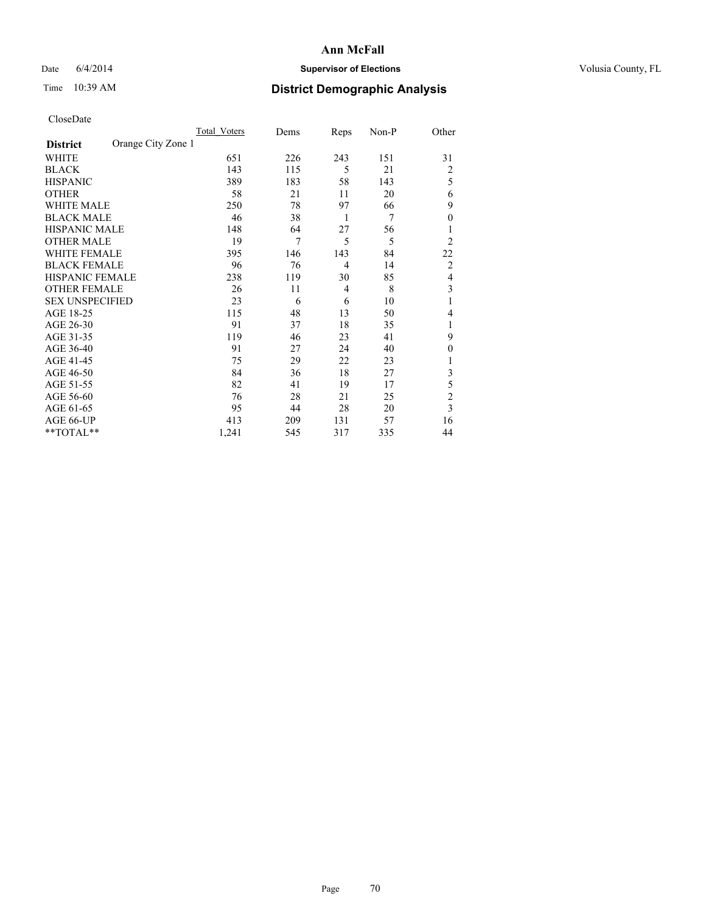## Date 6/4/2014 **Supervisor of Elections Supervisor of Elections** Volusia County, FL

## Time 10:39 AM **District Demographic Analysis**

|                        |                    | <b>Total Voters</b> | Dems | Reps           | Non-P | Other          |
|------------------------|--------------------|---------------------|------|----------------|-------|----------------|
| <b>District</b>        | Orange City Zone 1 |                     |      |                |       |                |
| WHITE                  |                    | 651                 | 226  | 243            | 151   | 31             |
| <b>BLACK</b>           |                    | 143                 | 115  | 5              | 21    | $\overline{c}$ |
| <b>HISPANIC</b>        |                    | 389                 | 183  | 58             | 143   | 5              |
| <b>OTHER</b>           |                    | 58                  | 21   | 11             | 20    | 6              |
| WHITE MALE             |                    | 250                 | 78   | 97             | 66    | 9              |
| <b>BLACK MALE</b>      |                    | 46                  | 38   | 1              | 7     | $\mathbf{0}$   |
| <b>HISPANIC MALE</b>   |                    | 148                 | 64   | 27             | 56    | 1              |
| <b>OTHER MALE</b>      |                    | 19                  | 7    | 5              | 5     | 2              |
| <b>WHITE FEMALE</b>    |                    | 395                 | 146  | 143            | 84    | 22             |
| <b>BLACK FEMALE</b>    |                    | 96                  | 76   | $\overline{4}$ | 14    | $\overline{c}$ |
| <b>HISPANIC FEMALE</b> |                    | 238                 | 119  | 30             | 85    | 4              |
| <b>OTHER FEMALE</b>    |                    | 26                  | 11   | 4              | 8     | 3              |
| <b>SEX UNSPECIFIED</b> |                    | 23                  | 6    | 6              | 10    | 1              |
| AGE 18-25              |                    | 115                 | 48   | 13             | 50    | 4              |
| AGE 26-30              |                    | 91                  | 37   | 18             | 35    | 1              |
| AGE 31-35              |                    | 119                 | 46   | 23             | 41    | 9              |
| AGE 36-40              |                    | 91                  | 27   | 24             | 40    | $\theta$       |
| AGE 41-45              |                    | 75                  | 29   | 22             | 23    |                |
| AGE 46-50              |                    | 84                  | 36   | 18             | 27    | 3              |
| AGE 51-55              |                    | 82                  | 41   | 19             | 17    | 5              |
| AGE 56-60              |                    | 76                  | 28   | 21             | 25    | $\overline{c}$ |
| AGE 61-65              |                    | 95                  | 44   | 28             | 20    | 3              |
| AGE 66-UP              |                    | 413                 | 209  | 131            | 57    | 16             |
| **TOTAL**              |                    | 1,241               | 545  | 317            | 335   | 44             |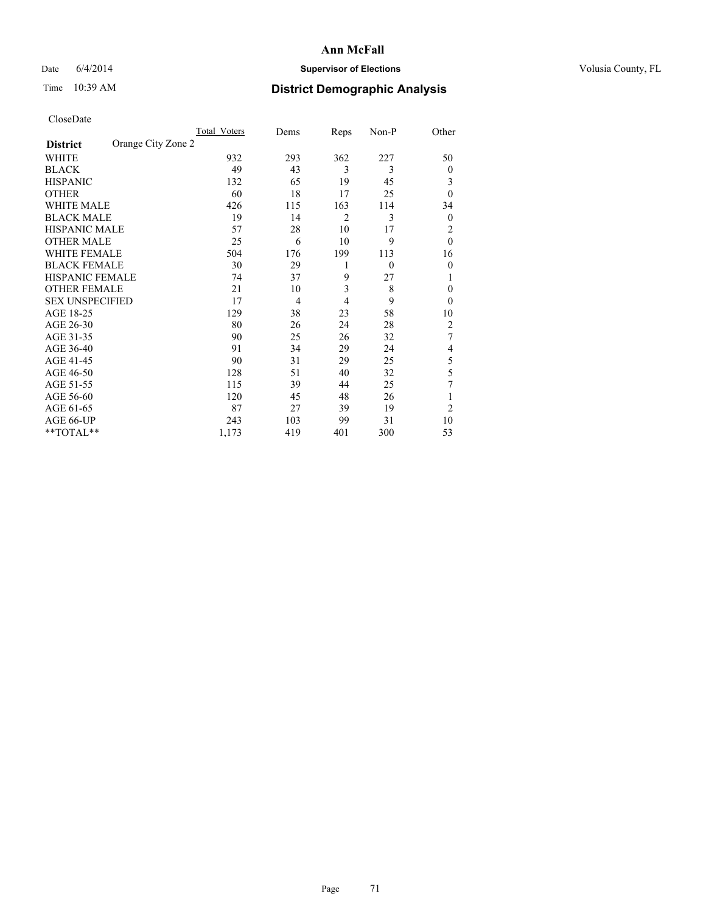## Date 6/4/2014 **Supervisor of Elections Supervisor of Elections** Volusia County, FL

## Time 10:39 AM **District Demographic Analysis**

|                        |                    | Total Voters | Dems           | Reps | Non-P    | Other          |
|------------------------|--------------------|--------------|----------------|------|----------|----------------|
| <b>District</b>        | Orange City Zone 2 |              |                |      |          |                |
| WHITE                  |                    | 932          | 293            | 362  | 227      | 50             |
| <b>BLACK</b>           |                    | 49           | 43             | 3    | 3        | $\mathbf{0}$   |
| <b>HISPANIC</b>        |                    | 132          | 65             | 19   | 45       | 3              |
| <b>OTHER</b>           |                    | 60           | 18             | 17   | 25       | $\theta$       |
| WHITE MALE             |                    | 426          | 115            | 163  | 114      | 34             |
| <b>BLACK MALE</b>      |                    | 19           | 14             | 2    | 3        | $\mathbf{0}$   |
| <b>HISPANIC MALE</b>   |                    | 57           | 28             | 10   | 17       | 2              |
| <b>OTHER MALE</b>      |                    | 25           | 6              | 10   | 9        | $\theta$       |
| <b>WHITE FEMALE</b>    |                    | 504          | 176            | 199  | 113      | 16             |
| <b>BLACK FEMALE</b>    |                    | 30           | 29             | 1    | $\theta$ | $\theta$       |
| <b>HISPANIC FEMALE</b> |                    | 74           | 37             | 9    | 27       | 1              |
| <b>OTHER FEMALE</b>    |                    | 21           | 10             | 3    | 8        | $\theta$       |
| <b>SEX UNSPECIFIED</b> |                    | 17           | $\overline{4}$ | 4    | 9        | $\theta$       |
| AGE 18-25              |                    | 129          | 38             | 23   | 58       | 10             |
| AGE 26-30              |                    | 80           | 26             | 24   | 28       | $\overline{c}$ |
| AGE 31-35              |                    | 90           | 25             | 26   | 32       | 7              |
| AGE 36-40              |                    | 91           | 34             | 29   | 24       | 4              |
| AGE 41-45              |                    | 90           | 31             | 29   | 25       | 5              |
| AGE 46-50              |                    | 128          | 51             | 40   | 32       | 5              |
| AGE 51-55              |                    | 115          | 39             | 44   | 25       | 7              |
| AGE 56-60              |                    | 120          | 45             | 48   | 26       |                |
| AGE 61-65              |                    | 87           | 27             | 39   | 19       | $\overline{c}$ |
| AGE 66-UP              |                    | 243          | 103            | 99   | 31       | 10             |
| **TOTAL**              |                    | 1,173        | 419            | 401  | 300      | 53             |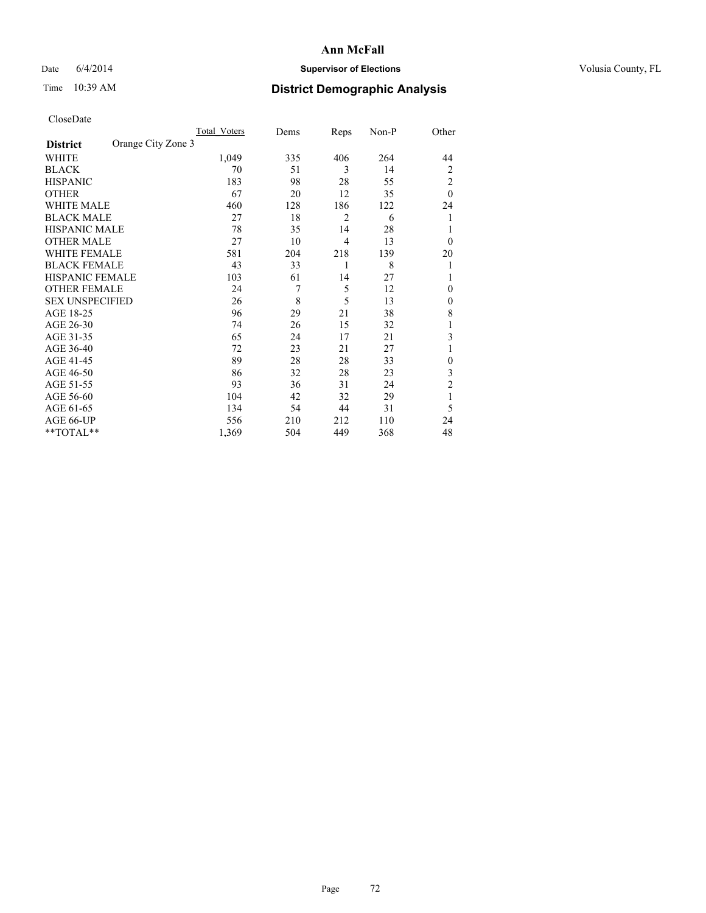## Date 6/4/2014 **Supervisor of Elections Supervisor of Elections** Volusia County, FL

## Time 10:39 AM **District Demographic Analysis**

|                                       | Total Voters | Dems | Reps | Non-P | Other          |
|---------------------------------------|--------------|------|------|-------|----------------|
| Orange City Zone 3<br><b>District</b> |              |      |      |       |                |
| WHITE                                 | 1,049        | 335  | 406  | 264   | 44             |
| <b>BLACK</b>                          | 70           | 51   | 3    | 14    | 2              |
| <b>HISPANIC</b>                       | 183          | 98   | 28   | 55    | $\overline{c}$ |
| <b>OTHER</b>                          | 67           | 20   | 12   | 35    | $\theta$       |
| WHITE MALE                            | 460          | 128  | 186  | 122   | 24             |
| <b>BLACK MALE</b>                     | 27           | 18   | 2    | 6     | 1              |
| <b>HISPANIC MALE</b>                  | 78           | 35   | 14   | 28    | 1              |
| <b>OTHER MALE</b>                     | 27           | 10   | 4    | 13    | $\overline{0}$ |
| <b>WHITE FEMALE</b>                   | 581          | 204  | 218  | 139   | 20             |
| <b>BLACK FEMALE</b>                   | 43           | 33   | 1    | 8     | 1              |
| <b>HISPANIC FEMALE</b>                | 103          | 61   | 14   | 27    | 1              |
| <b>OTHER FEMALE</b>                   | 24           | 7    | 5    | 12    | $\theta$       |
| <b>SEX UNSPECIFIED</b>                | 26           | 8    | 5    | 13    | $\mathbf{0}$   |
| AGE 18-25                             | 96           | 29   | 21   | 38    | 8              |
| AGE 26-30                             | 74           | 26   | 15   | 32    | 1              |
| AGE 31-35                             | 65           | 24   | 17   | 21    | 3              |
| AGE 36-40                             | 72           | 23   | 21   | 27    |                |
| AGE 41-45                             | 89           | 28   | 28   | 33    | $\mathbf{0}$   |
| AGE 46-50                             | 86           | 32   | 28   | 23    | 3              |
| AGE 51-55                             | 93           | 36   | 31   | 24    | $\overline{c}$ |
| AGE 56-60                             | 104          | 42   | 32   | 29    | 1              |
| AGE 61-65                             | 134          | 54   | 44   | 31    | 5              |
| AGE 66-UP                             | 556          | 210  | 212  | 110   | 24             |
| **TOTAL**                             | 1,369        | 504  | 449  | 368   | 48             |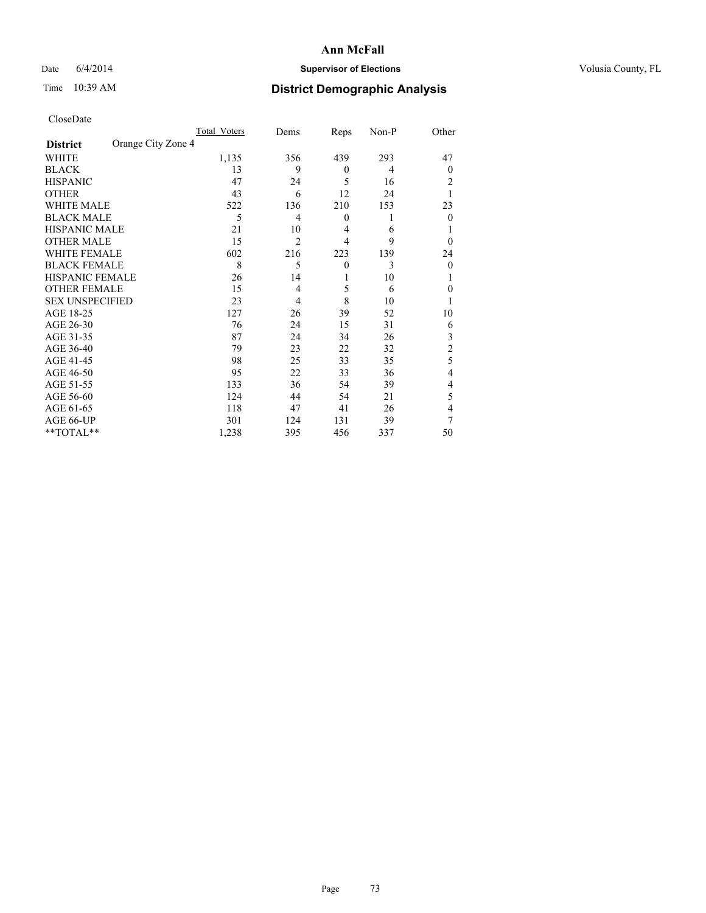## Date 6/4/2014 **Supervisor of Elections Supervisor of Elections** Volusia County, FL

# Time 10:39 AM **District Demographic Analysis**

|                                       | Total Voters | Dems           | Reps             | Non-P | Other          |
|---------------------------------------|--------------|----------------|------------------|-------|----------------|
| Orange City Zone 4<br><b>District</b> |              |                |                  |       |                |
| WHITE                                 | 1,135        | 356            | 439              | 293   | 47             |
| <b>BLACK</b>                          | 13           | 9              | $\theta$         | 4     | $\theta$       |
| <b>HISPANIC</b>                       | 47           | 24             | 5                | 16    | 2              |
| <b>OTHER</b>                          | 43           | 6              | 12               | 24    |                |
| WHITE MALE                            | 522          | 136            | 210              | 153   | 23             |
| <b>BLACK MALE</b>                     | 5            | 4              | $\boldsymbol{0}$ | 1     | $\theta$       |
| <b>HISPANIC MALE</b>                  | 21           | 10             | $\overline{4}$   | 6     |                |
| <b>OTHER MALE</b>                     | 15           | $\overline{2}$ | 4                | 9     | $\theta$       |
| <b>WHITE FEMALE</b>                   | 602          | 216            | 223              | 139   | 24             |
| <b>BLACK FEMALE</b>                   | 8            | 5              | $\theta$         | 3     | $\theta$       |
| <b>HISPANIC FEMALE</b>                | 26           | 14             | 1                | 10    |                |
| <b>OTHER FEMALE</b>                   | 15           | 4              | 5                | 6     | 0              |
| <b>SEX UNSPECIFIED</b>                | 23           | 4              | 8                | 10    |                |
| AGE 18-25                             | 127          | 26             | 39               | 52    | 10             |
| AGE 26-30                             | 76           | 24             | 15               | 31    | 6              |
| AGE 31-35                             | 87           | 24             | 34               | 26    | 3              |
| AGE 36-40                             | 79           | 23             | 22               | 32    | $\overline{c}$ |
| AGE 41-45                             | 98           | 25             | 33               | 35    | 5              |
| AGE 46-50                             | 95           | 22             | 33               | 36    | 4              |
| AGE 51-55                             | 133          | 36             | 54               | 39    | 4              |
| AGE 56-60                             | 124          | 44             | 54               | 21    | 5              |
| AGE 61-65                             | 118          | 47             | 41               | 26    | 4              |
| AGE 66-UP                             | 301          | 124            | 131              | 39    | 7              |
| **TOTAL**                             | 1,238        | 395            | 456              | 337   | 50             |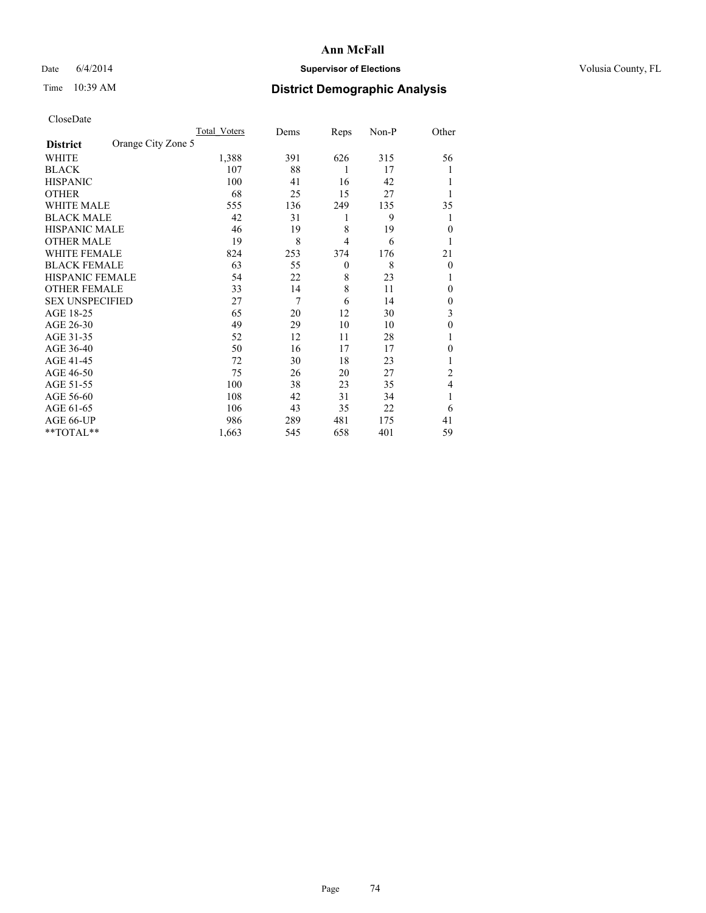## Date 6/4/2014 **Supervisor of Elections Supervisor of Elections** Volusia County, FL

# Time 10:39 AM **District Demographic Analysis**

|                        |                    | <b>Total Voters</b> | Dems | Reps           | Non-P | Other        |
|------------------------|--------------------|---------------------|------|----------------|-------|--------------|
| <b>District</b>        | Orange City Zone 5 |                     |      |                |       |              |
| WHITE                  |                    | 1,388               | 391  | 626            | 315   | 56           |
| <b>BLACK</b>           |                    | 107                 | 88   | 1              | 17    |              |
| <b>HISPANIC</b>        |                    | 100                 | 41   | 16             | 42    |              |
| <b>OTHER</b>           |                    | 68                  | 25   | 15             | 27    |              |
| WHITE MALE             |                    | 555                 | 136  | 249            | 135   | 35           |
| <b>BLACK MALE</b>      |                    | 42                  | 31   | 1              | 9     |              |
| <b>HISPANIC MALE</b>   |                    | 46                  | 19   | 8              | 19    | $\theta$     |
| <b>OTHER MALE</b>      |                    | 19                  | 8    | $\overline{4}$ | 6     | 1            |
| WHITE FEMALE           |                    | 824                 | 253  | 374            | 176   | 21           |
| <b>BLACK FEMALE</b>    |                    | 63                  | 55   | $\theta$       | 8     | $\theta$     |
| <b>HISPANIC FEMALE</b> |                    | 54                  | 22   | 8              | 23    | 1            |
| <b>OTHER FEMALE</b>    |                    | 33                  | 14   | 8              | 11    | 0            |
| <b>SEX UNSPECIFIED</b> |                    | 27                  | 7    | 6              | 14    | $\mathbf{0}$ |
| AGE 18-25              |                    | 65                  | 20   | 12             | 30    | 3            |
| AGE 26-30              |                    | 49                  | 29   | 10             | 10    | $\mathbf{0}$ |
| AGE 31-35              |                    | 52                  | 12   | 11             | 28    |              |
| AGE 36-40              |                    | 50                  | 16   | 17             | 17    | 0            |
| AGE 41-45              |                    | 72                  | 30   | 18             | 23    |              |
| AGE 46-50              |                    | 75                  | 26   | 20             | 27    | 2            |
| AGE 51-55              |                    | 100                 | 38   | 23             | 35    | 4            |
| AGE 56-60              |                    | 108                 | 42   | 31             | 34    |              |
| AGE 61-65              |                    | 106                 | 43   | 35             | 22    | 6            |
| AGE 66-UP              |                    | 986                 | 289  | 481            | 175   | 41           |
| **TOTAL**              |                    | 1,663               | 545  | 658            | 401   | 59           |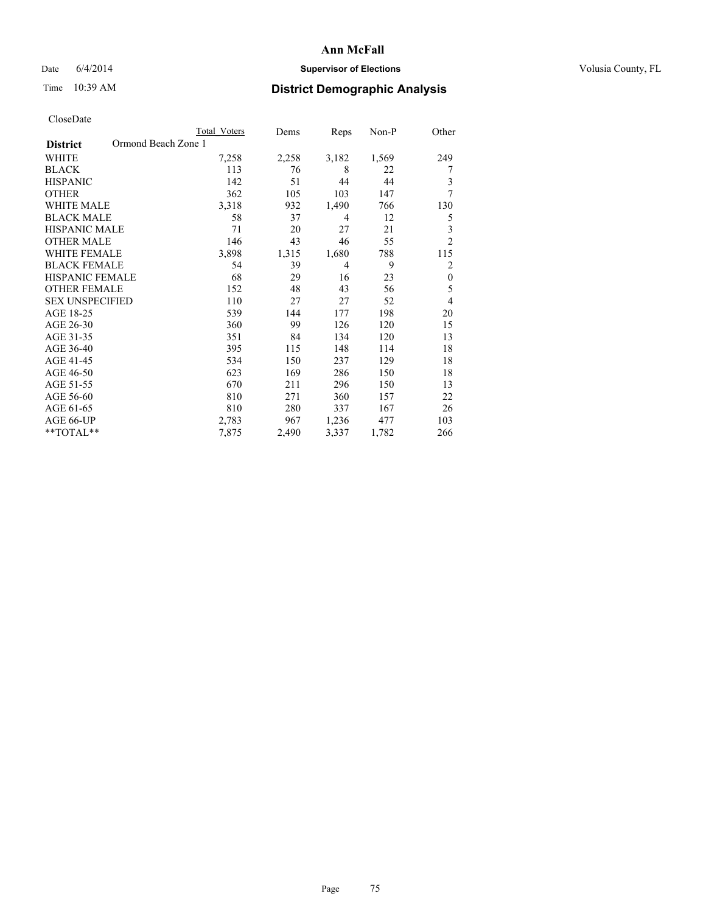## Date 6/4/2014 **Supervisor of Elections Supervisor of Elections** Volusia County, FL

# Time 10:39 AM **District Demographic Analysis**

|                                        | <b>Total Voters</b> | Dems  | Reps  | Non-P | Other            |
|----------------------------------------|---------------------|-------|-------|-------|------------------|
| Ormond Beach Zone 1<br><b>District</b> |                     |       |       |       |                  |
| WHITE                                  | 7,258               | 2,258 | 3,182 | 1,569 | 249              |
| <b>BLACK</b>                           | 113                 | 76    | 8     | 22    | 7                |
| <b>HISPANIC</b>                        | 142                 | 51    | 44    | 44    | 3                |
| <b>OTHER</b>                           | 362                 | 105   | 103   | 147   | 7                |
| <b>WHITE MALE</b>                      | 3,318               | 932   | 1,490 | 766   | 130              |
| <b>BLACK MALE</b>                      | 58                  | 37    | 4     | 12    | 5                |
| HISPANIC MALE                          | 71                  | 20    | 27    | 21    | 3                |
| <b>OTHER MALE</b>                      | 146                 | 43    | 46    | 55    | $\overline{2}$   |
| <b>WHITE FEMALE</b>                    | 3,898               | 1,315 | 1,680 | 788   | 115              |
| <b>BLACK FEMALE</b>                    | 54                  | 39    | 4     | 9     | $\overline{c}$   |
| <b>HISPANIC FEMALE</b>                 | 68                  | 29    | 16    | 23    | $\boldsymbol{0}$ |
| <b>OTHER FEMALE</b>                    | 152                 | 48    | 43    | 56    | 5                |
| <b>SEX UNSPECIFIED</b>                 | 110                 | 27    | 27    | 52    | $\overline{4}$   |
| AGE 18-25                              | 539                 | 144   | 177   | 198   | 20               |
| AGE 26-30                              | 360                 | 99    | 126   | 120   | 15               |
| AGE 31-35                              | 351                 | 84    | 134   | 120   | 13               |
| AGE 36-40                              | 395                 | 115   | 148   | 114   | 18               |
| AGE 41-45                              | 534                 | 150   | 237   | 129   | 18               |
| AGE 46-50                              | 623                 | 169   | 286   | 150   | 18               |
| AGE 51-55                              | 670                 | 211   | 296   | 150   | 13               |
| AGE 56-60                              | 810                 | 271   | 360   | 157   | 22               |
| AGE 61-65                              | 810                 | 280   | 337   | 167   | 26               |
| AGE 66-UP                              | 2,783               | 967   | 1,236 | 477   | 103              |
| **TOTAL**                              | 7,875               | 2,490 | 3,337 | 1,782 | 266              |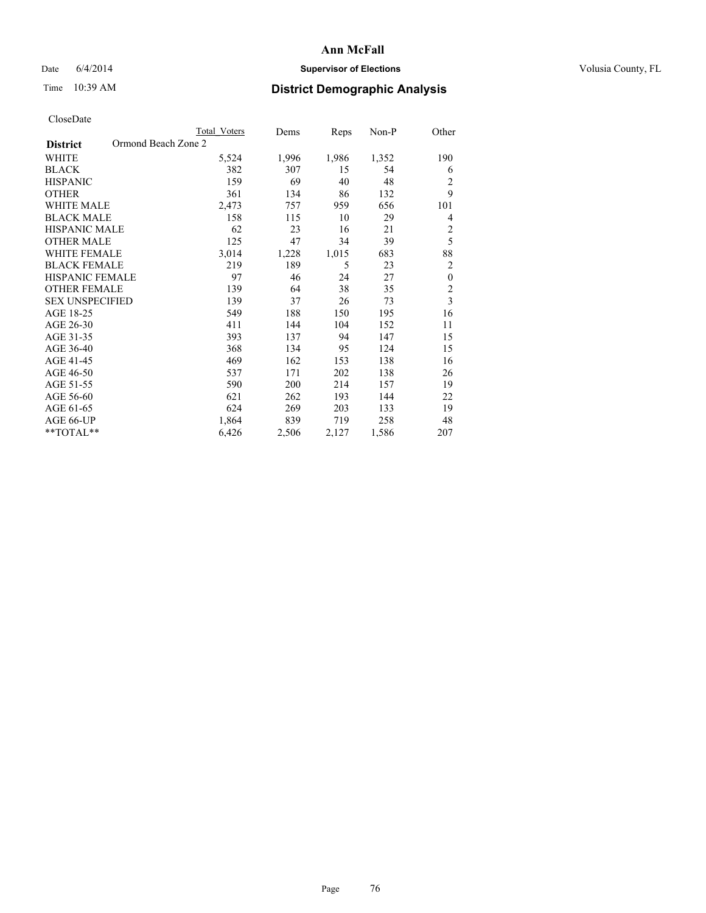## Date 6/4/2014 **Supervisor of Elections Supervisor of Elections** Volusia County, FL

# Time 10:39 AM **District Demographic Analysis**

|                                        | <b>Total Voters</b> | Dems  | Reps  | Non-P | Other                   |
|----------------------------------------|---------------------|-------|-------|-------|-------------------------|
| Ormond Beach Zone 2<br><b>District</b> |                     |       |       |       |                         |
| WHITE                                  | 5,524               | 1,996 | 1,986 | 1,352 | 190                     |
| <b>BLACK</b>                           | 382                 | 307   | 15    | 54    | 6                       |
| <b>HISPANIC</b>                        | 159                 | 69    | 40    | 48    | 2                       |
| <b>OTHER</b>                           | 361                 | 134   | 86    | 132   | 9                       |
| <b>WHITE MALE</b>                      | 2,473               | 757   | 959   | 656   | 101                     |
| <b>BLACK MALE</b>                      | 158                 | 115   | 10    | 29    | 4                       |
| <b>HISPANIC MALE</b>                   | 62                  | 23    | 16    | 21    | $\overline{c}$          |
| <b>OTHER MALE</b>                      | 125                 | 47    | 34    | 39    | 5                       |
| <b>WHITE FEMALE</b>                    | 3,014               | 1,228 | 1,015 | 683   | 88                      |
| <b>BLACK FEMALE</b>                    | 219                 | 189   | 5     | 23    | $\overline{2}$          |
| HISPANIC FEMALE                        | 97                  | 46    | 24    | 27    | $\mathbf{0}$            |
| <b>OTHER FEMALE</b>                    | 139                 | 64    | 38    | 35    | $\overline{2}$          |
| <b>SEX UNSPECIFIED</b>                 | 139                 | 37    | 26    | 73    | $\overline{\mathbf{3}}$ |
| AGE 18-25                              | 549                 | 188   | 150   | 195   | 16                      |
| AGE 26-30                              | 411                 | 144   | 104   | 152   | 11                      |
| AGE 31-35                              | 393                 | 137   | 94    | 147   | 15                      |
| AGE 36-40                              | 368                 | 134   | 95    | 124   | 15                      |
| AGE 41-45                              | 469                 | 162   | 153   | 138   | 16                      |
| AGE 46-50                              | 537                 | 171   | 202   | 138   | 26                      |
| AGE 51-55                              | 590                 | 200   | 214   | 157   | 19                      |
| AGE 56-60                              | 621                 | 262   | 193   | 144   | 22                      |
| AGE 61-65                              | 624                 | 269   | 203   | 133   | 19                      |
| AGE 66-UP                              | 1,864               | 839   | 719   | 258   | 48                      |
| **TOTAL**                              | 6,426               | 2,506 | 2,127 | 1,586 | 207                     |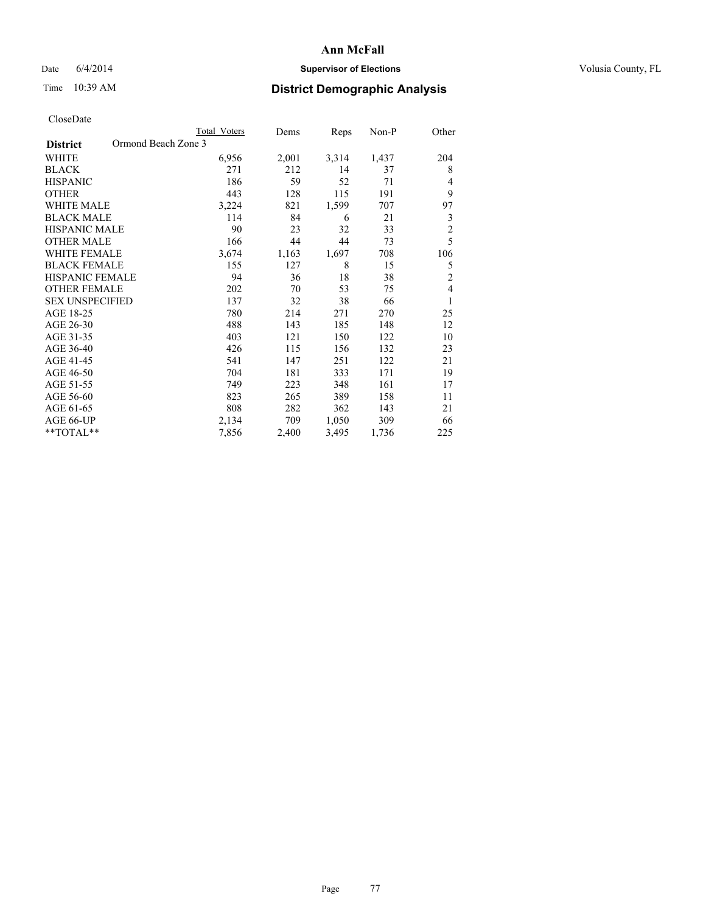## Date 6/4/2014 **Supervisor of Elections Supervisor of Elections** Volusia County, FL

# Time 10:39 AM **District Demographic Analysis**

|                                        | Total Voters | Dems  | Reps  | Non-P | Other          |
|----------------------------------------|--------------|-------|-------|-------|----------------|
| Ormond Beach Zone 3<br><b>District</b> |              |       |       |       |                |
| WHITE                                  | 6,956        | 2,001 | 3,314 | 1,437 | 204            |
| <b>BLACK</b>                           | 271          | 212   | 14    | 37    | 8              |
| <b>HISPANIC</b>                        | 186          | 59    | 52    | 71    | 4              |
| <b>OTHER</b>                           | 443          | 128   | 115   | 191   | 9              |
| <b>WHITE MALE</b>                      | 3,224        | 821   | 1,599 | 707   | 97             |
| <b>BLACK MALE</b>                      | 114          | 84    | 6     | 21    | 3              |
| HISPANIC MALE                          | 90           | 23    | 32    | 33    | $\overline{c}$ |
| <b>OTHER MALE</b>                      | 166          | 44    | 44    | 73    | 5              |
| <b>WHITE FEMALE</b>                    | 3,674        | 1,163 | 1,697 | 708   | 106            |
| <b>BLACK FEMALE</b>                    | 155          | 127   | 8     | 15    | 5              |
| <b>HISPANIC FEMALE</b>                 | 94           | 36    | 18    | 38    | $\overline{2}$ |
| <b>OTHER FEMALE</b>                    | 202          | 70    | 53    | 75    | $\overline{4}$ |
| <b>SEX UNSPECIFIED</b>                 | 137          | 32    | 38    | 66    | 1              |
| AGE 18-25                              | 780          | 214   | 271   | 270   | 25             |
| AGE 26-30                              | 488          | 143   | 185   | 148   | 12             |
| AGE 31-35                              | 403          | 121   | 150   | 122   | 10             |
| AGE 36-40                              | 426          | 115   | 156   | 132   | 23             |
| AGE 41-45                              | 541          | 147   | 251   | 122   | 21             |
| AGE 46-50                              | 704          | 181   | 333   | 171   | 19             |
| AGE 51-55                              | 749          | 223   | 348   | 161   | 17             |
| AGE 56-60                              | 823          | 265   | 389   | 158   | 11             |
| AGE 61-65                              | 808          | 282   | 362   | 143   | 21             |
| AGE 66-UP                              | 2,134        | 709   | 1,050 | 309   | 66             |
| **TOTAL**                              | 7,856        | 2,400 | 3,495 | 1,736 | 225            |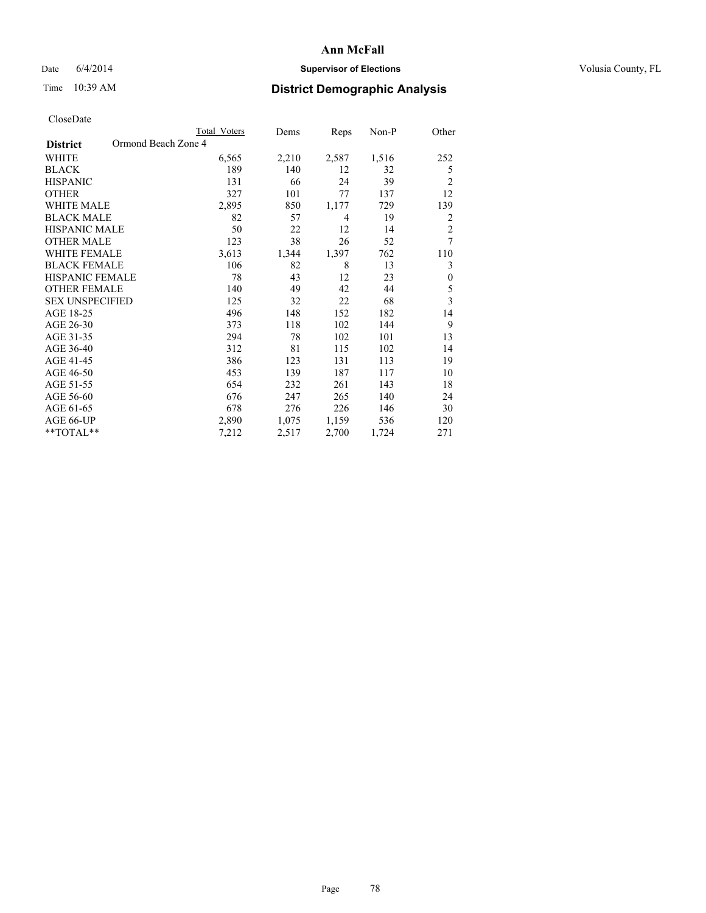## Date 6/4/2014 **Supervisor of Elections Supervisor of Elections** Volusia County, FL

# Time 10:39 AM **District Demographic Analysis**

|                                        | Total Voters | Dems  | Reps  | Non-P | Other            |
|----------------------------------------|--------------|-------|-------|-------|------------------|
| Ormond Beach Zone 4<br><b>District</b> |              |       |       |       |                  |
| WHITE                                  | 6,565        | 2,210 | 2,587 | 1,516 | 252              |
| <b>BLACK</b>                           | 189          | 140   | 12    | 32    | 5                |
| <b>HISPANIC</b>                        | 131          | 66    | 24    | 39    | $\overline{2}$   |
| <b>OTHER</b>                           | 327          | 101   | 77    | 137   | 12               |
| WHITE MALE                             | 2,895        | 850   | 1,177 | 729   | 139              |
| <b>BLACK MALE</b>                      | 82           | 57    | 4     | 19    | 2                |
| HISPANIC MALE                          | 50           | 22    | 12    | 14    | $\overline{c}$   |
| <b>OTHER MALE</b>                      | 123          | 38    | 26    | 52    | 7                |
| WHITE FEMALE                           | 3,613        | 1,344 | 1,397 | 762   | 110              |
| <b>BLACK FEMALE</b>                    | 106          | 82    | 8     | 13    | 3                |
| <b>HISPANIC FEMALE</b>                 | 78           | 43    | 12    | 23    | $\boldsymbol{0}$ |
| <b>OTHER FEMALE</b>                    | 140          | 49    | 42    | 44    | 5                |
| <b>SEX UNSPECIFIED</b>                 | 125          | 32    | 22    | 68    | $\overline{3}$   |
| AGE 18-25                              | 496          | 148   | 152   | 182   | 14               |
| AGE 26-30                              | 373          | 118   | 102   | 144   | 9                |
| AGE 31-35                              | 294          | 78    | 102   | 101   | 13               |
| AGE 36-40                              | 312          | 81    | 115   | 102   | 14               |
| AGE 41-45                              | 386          | 123   | 131   | 113   | 19               |
| AGE 46-50                              | 453          | 139   | 187   | 117   | 10               |
| AGE 51-55                              | 654          | 232   | 261   | 143   | 18               |
| AGE 56-60                              | 676          | 247   | 265   | 140   | 24               |
| AGE 61-65                              | 678          | 276   | 226   | 146   | 30               |
| AGE 66-UP                              | 2,890        | 1,075 | 1,159 | 536   | 120              |
| **TOTAL**                              | 7,212        | 2,517 | 2,700 | 1,724 | 271              |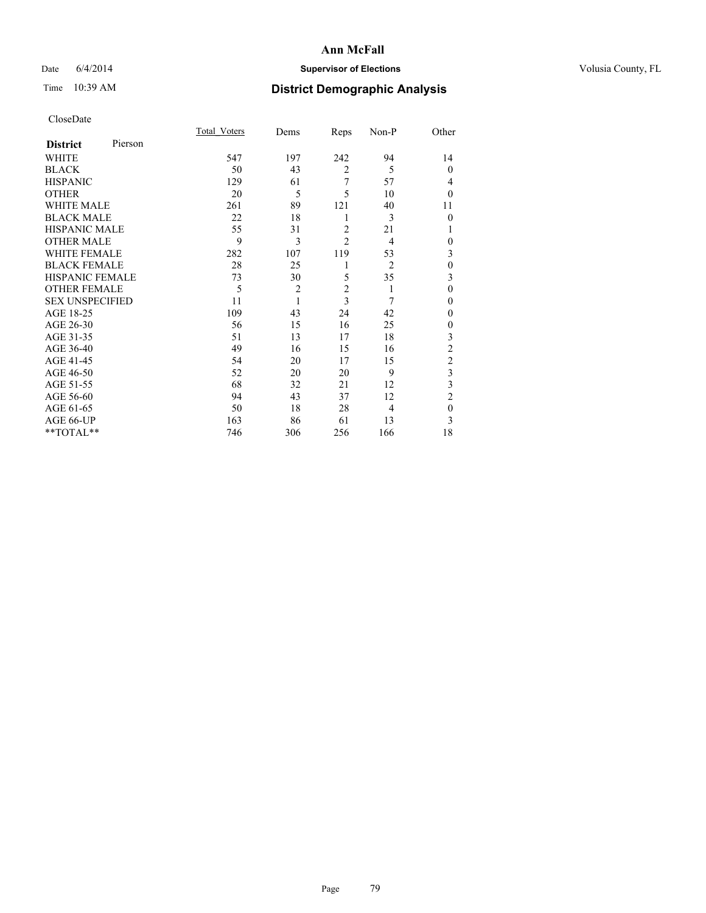## Date 6/4/2014 **Supervisor of Elections Supervisor of Elections** Volusia County, FL

# Time 10:39 AM **District Demographic Analysis**

|                        |         | Total Voters | Dems           | Reps           | Non-P          | Other          |
|------------------------|---------|--------------|----------------|----------------|----------------|----------------|
| <b>District</b>        | Pierson |              |                |                |                |                |
| WHITE                  |         | 547          | 197            | 242            | 94             | 14             |
| <b>BLACK</b>           |         | 50           | 43             | $\overline{c}$ | 5              | $\theta$       |
| <b>HISPANIC</b>        |         | 129          | 61             | 7              | 57             | 4              |
| <b>OTHER</b>           |         | 20           | 5              | 5              | 10             | $\Omega$       |
| WHITE MALE             |         | 261          | 89             | 121            | 40             | 11             |
| <b>BLACK MALE</b>      |         | 22           | 18             | 1              | 3              | $\theta$       |
| <b>HISPANIC MALE</b>   |         | 55           | 31             | $\overline{2}$ | 21             |                |
| <b>OTHER MALE</b>      |         | 9            | 3              | $\overline{c}$ | $\overline{4}$ | $\mathbf{0}$   |
| <b>WHITE FEMALE</b>    |         | 282          | 107            | 119            | 53             | 3              |
| <b>BLACK FEMALE</b>    |         | 28           | 25             | 1              | $\overline{2}$ | $\theta$       |
| HISPANIC FEMALE        |         | 73           | 30             | 5              | 35             | 3              |
| <b>OTHER FEMALE</b>    |         | 5            | $\overline{2}$ | $\overline{2}$ | 1              | $\theta$       |
| <b>SEX UNSPECIFIED</b> |         | 11           | $\mathbf{1}$   | 3              | 7              | $\Omega$       |
| AGE 18-25              |         | 109          | 43             | 24             | 42             | $\Omega$       |
| AGE 26-30              |         | 56           | 15             | 16             | 25             | 0              |
| AGE 31-35              |         | 51           | 13             | 17             | 18             | 3              |
| AGE 36-40              |         | 49           | 16             | 15             | 16             | $\overline{c}$ |
| AGE 41-45              |         | 54           | 20             | 17             | 15             | $\overline{c}$ |
| AGE 46-50              |         | 52           | 20             | 20             | 9              | 3              |
| AGE 51-55              |         | 68           | 32             | 21             | 12             | 3              |
| AGE 56-60              |         | 94           | 43             | 37             | 12             | $\overline{c}$ |
| AGE 61-65              |         | 50           | 18             | 28             | $\overline{4}$ | $\mathbf{0}$   |
| AGE 66-UP              |         | 163          | 86             | 61             | 13             | 3              |
| **TOTAL**              |         | 746          | 306            | 256            | 166            | 18             |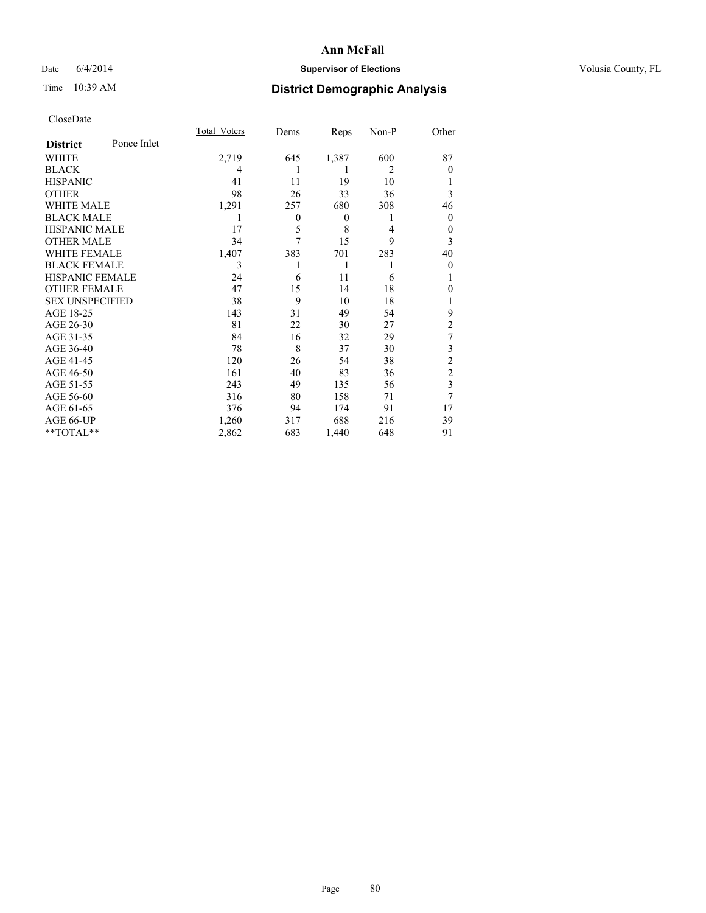## Date 6/4/2014 **Supervisor of Elections Supervisor of Elections** Volusia County, FL

# Time 10:39 AM **District Demographic Analysis**

|                        |             | <b>Total Voters</b> | Dems     | Reps             | Non-P          | Other          |
|------------------------|-------------|---------------------|----------|------------------|----------------|----------------|
| <b>District</b>        | Ponce Inlet |                     |          |                  |                |                |
| WHITE                  |             | 2,719               | 645      | 1,387            | 600            | 87             |
| <b>BLACK</b>           |             | 4                   | 1        | 1                | $\overline{2}$ | $\theta$       |
| <b>HISPANIC</b>        |             | 41                  | 11       | 19               | 10             |                |
| <b>OTHER</b>           |             | 98                  | 26       | 33               | 36             | 3              |
| WHITE MALE             |             | 1,291               | 257      | 680              | 308            | 46             |
| <b>BLACK MALE</b>      |             | 1                   | $\theta$ | $\boldsymbol{0}$ | 1              | 0              |
| <b>HISPANIC MALE</b>   |             | 17                  | 5        | 8                | 4              | $\theta$       |
| <b>OTHER MALE</b>      |             | 34                  | 7        | 15               | 9              | 3              |
| WHITE FEMALE           |             | 1,407               | 383      | 701              | 283            | 40             |
| <b>BLACK FEMALE</b>    |             | 3                   | 1        | 1                | 1              | $\theta$       |
| HISPANIC FEMALE        |             | 24                  | 6        | 11               | 6              |                |
| <b>OTHER FEMALE</b>    |             | 47                  | 15       | 14               | 18             | $\Omega$       |
| <b>SEX UNSPECIFIED</b> |             | 38                  | 9        | 10               | 18             | 1              |
| AGE 18-25              |             | 143                 | 31       | 49               | 54             | 9              |
| AGE 26-30              |             | 81                  | 22       | 30               | 27             | $\overline{2}$ |
| AGE 31-35              |             | 84                  | 16       | 32               | 29             | 7              |
| AGE 36-40              |             | 78                  | 8        | 37               | 30             | 3              |
| AGE 41-45              |             | 120                 | 26       | 54               | 38             | $\overline{c}$ |
| AGE 46-50              |             | 161                 | 40       | 83               | 36             | $\overline{2}$ |
| AGE 51-55              |             | 243                 | 49       | 135              | 56             | 3              |
| AGE 56-60              |             | 316                 | 80       | 158              | 71             | 7              |
| AGE 61-65              |             | 376                 | 94       | 174              | 91             | 17             |
| AGE 66-UP              |             | 1,260               | 317      | 688              | 216            | 39             |
| $*$ TOTAL $**$         |             | 2,862               | 683      | 1,440            | 648            | 91             |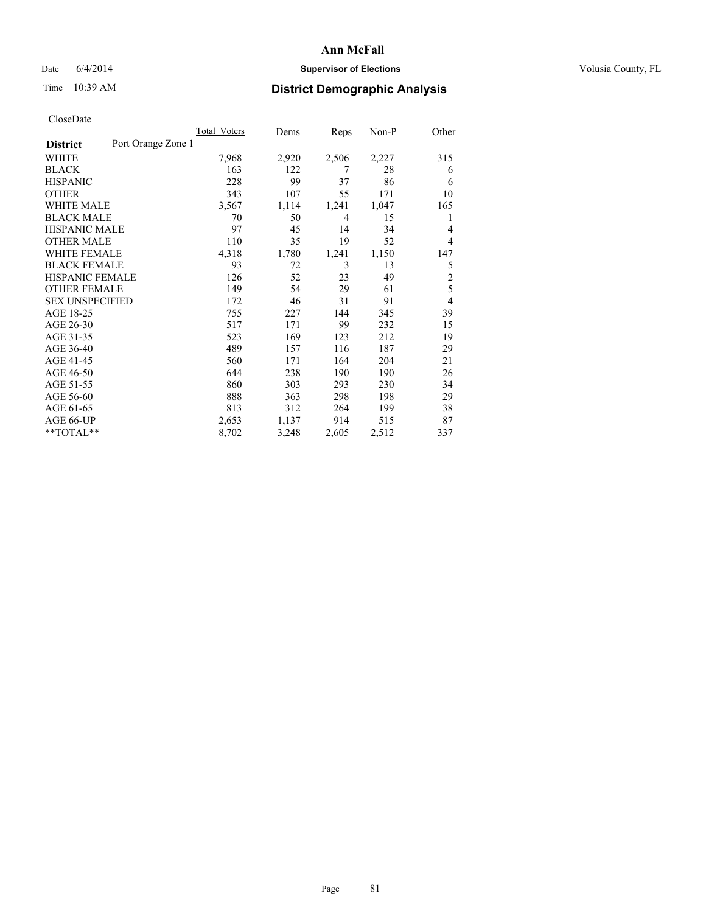## Date 6/4/2014 **Supervisor of Elections Supervisor of Elections** Volusia County, FL

# Time 10:39 AM **District Demographic Analysis**

|                        |                    | <b>Total Voters</b> | Dems  | Reps  | Non-P | Other          |
|------------------------|--------------------|---------------------|-------|-------|-------|----------------|
| <b>District</b>        | Port Orange Zone 1 |                     |       |       |       |                |
| WHITE                  |                    | 7,968               | 2,920 | 2,506 | 2,227 | 315            |
| <b>BLACK</b>           |                    | 163                 | 122   | 7     | 28    | 6              |
| <b>HISPANIC</b>        |                    | 228                 | 99    | 37    | 86    | 6              |
| <b>OTHER</b>           |                    | 343                 | 107   | 55    | 171   | 10             |
| WHITE MALE             |                    | 3,567               | 1,114 | 1,241 | 1,047 | 165            |
| <b>BLACK MALE</b>      |                    | 70                  | 50    | 4     | 15    | 1              |
| <b>HISPANIC MALE</b>   |                    | 97                  | 45    | 14    | 34    | 4              |
| <b>OTHER MALE</b>      |                    | 110                 | 35    | 19    | 52    | 4              |
| WHITE FEMALE           |                    | 4,318               | 1,780 | 1,241 | 1,150 | 147            |
| <b>BLACK FEMALE</b>    |                    | 93                  | 72    | 3     | 13    | 5              |
| HISPANIC FEMALE        |                    | 126                 | 52    | 23    | 49    | $\overline{2}$ |
| <b>OTHER FEMALE</b>    |                    | 149                 | 54    | 29    | 61    | 5              |
| <b>SEX UNSPECIFIED</b> |                    | 172                 | 46    | 31    | 91    | $\overline{4}$ |
| AGE 18-25              |                    | 755                 | 227   | 144   | 345   | 39             |
| AGE 26-30              |                    | 517                 | 171   | 99    | 232   | 15             |
| AGE 31-35              |                    | 523                 | 169   | 123   | 212   | 19             |
| AGE 36-40              |                    | 489                 | 157   | 116   | 187   | 29             |
| AGE 41-45              |                    | 560                 | 171   | 164   | 204   | 21             |
| AGE 46-50              |                    | 644                 | 238   | 190   | 190   | 26             |
| AGE 51-55              |                    | 860                 | 303   | 293   | 230   | 34             |
| AGE 56-60              |                    | 888                 | 363   | 298   | 198   | 29             |
| AGE 61-65              |                    | 813                 | 312   | 264   | 199   | 38             |
| AGE 66-UP              |                    | 2,653               | 1,137 | 914   | 515   | 87             |
| **TOTAL**              |                    | 8,702               | 3,248 | 2,605 | 2,512 | 337            |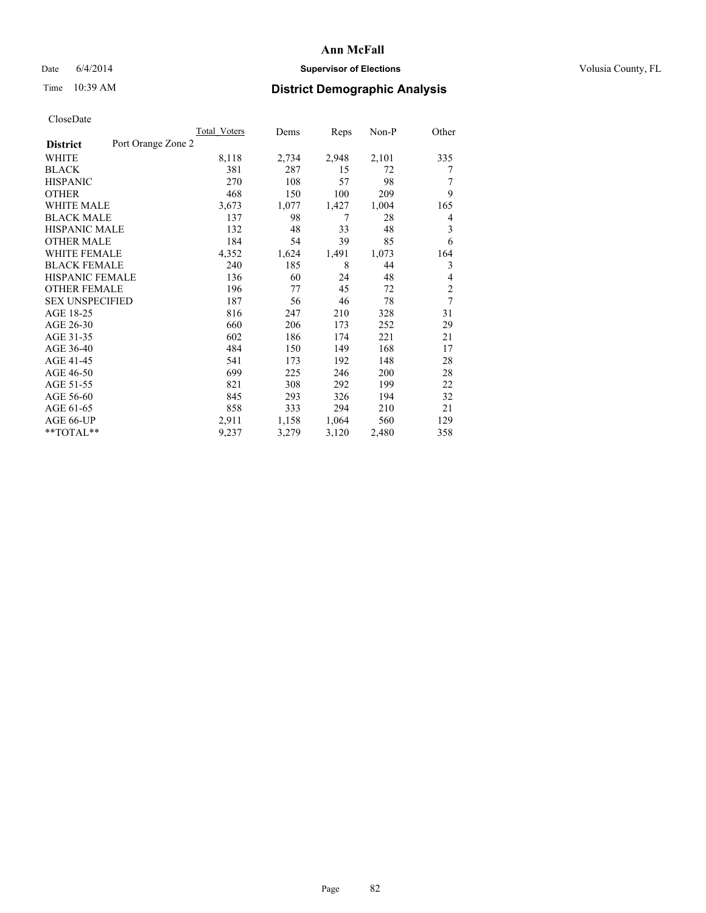## Date 6/4/2014 **Supervisor of Elections Supervisor of Elections** Volusia County, FL

# Time 10:39 AM **District Demographic Analysis**

|                        |                    | <b>Total Voters</b> | Dems  | Reps  | Non-P | Other          |
|------------------------|--------------------|---------------------|-------|-------|-------|----------------|
| <b>District</b>        | Port Orange Zone 2 |                     |       |       |       |                |
| WHITE                  |                    | 8,118               | 2,734 | 2,948 | 2,101 | 335            |
| <b>BLACK</b>           |                    | 381                 | 287   | 15    | 72    | 7              |
| <b>HISPANIC</b>        |                    | 270                 | 108   | 57    | 98    | 7              |
| <b>OTHER</b>           |                    | 468                 | 150   | 100   | 209   | 9              |
| WHITE MALE             |                    | 3,673               | 1,077 | 1,427 | 1,004 | 165            |
| <b>BLACK MALE</b>      |                    | 137                 | 98    | 7     | 28    | 4              |
| <b>HISPANIC MALE</b>   |                    | 132                 | 48    | 33    | 48    | 3              |
| <b>OTHER MALE</b>      |                    | 184                 | 54    | 39    | 85    | 6              |
| <b>WHITE FEMALE</b>    |                    | 4,352               | 1,624 | 1,491 | 1,073 | 164            |
| <b>BLACK FEMALE</b>    |                    | 240                 | 185   | 8     | 44    | 3              |
| <b>HISPANIC FEMALE</b> |                    | 136                 | 60    | 24    | 48    | 4              |
| <b>OTHER FEMALE</b>    |                    | 196                 | 77    | 45    | 72    | $\overline{c}$ |
| <b>SEX UNSPECIFIED</b> |                    | 187                 | 56    | 46    | 78    | $\overline{7}$ |
| AGE 18-25              |                    | 816                 | 247   | 210   | 328   | 31             |
| AGE 26-30              |                    | 660                 | 206   | 173   | 252   | 29             |
| AGE 31-35              |                    | 602                 | 186   | 174   | 221   | 21             |
| AGE 36-40              |                    | 484                 | 150   | 149   | 168   | 17             |
| AGE 41-45              |                    | 541                 | 173   | 192   | 148   | 28             |
| AGE 46-50              |                    | 699                 | 225   | 246   | 200   | 28             |
| AGE 51-55              |                    | 821                 | 308   | 292   | 199   | 22             |
| AGE 56-60              |                    | 845                 | 293   | 326   | 194   | 32             |
| AGE 61-65              |                    | 858                 | 333   | 294   | 210   | 21             |
| AGE 66-UP              |                    | 2,911               | 1,158 | 1,064 | 560   | 129            |
| $*$ TOTAL $*$          |                    | 9,237               | 3,279 | 3,120 | 2,480 | 358            |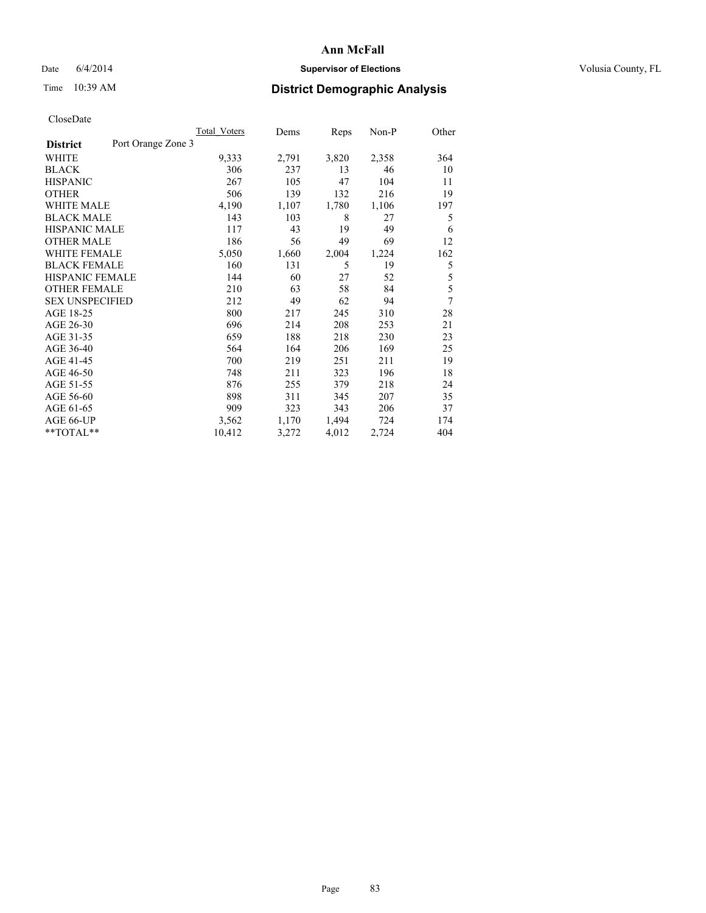## Date 6/4/2014 **Supervisor of Elections Supervisor of Elections** Volusia County, FL

# Time 10:39 AM **District Demographic Analysis**

|                        |                    | Total Voters | Dems  | Reps  | Non-P | Other |
|------------------------|--------------------|--------------|-------|-------|-------|-------|
| <b>District</b>        | Port Orange Zone 3 |              |       |       |       |       |
| WHITE                  |                    | 9,333        | 2,791 | 3,820 | 2,358 | 364   |
| <b>BLACK</b>           |                    | 306          | 237   | 13    | 46    | 10    |
| <b>HISPANIC</b>        |                    | 267          | 105   | 47    | 104   | 11    |
| <b>OTHER</b>           |                    | 506          | 139   | 132   | 216   | 19    |
| WHITE MALE             |                    | 4,190        | 1,107 | 1,780 | 1,106 | 197   |
| <b>BLACK MALE</b>      |                    | 143          | 103   | 8     | 27    | 5     |
| <b>HISPANIC MALE</b>   |                    | 117          | 43    | 19    | 49    | 6     |
| <b>OTHER MALE</b>      |                    | 186          | 56    | 49    | 69    | 12    |
| <b>WHITE FEMALE</b>    |                    | 5,050        | 1,660 | 2,004 | 1,224 | 162   |
| <b>BLACK FEMALE</b>    |                    | 160          | 131   | 5     | 19    | 5     |
| <b>HISPANIC FEMALE</b> |                    | 144          | 60    | 27    | 52    | 5     |
| <b>OTHER FEMALE</b>    |                    | 210          | 63    | 58    | 84    | 5     |
| <b>SEX UNSPECIFIED</b> |                    | 212          | 49    | 62    | 94    | 7     |
| AGE 18-25              |                    | 800          | 217   | 245   | 310   | 28    |
| AGE 26-30              |                    | 696          | 214   | 208   | 253   | 21    |
| AGE 31-35              |                    | 659          | 188   | 218   | 230   | 23    |
| AGE 36-40              |                    | 564          | 164   | 206   | 169   | 25    |
| AGE 41-45              |                    | 700          | 219   | 251   | 211   | 19    |
| AGE 46-50              |                    | 748          | 211   | 323   | 196   | 18    |
| AGE 51-55              |                    | 876          | 255   | 379   | 218   | 24    |
| AGE 56-60              |                    | 898          | 311   | 345   | 207   | 35    |
| AGE 61-65              |                    | 909          | 323   | 343   | 206   | 37    |
| AGE 66-UP              |                    | 3,562        | 1,170 | 1,494 | 724   | 174   |
| $*$ TOTAL $*$          |                    | 10,412       | 3,272 | 4,012 | 2,724 | 404   |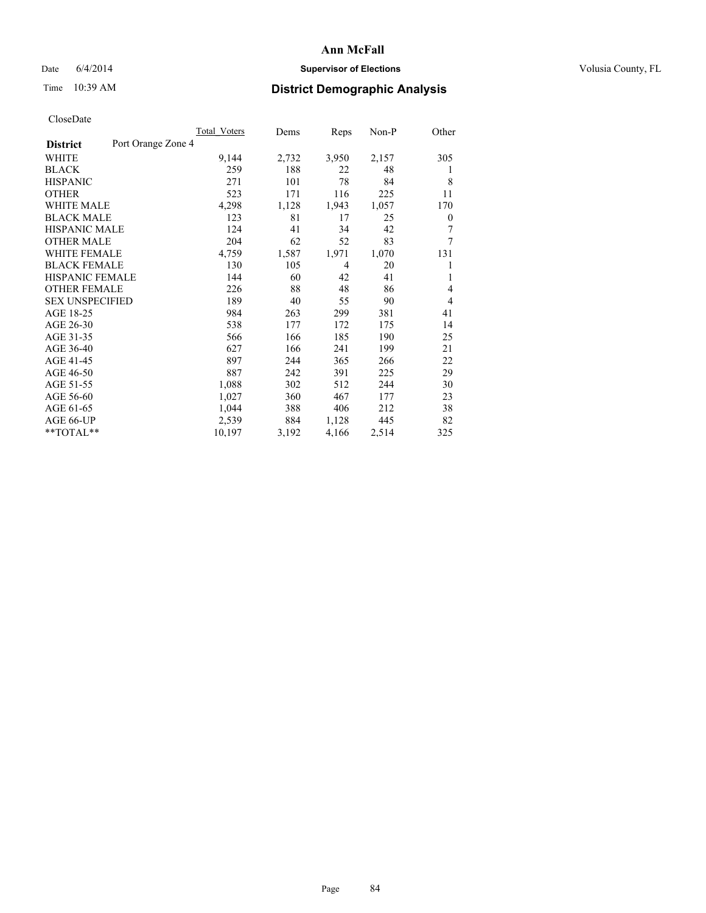## Date 6/4/2014 **Supervisor of Elections Supervisor of Elections** Volusia County, FL

# Time 10:39 AM **District Demographic Analysis**

|                        |                    | <b>Total Voters</b> | Dems  | Reps  | Non-P | Other |
|------------------------|--------------------|---------------------|-------|-------|-------|-------|
| <b>District</b>        | Port Orange Zone 4 |                     |       |       |       |       |
| WHITE                  |                    | 9,144               | 2,732 | 3,950 | 2,157 | 305   |
| <b>BLACK</b>           |                    | 259                 | 188   | 22    | 48    | 1     |
| <b>HISPANIC</b>        |                    | 271                 | 101   | 78    | 84    | 8     |
| <b>OTHER</b>           |                    | 523                 | 171   | 116   | 225   | 11    |
| WHITE MALE             |                    | 4,298               | 1,128 | 1,943 | 1,057 | 170   |
| <b>BLACK MALE</b>      |                    | 123                 | 81    | 17    | 25    | 0     |
| <b>HISPANIC MALE</b>   |                    | 124                 | 41    | 34    | 42    | 7     |
| <b>OTHER MALE</b>      |                    | 204                 | 62    | 52    | 83    | 7     |
| <b>WHITE FEMALE</b>    |                    | 4,759               | 1,587 | 1,971 | 1,070 | 131   |
| <b>BLACK FEMALE</b>    |                    | 130                 | 105   | 4     | 20    | 1     |
| <b>HISPANIC FEMALE</b> |                    | 144                 | 60    | 42    | 41    | 1     |
| <b>OTHER FEMALE</b>    |                    | 226                 | 88    | 48    | 86    | 4     |
| <b>SEX UNSPECIFIED</b> |                    | 189                 | 40    | 55    | 90    | 4     |
| AGE 18-25              |                    | 984                 | 263   | 299   | 381   | 41    |
| AGE 26-30              |                    | 538                 | 177   | 172   | 175   | 14    |
| AGE 31-35              |                    | 566                 | 166   | 185   | 190   | 25    |
| AGE 36-40              |                    | 627                 | 166   | 241   | 199   | 21    |
| AGE 41-45              |                    | 897                 | 244   | 365   | 266   | 22    |
| AGE 46-50              |                    | 887                 | 242   | 391   | 225   | 29    |
| AGE 51-55              |                    | 1,088               | 302   | 512   | 244   | 30    |
| AGE 56-60              |                    | 1,027               | 360   | 467   | 177   | 23    |
| AGE 61-65              |                    | 1,044               | 388   | 406   | 212   | 38    |
| AGE 66-UP              |                    | 2,539               | 884   | 1,128 | 445   | 82    |
| **TOTAL**              |                    | 10,197              | 3,192 | 4,166 | 2,514 | 325   |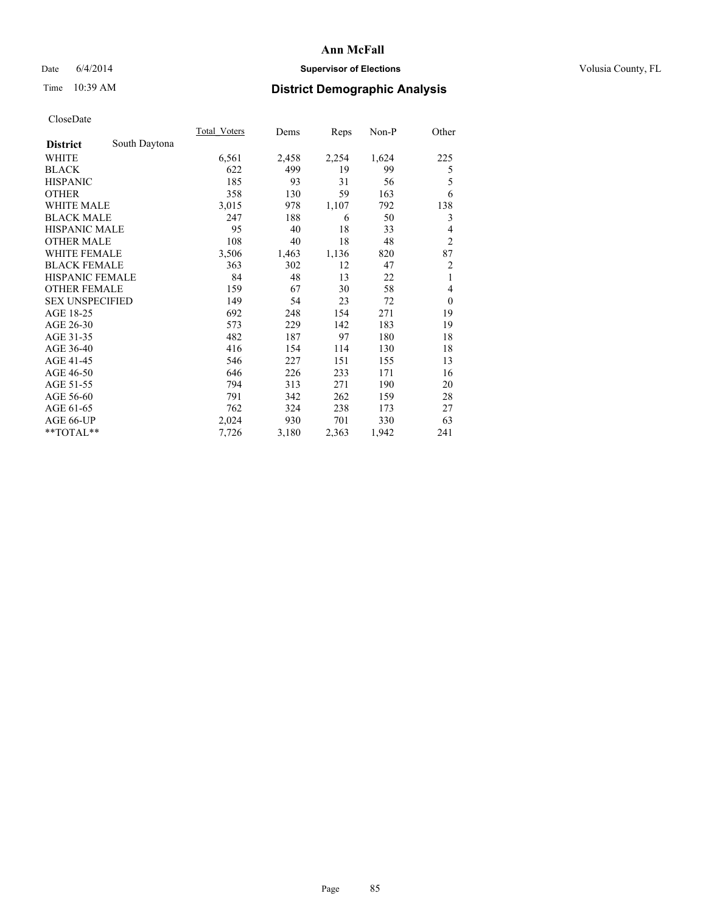## Date 6/4/2014 **Supervisor of Elections Supervisor of Elections** Volusia County, FL

# Time 10:39 AM **District Demographic Analysis**

|                        |               | Total Voters | Dems  | Reps  | Non-P | Other            |
|------------------------|---------------|--------------|-------|-------|-------|------------------|
| <b>District</b>        | South Daytona |              |       |       |       |                  |
| WHITE                  |               | 6,561        | 2,458 | 2,254 | 1,624 | 225              |
| <b>BLACK</b>           |               | 622          | 499   | 19    | 99    | 5                |
| <b>HISPANIC</b>        |               | 185          | 93    | 31    | 56    | 5                |
| <b>OTHER</b>           |               | 358          | 130   | 59    | 163   | 6                |
| <b>WHITE MALE</b>      |               | 3,015        | 978   | 1,107 | 792   | 138              |
| <b>BLACK MALE</b>      |               | 247          | 188   | 6     | 50    | 3                |
| <b>HISPANIC MALE</b>   |               | 95           | 40    | 18    | 33    | 4                |
| <b>OTHER MALE</b>      |               | 108          | 40    | 18    | 48    | $\overline{c}$   |
| <b>WHITE FEMALE</b>    |               | 3,506        | 1,463 | 1,136 | 820   | 87               |
| <b>BLACK FEMALE</b>    |               | 363          | 302   | 12    | 47    | $\overline{c}$   |
| <b>HISPANIC FEMALE</b> |               | 84           | 48    | 13    | 22    | 1                |
| <b>OTHER FEMALE</b>    |               | 159          | 67    | 30    | 58    | 4                |
| <b>SEX UNSPECIFIED</b> |               | 149          | 54    | 23    | 72    | $\boldsymbol{0}$ |
| AGE 18-25              |               | 692          | 248   | 154   | 271   | 19               |
| AGE 26-30              |               | 573          | 229   | 142   | 183   | 19               |
| AGE 31-35              |               | 482          | 187   | 97    | 180   | 18               |
| AGE 36-40              |               | 416          | 154   | 114   | 130   | 18               |
| AGE 41-45              |               | 546          | 227   | 151   | 155   | 13               |
| AGE 46-50              |               | 646          | 226   | 233   | 171   | 16               |
| AGE 51-55              |               | 794          | 313   | 271   | 190   | 20               |
| AGE 56-60              |               | 791          | 342   | 262   | 159   | 28               |
| AGE 61-65              |               | 762          | 324   | 238   | 173   | 27               |
| AGE 66-UP              |               | 2,024        | 930   | 701   | 330   | 63               |
| **TOTAL**              |               | 7,726        | 3,180 | 2,363 | 1,942 | 241              |